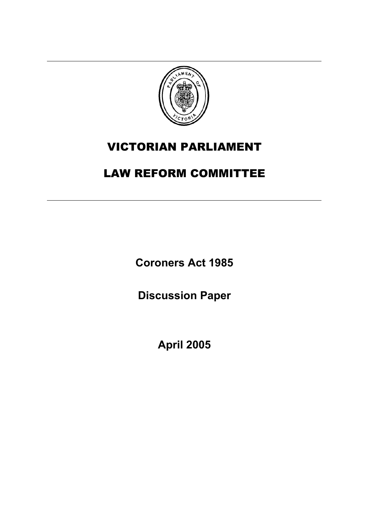

# VICTORIAN PARLIAMENT

# LAW REFORM COMMITTEE

**Coroners Act 1985** 

**Discussion Paper** 

**April 2005**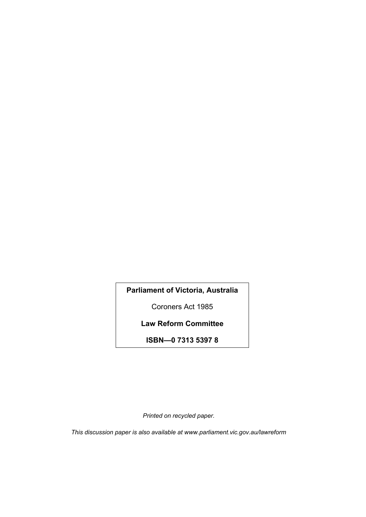**Parliament of Victoria, Australia** 

Coroners Act 1985

**Law Reform Committee** 

**ISBN—0 7313 5397 8** 

*Printed on recycled paper.* 

*This discussion paper is also available at www.parliament.vic.gov.au/lawreform*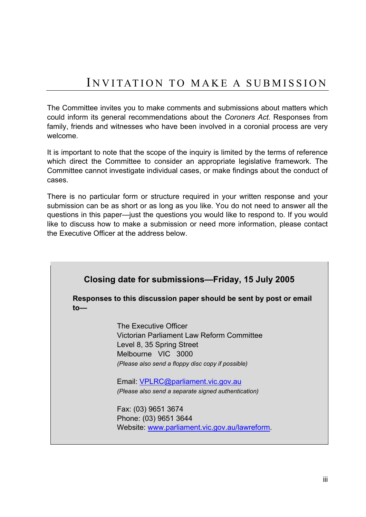The Committee invites you to make comments and submissions about matters which could inform its general recommendations about the *Coroners Act.* Responses from family, friends and witnesses who have been involved in a coronial process are very welcome.

It is important to note that the scope of the inquiry is limited by the terms of reference which direct the Committee to consider an appropriate legislative framework. The Committee cannot investigate individual cases, or make findings about the conduct of cases.

There is no particular form or structure required in your written response and your submission can be as short or as long as you like. You do not need to answer all the questions in this paper—just the questions you would like to respond to. If you would like to discuss how to make a submission or need more information, please contact the Executive Officer at the address below.

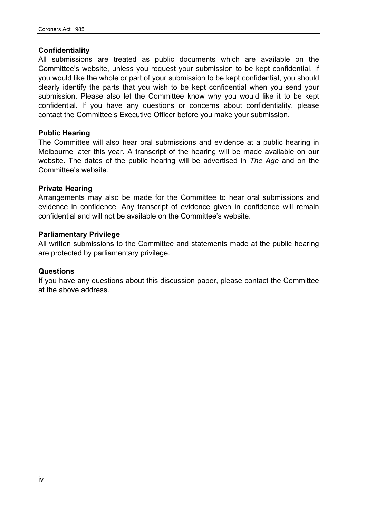#### **Confidentiality**

All submissions are treated as public documents which are available on the Committee's website, unless you request your submission to be kept confidential. If you would like the whole or part of your submission to be kept confidential, you should clearly identify the parts that you wish to be kept confidential when you send your submission. Please also let the Committee know why you would like it to be kept confidential. If you have any questions or concerns about confidentiality, please contact the Committee's Executive Officer before you make your submission.

#### **Public Hearing**

The Committee will also hear oral submissions and evidence at a public hearing in Melbourne later this year. A transcript of the hearing will be made available on our website. The dates of the public hearing will be advertised in *The Age* and on the Committee's website.

#### **Private Hearing**

Arrangements may also be made for the Committee to hear oral submissions and evidence in confidence. Any transcript of evidence given in confidence will remain confidential and will not be available on the Committee's website.

#### **Parliamentary Privilege**

All written submissions to the Committee and statements made at the public hearing are protected by parliamentary privilege.

#### **Questions**

If you have any questions about this discussion paper, please contact the Committee at the above address.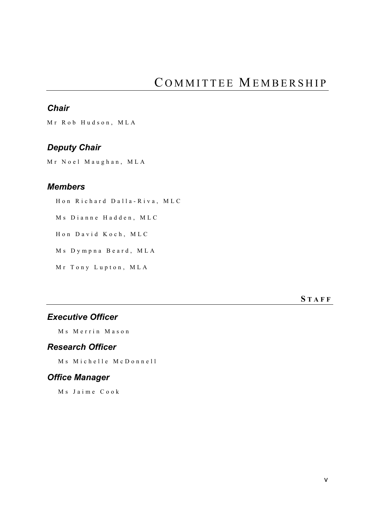# *Chair*

Mr Rob Hudson, MLA

# *Deputy Chair*

Mr Noel Maughan, MLA

# *Members*

Hon Richard Dalla-Riva, MLC Ms Dianne Hadden, MLC Hon David Koch, MLC Ms Dympna Beard, MLA

Mr Tony Lupton, MLA

**S TAFF**

# *Executive Officer*

Ms Merrin Mason

## *Research Officer*

Ms Michelle McDonnell

# *Office Manager*

Ms Jaime Cook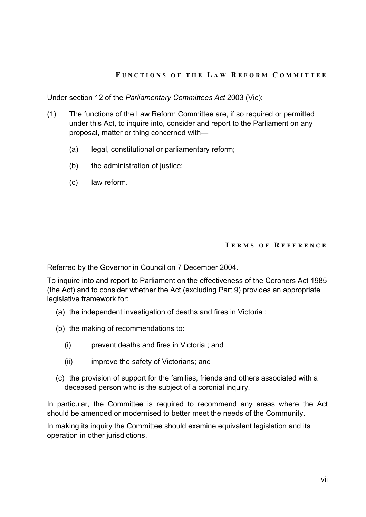Under section 12 of the *Parliamentary Committees Act* 2003 (Vic):

- (1) The functions of the Law Reform Committee are, if so required or permitted under this Act, to inquire into, consider and report to the Parliament on any proposal, matter or thing concerned with—
	- (a) legal, constitutional or parliamentary reform;
	- (b) the administration of justice;
	- (c) law reform.

#### **T ERMS OF R EFERENCE**

Referred by the Governor in Council on 7 December 2004.

To inquire into and report to Parliament on the effectiveness of the Coroners Act 1985 (the Act) and to consider whether the Act (excluding Part 9) provides an appropriate legislative framework for:

- (a) the independent investigation of deaths and fires in Victoria ;
- (b) the making of recommendations to:
	- (i) prevent deaths and fires in Victoria ; and
	- (ii) improve the safety of Victorians; and
- (c) the provision of support for the families, friends and others associated with a deceased person who is the subject of a coronial inquiry.

In particular, the Committee is required to recommend any areas where the Act should be amended or modernised to better meet the needs of the Community.

In making its inquiry the Committee should examine equivalent legislation and its operation in other jurisdictions.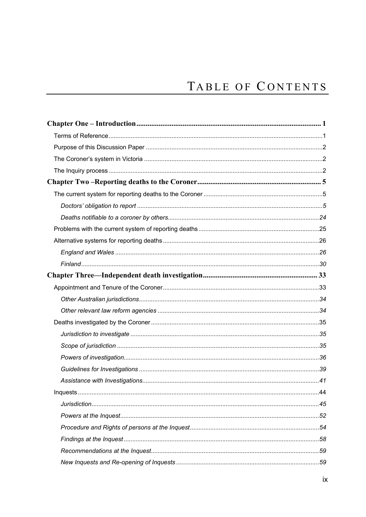# TABLE OF CONTENTS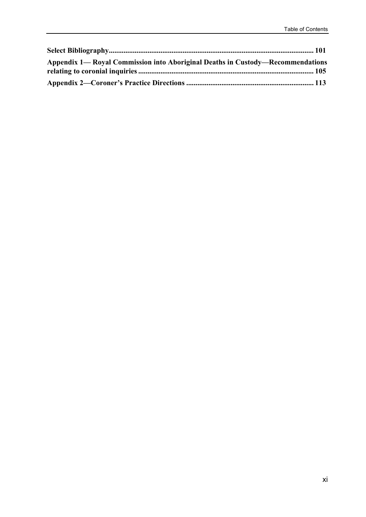| Appendix 1— Royal Commission into Aboriginal Deaths in Custody—Recommendations |  |
|--------------------------------------------------------------------------------|--|
|                                                                                |  |
|                                                                                |  |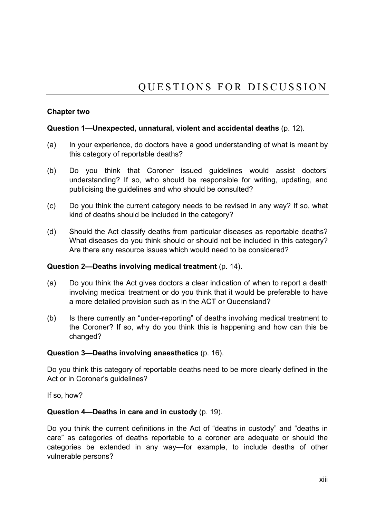## **Chapter two**

### **Question 1—Unexpected, unnatural, violent and accidental deaths** (p. 12).

- (a) In your experience, do doctors have a good understanding of what is meant by this category of reportable deaths?
- (b) Do you think that Coroner issued guidelines would assist doctors' understanding? If so, who should be responsible for writing, updating, and publicising the guidelines and who should be consulted?
- (c) Do you think the current category needs to be revised in any way? If so, what kind of deaths should be included in the category?
- (d) Should the Act classify deaths from particular diseases as reportable deaths? What diseases do you think should or should not be included in this category? Are there any resource issues which would need to be considered?

#### **Question 2—Deaths involving medical treatment** (p. 14).

- (a) Do you think the Act gives doctors a clear indication of when to report a death involving medical treatment or do you think that it would be preferable to have a more detailed provision such as in the ACT or Queensland?
- (b) Is there currently an "under-reporting" of deaths involving medical treatment to the Coroner? If so, why do you think this is happening and how can this be changed?

## **Question 3—Deaths involving anaesthetics** (p. 16).

Do you think this category of reportable deaths need to be more clearly defined in the Act or in Coroner's guidelines?

If so, how?

#### **Question 4—Deaths in care and in custody** (p. 19).

Do you think the current definitions in the Act of "deaths in custody" and "deaths in care" as categories of deaths reportable to a coroner are adequate or should the categories be extended in any way—for example, to include deaths of other vulnerable persons?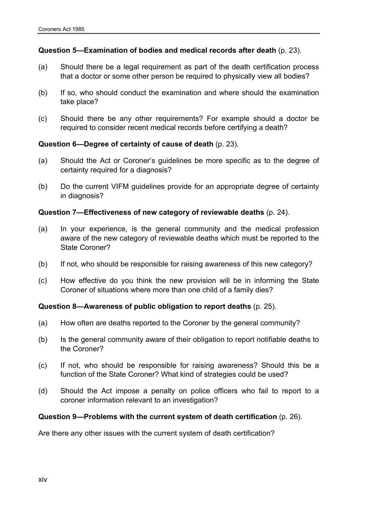#### **Question 5—Examination of bodies and medical records after death** (p. 23).

- (a) Should there be a legal requirement as part of the death certification process that a doctor or some other person be required to physically view all bodies?
- (b) If so, who should conduct the examination and where should the examination take place?
- (c) Should there be any other requirements? For example should a doctor be required to consider recent medical records before certifying a death?

#### **Question 6—Degree of certainty of cause of death** (p. 23).

- (a) Should the Act or Coroner's guidelines be more specific as to the degree of certainty required for a diagnosis?
- (b) Do the current VIFM guidelines provide for an appropriate degree of certainty in diagnosis?

#### **Question 7—Effectiveness of new category of reviewable deaths** (p. 24).

- (a) In your experience, is the general community and the medical profession aware of the new category of reviewable deaths which must be reported to the State Coroner?
- (b) If not, who should be responsible for raising awareness of this new category?
- (c) How effective do you think the new provision will be in informing the State Coroner of situations where more than one child of a family dies?

#### **Question 8—Awareness of public obligation to report deaths** (p. 25).

- (a) How often are deaths reported to the Coroner by the general community?
- (b) Is the general community aware of their obligation to report notifiable deaths to the Coroner?
- (c) If not, who should be responsible for raising awareness? Should this be a function of the State Coroner? What kind of strategies could be used?
- (d) Should the Act impose a penalty on police officers who fail to report to a coroner information relevant to an investigation?

#### **Question 9—Problems with the current system of death certification** (p. 26).

Are there any other issues with the current system of death certification?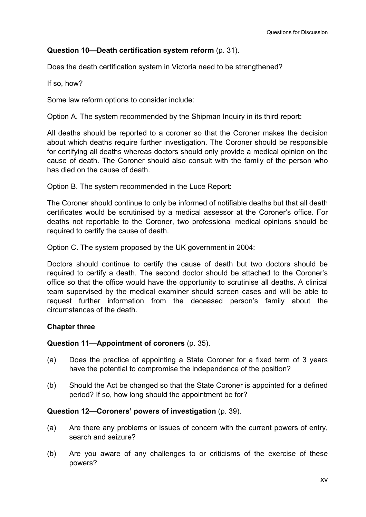## **Question 10—Death certification system reform** (p. 31).

Does the death certification system in Victoria need to be strengthened?

If so, how?

Some law reform options to consider include:

Option A. The system recommended by the Shipman Inquiry in its third report:

All deaths should be reported to a coroner so that the Coroner makes the decision about which deaths require further investigation. The Coroner should be responsible for certifying all deaths whereas doctors should only provide a medical opinion on the cause of death. The Coroner should also consult with the family of the person who has died on the cause of death.

Option B. The system recommended in the Luce Report:

The Coroner should continue to only be informed of notifiable deaths but that all death certificates would be scrutinised by a medical assessor at the Coroner's office. For deaths not reportable to the Coroner, two professional medical opinions should be required to certify the cause of death.

Option C. The system proposed by the UK government in 2004:

Doctors should continue to certify the cause of death but two doctors should be required to certify a death. The second doctor should be attached to the Coroner's office so that the office would have the opportunity to scrutinise all deaths. A clinical team supervised by the medical examiner should screen cases and will be able to request further information from the deceased person's family about the circumstances of the death.

#### **Chapter three**

#### **Question 11—Appointment of coroners** (p. 35).

- (a) Does the practice of appointing a State Coroner for a fixed term of 3 years have the potential to compromise the independence of the position?
- (b) Should the Act be changed so that the State Coroner is appointed for a defined period? If so, how long should the appointment be for?

#### **Question 12—Coroners' powers of investigation** (p. 39).

- (a) Are there any problems or issues of concern with the current powers of entry, search and seizure?
- (b) Are you aware of any challenges to or criticisms of the exercise of these powers?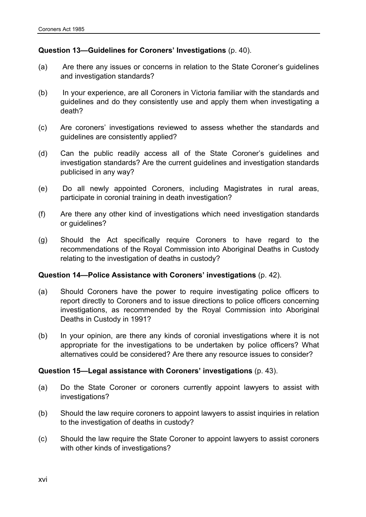#### **Question 13—Guidelines for Coroners' Investigations** (p. 40).

- (a) Are there any issues or concerns in relation to the State Coroner's guidelines and investigation standards?
- (b) In your experience, are all Coroners in Victoria familiar with the standards and guidelines and do they consistently use and apply them when investigating a death?
- (c) Are coroners' investigations reviewed to assess whether the standards and guidelines are consistently applied?
- (d) Can the public readily access all of the State Coroner's guidelines and investigation standards? Are the current guidelines and investigation standards publicised in any way?
- (e) Do all newly appointed Coroners, including Magistrates in rural areas, participate in coronial training in death investigation?
- (f) Are there any other kind of investigations which need investigation standards or guidelines?
- (g) Should the Act specifically require Coroners to have regard to the recommendations of the Royal Commission into Aboriginal Deaths in Custody relating to the investigation of deaths in custody?

#### **Question 14—Police Assistance with Coroners' investigations** (p. 42).

- (a) Should Coroners have the power to require investigating police officers to report directly to Coroners and to issue directions to police officers concerning investigations, as recommended by the Royal Commission into Aboriginal Deaths in Custody in 1991?
- (b) In your opinion, are there any kinds of coronial investigations where it is not appropriate for the investigations to be undertaken by police officers? What alternatives could be considered? Are there any resource issues to consider?

#### **Question 15—Legal assistance with Coroners' investigations** (p. 43).

- (a) Do the State Coroner or coroners currently appoint lawyers to assist with investigations?
- (b) Should the law require coroners to appoint lawyers to assist inquiries in relation to the investigation of deaths in custody?
- (c) Should the law require the State Coroner to appoint lawyers to assist coroners with other kinds of investigations?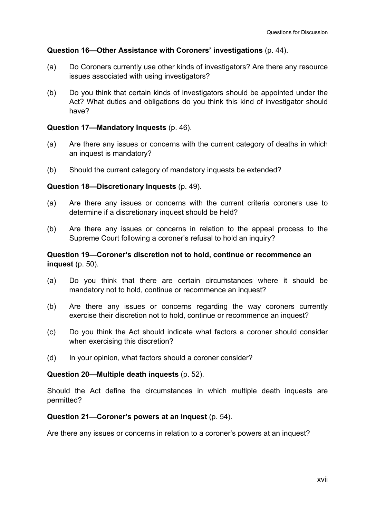### **Question 16—Other Assistance with Coroners' investigations** (p. 44).

- (a) Do Coroners currently use other kinds of investigators? Are there any resource issues associated with using investigators?
- (b) Do you think that certain kinds of investigators should be appointed under the Act? What duties and obligations do you think this kind of investigator should have?

#### **Question 17—Mandatory Inquests** (p. 46).

- (a) Are there any issues or concerns with the current category of deaths in which an inquest is mandatory?
- (b) Should the current category of mandatory inquests be extended?

#### **Question 18—Discretionary Inquests** (p. 49).

- (a) Are there any issues or concerns with the current criteria coroners use to determine if a discretionary inquest should be held?
- (b) Are there any issues or concerns in relation to the appeal process to the Supreme Court following a coroner's refusal to hold an inquiry?

#### **Question 19—Coroner's discretion not to hold, continue or recommence an inquest** (p. 50).

- (a) Do you think that there are certain circumstances where it should be mandatory not to hold, continue or recommence an inquest?
- (b) Are there any issues or concerns regarding the way coroners currently exercise their discretion not to hold, continue or recommence an inquest?
- (c) Do you think the Act should indicate what factors a coroner should consider when exercising this discretion?
- (d) In your opinion, what factors should a coroner consider?

#### **Question 20—Multiple death inquests** (p. 52).

Should the Act define the circumstances in which multiple death inquests are permitted?

#### **Question 21—Coroner's powers at an inquest** (p. 54).

Are there any issues or concerns in relation to a coroner's powers at an inquest?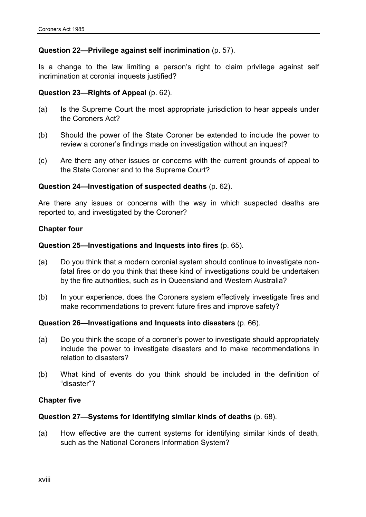#### **Question 22—Privilege against self incrimination** (p. 57).

Is a change to the law limiting a person's right to claim privilege against self incrimination at coronial inquests justified?

#### **Question 23—Rights of Appeal** (p. 62).

- (a) Is the Supreme Court the most appropriate jurisdiction to hear appeals under the Coroners Act?
- (b) Should the power of the State Coroner be extended to include the power to review a coroner's findings made on investigation without an inquest?
- (c) Are there any other issues or concerns with the current grounds of appeal to the State Coroner and to the Supreme Court?

#### **Question 24—Investigation of suspected deaths** (p. 62).

Are there any issues or concerns with the way in which suspected deaths are reported to, and investigated by the Coroner?

#### **Chapter four**

#### **Question 25—Investigations and Inquests into fires** (p. 65).

- (a) Do you think that a modern coronial system should continue to investigate nonfatal fires or do you think that these kind of investigations could be undertaken by the fire authorities, such as in Queensland and Western Australia?
- (b) In your experience, does the Coroners system effectively investigate fires and make recommendations to prevent future fires and improve safety?

#### **Question 26—Investigations and Inquests into disasters** (p. 66).

- (a) Do you think the scope of a coroner's power to investigate should appropriately include the power to investigate disasters and to make recommendations in relation to disasters?
- (b) What kind of events do you think should be included in the definition of "disaster"?

#### **Chapter five**

#### **Question 27—Systems for identifying similar kinds of deaths** (p. 68).

(a) How effective are the current systems for identifying similar kinds of death, such as the National Coroners Information System?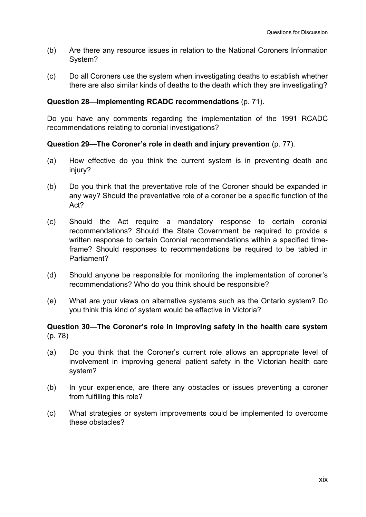- (b) Are there any resource issues in relation to the National Coroners Information System?
- (c) Do all Coroners use the system when investigating deaths to establish whether there are also similar kinds of deaths to the death which they are investigating?

### **Question 28—Implementing RCADC recommendations** (p. 71).

Do you have any comments regarding the implementation of the 1991 RCADC recommendations relating to coronial investigations?

### **Question 29—The Coroner's role in death and injury prevention** (p. 77).

- (a) How effective do you think the current system is in preventing death and injury?
- (b) Do you think that the preventative role of the Coroner should be expanded in any way? Should the preventative role of a coroner be a specific function of the Act?
- (c) Should the Act require a mandatory response to certain coronial recommendations? Should the State Government be required to provide a written response to certain Coronial recommendations within a specified timeframe? Should responses to recommendations be required to be tabled in Parliament?
- (d) Should anyone be responsible for monitoring the implementation of coroner's recommendations? Who do you think should be responsible?
- (e) What are your views on alternative systems such as the Ontario system? Do you think this kind of system would be effective in Victoria?

### **Question 30—The Coroner's role in improving safety in the health care system**  (p. 78)

- (a) Do you think that the Coroner's current role allows an appropriate level of involvement in improving general patient safety in the Victorian health care system?
- (b) In your experience, are there any obstacles or issues preventing a coroner from fulfilling this role?
- (c) What strategies or system improvements could be implemented to overcome these obstacles?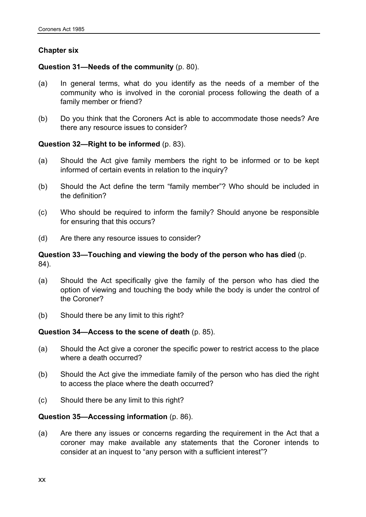## **Chapter six**

### **Question 31—Needs of the community** (p. 80).

- (a) In general terms, what do you identify as the needs of a member of the community who is involved in the coronial process following the death of a family member or friend?
- (b) Do you think that the Coroners Act is able to accommodate those needs? Are there any resource issues to consider?

### **Question 32—Right to be informed** (p. 83).

- (a) Should the Act give family members the right to be informed or to be kept informed of certain events in relation to the inquiry?
- (b) Should the Act define the term "family member"? Who should be included in the definition?
- (c) Who should be required to inform the family? Should anyone be responsible for ensuring that this occurs?
- (d) Are there any resource issues to consider?

### **Question 33—Touching and viewing the body of the person who has died** (p. 84).

- (a) Should the Act specifically give the family of the person who has died the option of viewing and touching the body while the body is under the control of the Coroner?
- (b) Should there be any limit to this right?

#### **Question 34—Access to the scene of death** (p. 85).

- (a) Should the Act give a coroner the specific power to restrict access to the place where a death occurred?
- (b) Should the Act give the immediate family of the person who has died the right to access the place where the death occurred?
- (c) Should there be any limit to this right?

#### **Question 35—Accessing information** (p. 86).

(a) Are there any issues or concerns regarding the requirement in the Act that a coroner may make available any statements that the Coroner intends to consider at an inquest to "any person with a sufficient interest"?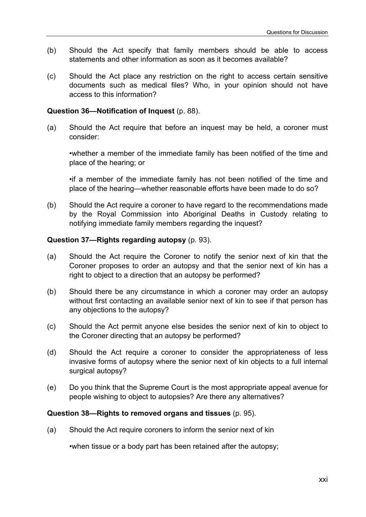- (b) Should the Act specify that family members should be able to access statements and other information as soon as it becomes available?
- (c) Should the Act place any restriction on the right to access certain sensitive documents such as medical files? Who, in your opinion should not have access to this information?

#### **Question 36—Notification of Inquest** (p. 88).

(a) Should the Act require that before an inquest may be held, a coroner must consider:

•whether a member of the immediate family has been notified of the time and place of the hearing; or

•if a member of the immediate family has not been notified of the time and place of the hearing—whether reasonable efforts have been made to do so?

(b) Should the Act require a coroner to have regard to the recommendations made by the Royal Commission into Aboriginal Deaths in Custody relating to notifying immediate family members regarding the inquest?

#### **Question 37—Rights regarding autopsy** (p. 93).

- (a) Should the Act require the Coroner to notify the senior next of kin that the Coroner proposes to order an autopsy and that the senior next of kin has a right to object to a direction that an autopsy be performed?
- (b) Should there be any circumstance in which a coroner may order an autopsy without first contacting an available senior next of kin to see if that person has any objections to the autopsy?
- (c) Should the Act permit anyone else besides the senior next of kin to object to the Coroner directing that an autopsy be performed?
- (d) Should the Act require a coroner to consider the appropriateness of less invasive forms of autopsy where the senior next of kin objects to a full internal surgical autopsy?
- (e) Do you think that the Supreme Court is the most appropriate appeal avenue for people wishing to object to autopsies? Are there any alternatives?

#### **Question 38—Rights to removed organs and tissues** (p. 95).

(a) Should the Act require coroners to inform the senior next of kin

•when tissue or a body part has been retained after the autopsy;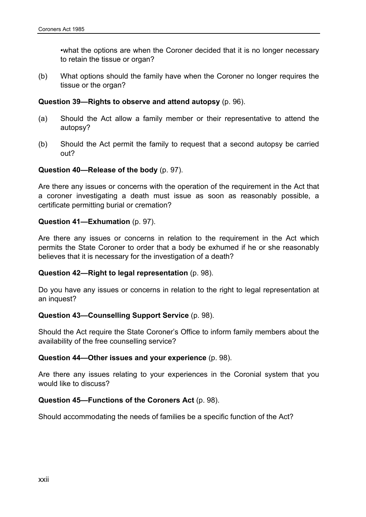•what the options are when the Coroner decided that it is no longer necessary to retain the tissue or organ?

(b) What options should the family have when the Coroner no longer requires the tissue or the organ?

#### **Question 39—Rights to observe and attend autopsy** (p. 96).

- (a) Should the Act allow a family member or their representative to attend the autopsy?
- (b) Should the Act permit the family to request that a second autopsy be carried out?

#### **Question 40—Release of the body** (p. 97).

Are there any issues or concerns with the operation of the requirement in the Act that a coroner investigating a death must issue as soon as reasonably possible, a certificate permitting burial or cremation?

#### **Question 41—Exhumation** (p. 97).

Are there any issues or concerns in relation to the requirement in the Act which permits the State Coroner to order that a body be exhumed if he or she reasonably believes that it is necessary for the investigation of a death?

#### **Question 42—Right to legal representation** (p. 98).

Do you have any issues or concerns in relation to the right to legal representation at an inquest?

#### **Question 43—Counselling Support Service** (p. 98).

Should the Act require the State Coroner's Office to inform family members about the availability of the free counselling service?

#### **Question 44—Other issues and your experience** (p. 98).

Are there any issues relating to your experiences in the Coronial system that you would like to discuss?

#### **Question 45—Functions of the Coroners Act** (p. 98).

Should accommodating the needs of families be a specific function of the Act?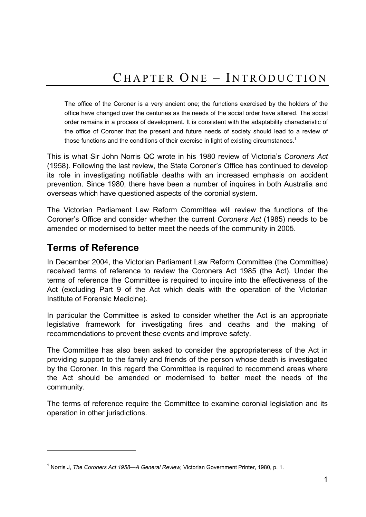The office of the Coroner is a very ancient one; the functions exercised by the holders of the office have changed over the centuries as the needs of the social order have altered. The social order remains in a process of development. It is consistent with the adaptability characteristic of the office of Coroner that the present and future needs of society should lead to a review of those functions and the conditions of their exercise in light of existing circumstances.<sup>1</sup>

This is what Sir John Norris QC wrote in his 1980 review of Victoria's *Coroners Act* (1958). Following the last review, the State Coroner's Office has continued to develop its role in investigating notifiable deaths with an increased emphasis on accident prevention. Since 1980, there have been a number of inquires in both Australia and overseas which have questioned aspects of the coronial system.

The Victorian Parliament Law Reform Committee will review the functions of the Coroner's Office and consider whether the current *Coroners Act* (1985) needs to be amended or modernised to better meet the needs of the community in 2005.

# **Terms of Reference**

l

In December 2004, the Victorian Parliament Law Reform Committee (the Committee) received terms of reference to review the Coroners Act 1985 (the Act). Under the terms of reference the Committee is required to inquire into the effectiveness of the Act (excluding Part 9 of the Act which deals with the operation of the Victorian Institute of Forensic Medicine).

In particular the Committee is asked to consider whether the Act is an appropriate legislative framework for investigating fires and deaths and the making of recommendations to prevent these events and improve safety.

The Committee has also been asked to consider the appropriateness of the Act in providing support to the family and friends of the person whose death is investigated by the Coroner. In this regard the Committee is required to recommend areas where the Act should be amended or modernised to better meet the needs of the community.

The terms of reference require the Committee to examine coronial legislation and its operation in other jurisdictions.

<sup>1</sup> Norris J, *The Coroners Act 1958—A General Review,* Victorian Government Printer, 1980, p. 1.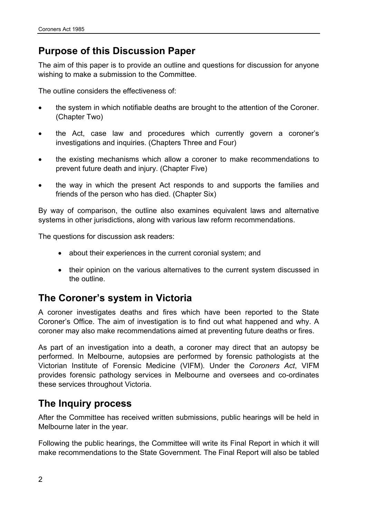# **Purpose of this Discussion Paper**

The aim of this paper is to provide an outline and questions for discussion for anyone wishing to make a submission to the Committee.

The outline considers the effectiveness of:

- the system in which notifiable deaths are brought to the attention of the Coroner. (Chapter Two)
- the Act, case law and procedures which currently govern a coroner's investigations and inquiries. (Chapters Three and Four)
- the existing mechanisms which allow a coroner to make recommendations to prevent future death and injury. (Chapter Five)
- the way in which the present Act responds to and supports the families and friends of the person who has died. (Chapter Six)

By way of comparison, the outline also examines equivalent laws and alternative systems in other jurisdictions, along with various law reform recommendations.

The questions for discussion ask readers:

- about their experiences in the current coronial system; and
- their opinion on the various alternatives to the current system discussed in the outline.

# **The Coroner's system in Victoria**

A coroner investigates deaths and fires which have been reported to the State Coroner's Office. The aim of investigation is to find out what happened and why. A coroner may also make recommendations aimed at preventing future deaths or fires.

As part of an investigation into a death, a coroner may direct that an autopsy be performed. In Melbourne, autopsies are performed by forensic pathologists at the Victorian Institute of Forensic Medicine (VIFM). Under the *Coroners Act*, VIFM provides forensic pathology services in Melbourne and oversees and co-ordinates these services throughout Victoria.

# **The Inquiry process**

After the Committee has received written submissions, public hearings will be held in Melbourne later in the year.

Following the public hearings, the Committee will write its Final Report in which it will make recommendations to the State Government. The Final Report will also be tabled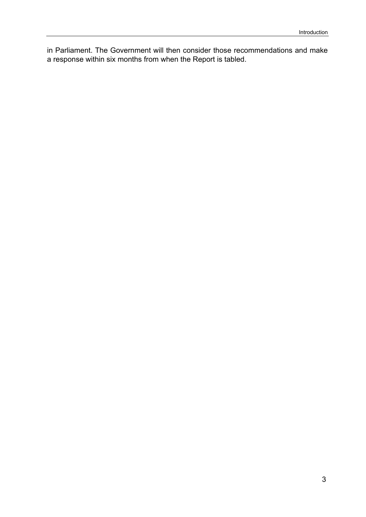in Parliament. The Government will then consider those recommendations and make a response within six months from when the Report is tabled.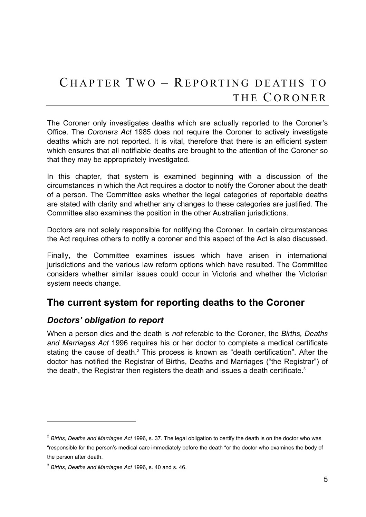# C HAPTER T WO – REPORTING DEATHS TO THE CORONER

The Coroner only investigates deaths which are actually reported to the Coroner's Office. The *Coroners Act* 1985 does not require the Coroner to actively investigate deaths which are not reported. It is vital, therefore that there is an efficient system which ensures that all notifiable deaths are brought to the attention of the Coroner so that they may be appropriately investigated.

In this chapter, that system is examined beginning with a discussion of the circumstances in which the Act requires a doctor to notify the Coroner about the death of a person. The Committee asks whether the legal categories of reportable deaths are stated with clarity and whether any changes to these categories are justified. The Committee also examines the position in the other Australian jurisdictions.

Doctors are not solely responsible for notifying the Coroner. In certain circumstances the Act requires others to notify a coroner and this aspect of the Act is also discussed.

Finally, the Committee examines issues which have arisen in international jurisdictions and the various law reform options which have resulted. The Committee considers whether similar issues could occur in Victoria and whether the Victorian system needs change.

# **The current system for reporting deaths to the Coroner**

# *Doctors' obligation to report*

When a person dies and the death is *not* referable to the Coroner, the *Births, Deaths and Marriages Act* 1996 requires his or her doctor to complete a medical certificate stating the cause of death.<sup>2</sup> This process is known as "death certification". After the doctor has notified the Registrar of Births, Deaths and Marriages ("the Registrar") of the death, the Registrar then registers the death and issues a death certificate.<sup>3</sup>

<sup>2</sup> *Births, Deaths and Marriages Act* 1996, s. 37. The legal obligation to certify the death is on the doctor who was "responsible for the person's medical care immediately before the death "or the doctor who examines the body of the person after death.

<sup>3</sup> *Births, Deaths and Marriages Act* 1996, s. 40 and s. 46.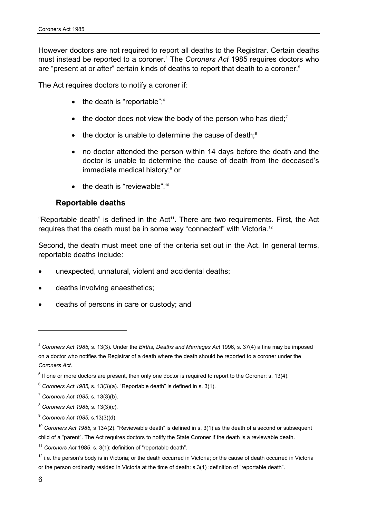However doctors are not required to report all deaths to the Registrar. Certain deaths must instead be reported to a coroner.4 The *Coroners Act* 1985 requires doctors who are "present at or after" certain kinds of deaths to report that death to a coroner.<sup>5</sup>

The Act requires doctors to notify a coroner if:

- $\bullet$  the death is "reportable"; $\degree$
- $\bullet$  the doctor does not view the body of the person who has died;<sup>7</sup>
- $\bullet$  the doctor is unable to determine the cause of death; $\textdegree$
- no doctor attended the person within 14 days before the death and the doctor is unable to determine the cause of death from the deceased's immediate medical history;<sup>9</sup> or
- the death is "reviewable".<sup>10</sup>

## **Reportable deaths**

"Reportable death" is defined in the Act<sup>11</sup>. There are two requirements. First, the Act requires that the death must be in some way "connected" with Victoria.12

Second, the death must meet one of the criteria set out in the Act. In general terms, reportable deaths include:

- unexpected, unnatural, violent and accidental deaths;
- deaths involving anaesthetics;
- deaths of persons in care or custody; and

<sup>4</sup> *Coroners Act 1985,* s. 13(3)*.* Under the *Births, Deaths and Marriages Act* 1996, s. 37(4) a fine may be imposed on a doctor who notifies the Registrar of a death where the death should be reported to a coroner under the *Coroners Act.*

 $<sup>5</sup>$  If one or more doctors are present, then only one doctor is required to report to the Coroner: s. 13(4).</sup>

<sup>6</sup> *Coroners Act 1985,* s. 13(3)(a). "Reportable death" is defined in s. 3(1).

<sup>7</sup> *Coroners Act 1985,* s. 13(3)(b).

<sup>8</sup> *Coroners Act 1985,* s. 13(3)(c).

<sup>9</sup> *Coroners Act 1985,* s.13(3)(d).

<sup>10</sup> *Coroners Act 1985,* s 13A(2). "Reviewable death" is defined in s. 3(1) as the death of a second or subsequent child of a "parent". The Act requires doctors to notify the State Coroner if the death is a reviewable death.

*<sup>11</sup> Coroners Act* 1985, s. 3(1): definition of "reportable death".

 $12$  i.e. the person's body is in Victoria; or the death occurred in Victoria; or the cause of death occurred in Victoria or the person ordinarily resided in Victoria at the time of death: s.3(1) :definition of "reportable death".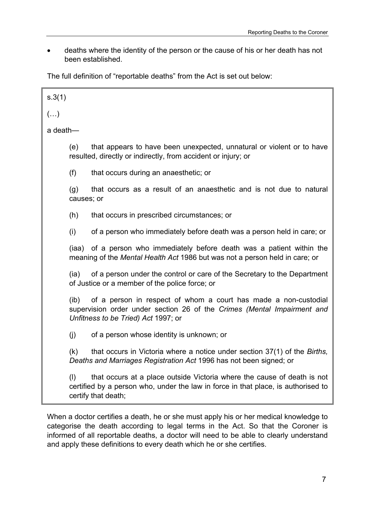deaths where the identity of the person or the cause of his or her death has not been established.

The full definition of "reportable deaths" from the Act is set out below:

| s.3(1)     |                   |                                                                                                                                                                                     |
|------------|-------------------|-------------------------------------------------------------------------------------------------------------------------------------------------------------------------------------|
| $(\ldots)$ |                   |                                                                                                                                                                                     |
| a death-   |                   |                                                                                                                                                                                     |
|            | (e)               | that appears to have been unexpected, unnatural or violent or to have<br>resulted, directly or indirectly, from accident or injury; or                                              |
|            | (f)               | that occurs during an anaesthetic; or                                                                                                                                               |
|            | (g)<br>causes; or | that occurs as a result of an anaesthetic and is not due to natural                                                                                                                 |
|            | (h)               | that occurs in prescribed circumstances; or                                                                                                                                         |
|            | (i)               | of a person who immediately before death was a person held in care; or                                                                                                              |
|            |                   | (iaa) of a person who immediately before death was a patient within the<br>meaning of the Mental Health Act 1986 but was not a person held in care; or                              |
|            | (ia)              | of a person under the control or care of the Secretary to the Department<br>of Justice or a member of the police force; or                                                          |
|            | (i <b>b</b> )     | of a person in respect of whom a court has made a non-custodial<br>supervision order under section 26 of the Crimes (Mental Impairment and<br>Unfitness to be Tried) Act 1997; or   |
|            | (i)               | of a person whose identity is unknown; or                                                                                                                                           |
|            | (k)               | that occurs in Victoria where a notice under section 37(1) of the Births,<br>Deaths and Marriages Registration Act 1996 has not been signed; or                                     |
|            | (1)               | that occurs at a place outside Victoria where the cause of death is not<br>certified by a person who, under the law in force in that place, is authorised to<br>certify that death; |

When a doctor certifies a death, he or she must apply his or her medical knowledge to categorise the death according to legal terms in the Act. So that the Coroner is informed of all reportable deaths, a doctor will need to be able to clearly understand and apply these definitions to every death which he or she certifies.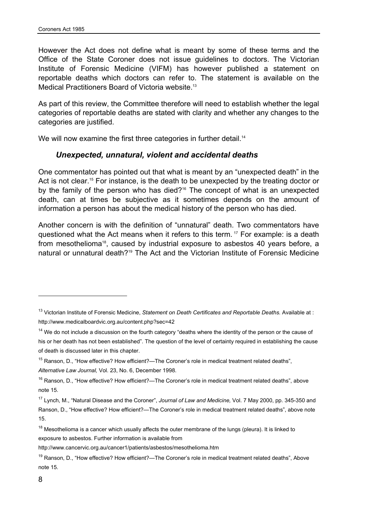However the Act does not define what is meant by some of these terms and the Office of the State Coroner does not issue guidelines to doctors. The Victorian Institute of Forensic Medicine (VIFM) has however published a statement on reportable deaths which doctors can refer to. The statement is available on the Medical Practitioners Board of Victoria website.<sup>13</sup>

As part of this review, the Committee therefore will need to establish whether the legal categories of reportable deaths are stated with clarity and whether any changes to the categories are justified.

We will now examine the first three categories in further detail.<sup>14</sup>

## *Unexpected, unnatural, violent and accidental deaths*

One commentator has pointed out that what is meant by an "unexpected death" in the Act is not clear.<sup>15</sup> For instance, is the death to be unexpected by the treating doctor or by the family of the person who has died?<sup>16</sup> The concept of what is an unexpected death, can at times be subjective as it sometimes depends on the amount of information a person has about the medical history of the person who has died.

Another concern is with the definition of "unnatural" death. Two commentators have questioned what the Act means when it refers to this term. 17 For example: is a death from mesothelioma<sup>18</sup>, caused by industrial exposure to asbestos 40 years before, a natural or unnatural death?<sup>19</sup> The Act and the Victorian Institute of Forensic Medicine

http://www.cancervic.org.au/cancer1/patients/asbestos/mesothelioma.htm

<sup>&</sup>lt;sup>13</sup> Victorian Institute of Forensic Medicine, *Statement on Death Certificates and Reportable Deaths.* Available at : http://www.medicalboardvic.org.au/content.php?sec=42

 $14$  We do not include a discussion on the fourth category "deaths where the identity of the person or the cause of his or her death has not been established". The question of the level of certainty required in establishing the cause of death is discussed later in this chapter.

<sup>&</sup>lt;sup>15</sup> Ranson, D., "How effective? How efficient?—The Coroner's role in medical treatment related deaths", *Alternative Law Journal,* Vol. 23, No. 6, December 1998.

<sup>&</sup>lt;sup>16</sup> Ranson, D., "How effective? How efficient?—The Coroner's role in medical treatment related deaths", above note 15.

<sup>17</sup> Lynch, M., "Natural Disease and the Coroner", *Journal of Law and Medicine,* Vol. 7 May 2000, pp. 345-350 and Ranson, D., "How effective? How efficient?—The Coroner's role in medical treatment related deaths", above note 15.

 $18$  Mesothelioma is a cancer which usually affects the outer membrane of the lungs (pleura). It is linked to exposure to asbestos. Further information is available from

<sup>&</sup>lt;sup>19</sup> Ranson, D., "How effective? How efficient?—The Coroner's role in medical treatment related deaths", Above note 15.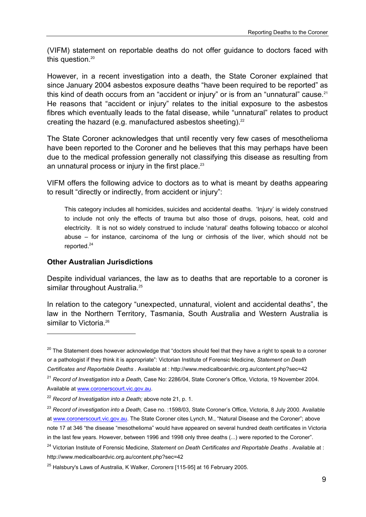(VIFM) statement on reportable deaths do not offer guidance to doctors faced with this question.<sup>20</sup>

However, in a recent investigation into a death, the State Coroner explained that since January 2004 asbestos exposure deaths "have been required to be reported" as this kind of death occurs from an "accident or injury" or is from an "unnatural" cause.<sup>21</sup> He reasons that "accident or injury" relates to the initial exposure to the asbestos fibres which eventually leads to the fatal disease, while "unnatural" relates to product creating the hazard (e.g. manufactured asbestos sheeting). $22$ 

The State Coroner acknowledges that until recently very few cases of mesothelioma have been reported to the Coroner and he believes that this may perhaps have been due to the medical profession generally not classifying this disease as resulting from an unnatural process or injury in the first place.<sup>23</sup>

VIFM offers the following advice to doctors as to what is meant by deaths appearing to result "directly or indirectly, from accident or injury":

This category includes all homicides, suicides and accidental deaths. 'Injury' is widely construed to include not only the effects of trauma but also those of drugs, poisons, heat, cold and electricity. It is not so widely construed to include 'natural' deaths following tobacco or alcohol abuse – for instance, carcinoma of the lung or cirrhosis of the liver, which should not be reported.24

#### **Other Australian Jurisdictions**

l

Despite individual variances, the law as to deaths that are reportable to a coroner is similar throughout Australia.<sup>25</sup>

In relation to the category "unexpected, unnatural, violent and accidental deaths", the law in the Northern Territory, Tasmania, South Australia and Western Australia is similar to Victoria.<sup>26</sup>

 $20$  The Statement does however acknowledge that "doctors should feel that they have a right to speak to a coroner or a pathologist if they think it is appropriate": Victorian Institute of Forensic Medicine, *Statement on Death Certificates and Reportable Deaths .* Available at : http://www.medicalboardvic.org.au/content.php?sec=42

<sup>21</sup> *Record of Investigation into a Death*, Case No: 2286/04, State Coroner's Office, Victoria, 19 November 2004. Available at www.coronerscourt.vic.gov.au.

<sup>22</sup> *Record of Investigation into a Death;* above note 21, p. 1.

<sup>23</sup> *Record of investigation into a Death,* Case no. :1598/03, State Coroner's Office, Victoria, 8 July 2000. Available at www.coronerscourt.vic.gov.au. The State Coroner cites Lynch, M., "Natural Disease and the Coroner"; above note 17 at 346 "the disease "mesothelioma" would have appeared on several hundred death certificates in Victoria in the last few years. However, between 1996 and 1998 only three deaths (...) were reported to the Coroner".

<sup>&</sup>lt;sup>24</sup> Victorian Institute of Forensic Medicine, Statement on Death Certificates and Reportable Deaths . Available at : http://www.medicalboardvic.org.au/content.php?sec=42

<sup>25</sup> Halsbury's Laws of Australia, K Walker, *Coroners* [115-95] at 16 February 2005.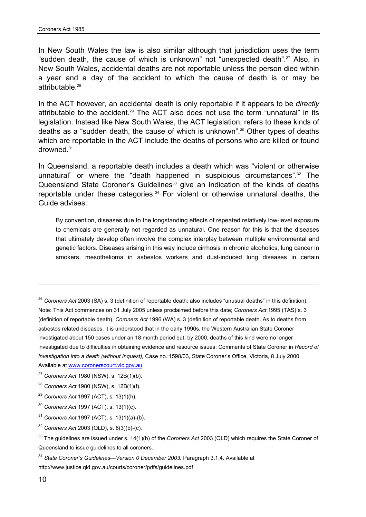In New South Wales the law is also similar although that jurisdiction uses the term "sudden death, the cause of which is unknown" not "unexpected death".<sup>27</sup> Also, in New South Wales, accidental deaths are not reportable unless the person died within a year and a day of the accident to which the cause of death is or may be attributable.<sup>28</sup>

In the ACT however, an accidental death is only reportable if it appears to be *directly*  attributable to the accident.<sup>29</sup> The ACT also does not use the term "unnatural" in its legislation. Instead like New South Wales, the ACT legislation, refers to these kinds of deaths as a "sudden death, the cause of which is unknown".30 Other types of deaths which are reportable in the ACT include the deaths of persons who are killed or found drowned.31

In Queensland, a reportable death includes a death which was "violent or otherwise unnatural" or where the "death happened in suspicious circumstances".<sup>32</sup> The Queensland State Coroner's Guidelines<sup>33</sup> give an indication of the kinds of deaths reportable under these categories.<sup>34</sup> For violent or otherwise unnatural deaths, the Guide advises:

By convention, diseases due to the longstanding effects of repeated relatively low-level exposure to chemicals are generally not regarded as unnatural. One reason for this is that the diseases that ultimately develop often involve the complex interplay between multiple environmental and genetic factors. Diseases arising in this way include cirrhosis in chronic alcoholics, lung cancer in smokers, mesothelioma in asbestos workers and dust-induced lung diseases in certain

<sup>26</sup> *Coroners Act* 2003 (SA) s. 3 (definition of reportable death: also includes "unusual deaths" in this definition), Note: This Act commences on 31 July 2005 unless proclaimed before this date; *Coroners Act* 1995 (TAS) s. 3 (definition of reportable death), *Coroners Act* 1996 (WA) s. 3 (definition of reportable death. As to deaths from asbestos related diseases, it is understood that in the early 1990s, the Western Australian State Coroner investigated about 150 cases under an 18 month period but, by 2000, deaths of this kind were no longer investigated due to difficulties in obtaining evidence and resource issues: Comments of State Coroner in *Record of investigation into a death (without Inquest),* Case no.:1598/03, State Coroner's Office, Victoria, 8 July 2000.

Available at www.coronerscourt.vic.gov.au

- <sup>27</sup> *Coroners Act* 1980 (NSW), s. 12B(1)(b).
- <sup>28</sup> *Coroners Act* 1980 (NSW), s. 12B(1)(f).
- <sup>29</sup> *Coroners Act* 1997 (ACT), s. 13(1)(h).
- <sup>30</sup> *Coroners Act* 1997 (ACT), s. 13(1)(c).
- <sup>31</sup> *Coroners Act* 1997 (ACT), s. 13(1)(a)-(b).
- <sup>32</sup> *Coroners Act* 2003 (QLD), s. 8(3)(b)-(c).

<sup>34</sup> State Coroner's Guidelines—Version 0 December 2003. Paragraph 3.1.4. Available at http://www.justice.qld.gov.au/courts/coroner/pdfs/guidelines.pdf

<sup>33</sup> The guidelines are issued under s. 14(1)(b) of the *Coroners Act* 2003 (QLD) which requires the State Coroner of Queensland to issue guidelines to all coroners.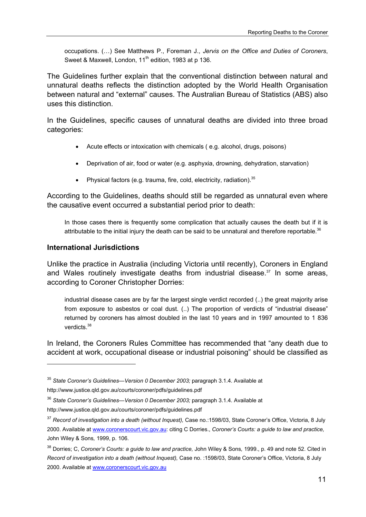occupations. (…) See Matthews P., Foreman J., *Jervis on the Office and Duties of Coroners*, Sweet & Maxwell, London,  $11<sup>th</sup>$  edition, 1983 at p 136.

The Guidelines further explain that the conventional distinction between natural and unnatural deaths reflects the distinction adopted by the World Health Organisation between natural and "external" causes. The Australian Bureau of Statistics (ABS) also uses this distinction.

In the Guidelines, specific causes of unnatural deaths are divided into three broad categories:

- Acute effects or intoxication with chemicals ( e.g. alcohol, drugs, poisons)
- Deprivation of air, food or water (e.g. asphyxia, drowning, dehydration, starvation)
- Physical factors (e.g. trauma, fire, cold, electricity, radiation).  $35$

According to the Guidelines, deaths should still be regarded as unnatural even where the causative event occurred a substantial period prior to death:

In those cases there is frequently some complication that actually causes the death but if it is attributable to the initial injury the death can be said to be unnatural and therefore reportable. $36$ 

#### **International Jurisdictions**

 $\overline{a}$ 

Unlike the practice in Australia (including Victoria until recently), Coroners in England and Wales routinely investigate deaths from industrial disease. $37$  In some areas, according to Coroner Christopher Dorries:

industrial disease cases are by far the largest single verdict recorded (..) the great majority arise from exposure to asbestos or coal dust. (..) The proportion of verdicts of "industrial disease" returned by coroners has almost doubled in the last 10 years and in 1997 amounted to 1 836 verdicts.38

In Ireland, the Coroners Rules Committee has recommended that "any death due to accident at work, occupational disease or industrial poisoning" should be classified as

<sup>35</sup> *State Coroner's Guidelines—Version 0 December 2003;* paragraph 3.1.4. Available at http://www.justice.qld.gov.au/courts/coroner/pdfs/guidelines.pdf

<sup>36</sup> *State Coroner's Guidelines—Version 0 December 2003;* paragraph 3.1.4. Available at

http://www.justice.qld.gov.au/courts/coroner/pdfs/guidelines.pdf

<sup>37</sup> *Record of investigation into a death (without Inquest),* Case no.:1598/03, State Coroner's Office, Victoria, 8 July 2000. Available at www.coronerscourt.vic.gov.au: citing C Dorries., *Coroner's Courts: a guide to law and practice,*  John Wiley & Sons*,* 1999, p. 106.

<sup>38</sup> Dorries; C, *Coroner's Courts: a guide to law and practice,* John Wiley & Sons*,* 1999., p. 49 and note 52. Cited in *Record of investigation into a death (without Inquest),* Case no. :1598/03, State Coroner's Office, Victoria, 8 July 2000. Available at www.coronerscourt.vic.gov.au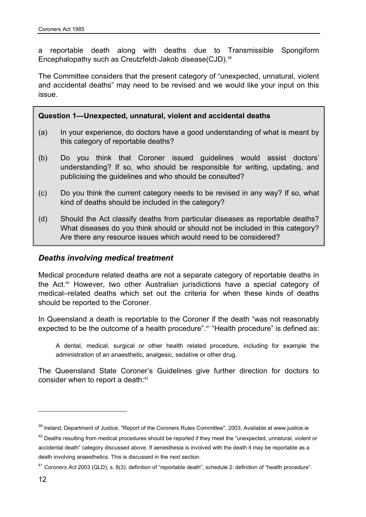a reportable death along with deaths due to Transmissible Spongiform Encephalopathy such as Creutzfeldt-Jakob disease(CJD).<sup>39</sup>

The Committee considers that the present category of "unexpected, unnatural, violent and accidental deaths" may need to be revised and we would like your input on this issue.

### **Question 1—Unexpected, unnatural, violent and accidental deaths**

- (a) In your experience, do doctors have a good understanding of what is meant by this category of reportable deaths?
- (b) Do you think that Coroner issued guidelines would assist doctors' understanding? If so, who should be responsible for writing, updating, and publicising the guidelines and who should be consulted?
- (c) Do you think the current category needs to be revised in any way? If so, what kind of deaths should be included in the category?
- (d) Should the Act classify deaths from particular diseases as reportable deaths? What diseases do you think should or should not be included in this category? Are there any resource issues which would need to be considered?

### *Deaths involving medical treatment*

Medical procedure related deaths are not a separate category of reportable deaths in the Act.40 However, two other Australian jurisdictions have a special category of medical–related deaths which set out the criteria for when these kinds of deaths should be reported to the Coroner.

In Queensland a death is reportable to the Coroner if the death "was not reasonably expected to be the outcome of a health procedure".<sup>41</sup> "Health procedure" is defined as:

A dental, medical, surgical or other health related procedure, including for example the administration of an anaesthetic, analgesic, sedative or other drug.

The Queensland State Coroner's Guidelines give further direction for doctors to consider when to report a death:<sup>42</sup>

<sup>&</sup>lt;sup>39</sup> Ireland, Department of Justice, "Report of the Coroners Rules Committee", 2003. Available at www.justice.ie

<sup>&</sup>lt;sup>40</sup> Deaths resulting from medical procedures should be reported if they meet the "unexpected, unnatural, violent or accidental death" category discussed above. If aenesthesia is involved with the death it may be reportable as a death involving anaesthetics. This is discussed in the next section.

<sup>41</sup> *Coroners Act* 2003 (QLD); s. 8(3): definition of "reportable death", schedule 2: definition of "health procedure".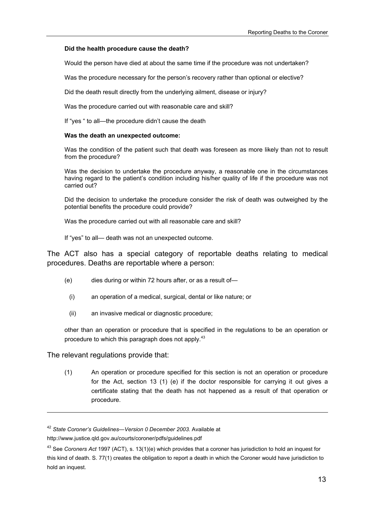#### **Did the health procedure cause the death?**

Would the person have died at about the same time if the procedure was not undertaken?

Was the procedure necessary for the person's recovery rather than optional or elective?

Did the death result directly from the underlying ailment, disease or injury?

Was the procedure carried out with reasonable care and skill?

If "yes " to all—the procedure didn't cause the death

#### **Was the death an unexpected outcome:**

Was the condition of the patient such that death was foreseen as more likely than not to result from the procedure?

Was the decision to undertake the procedure anyway, a reasonable one in the circumstances having regard to the patient's condition including his/her quality of life if the procedure was not carried out?

Did the decision to undertake the procedure consider the risk of death was outweighed by the potential benefits the procedure could provide?

Was the procedure carried out with all reasonable care and skill?

If "yes" to all— death was not an unexpected outcome.

The ACT also has a special category of reportable deaths relating to medical procedures. Deaths are reportable where a person:

- (e) dies during or within 72 hours after, or as a result of—
	- (i) an operation of a medical, surgical, dental or like nature; or
	- (ii) an invasive medical or diagnostic procedure;

other than an operation or procedure that is specified in the regulations to be an operation or procedure to which this paragraph does not apply.<sup>43</sup>

The relevant regulations provide that:

l

(1) An operation or procedure specified for this section is not an operation or procedure for the Act, section 13 (1) (e) if the doctor responsible for carrying it out gives a certificate stating that the death has not happened as a result of that operation or procedure.

<sup>42</sup> *State Coroner's Guidelines—Version 0 December 2003.* Available at

http://www.justice.qld.gov.au/courts/coroner/pdfs/guidelines.pdf

<sup>43</sup> See *Coroners Act* 1997 (ACT), s. 13(1)(e) which provides that a coroner has jurisdiction to hold an inquest for this kind of death. S. 77(1) creates the obligation to report a death in which the Coroner would have jurisdiction to hold an inquest.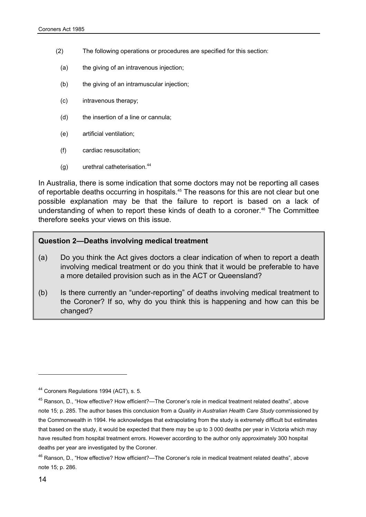- (2) The following operations or procedures are specified for this section:
	- (a) the giving of an intravenous injection;
	- (b) the giving of an intramuscular injection;
	- (c) intravenous therapy;
	- (d) the insertion of a line or cannula;
	- (e) artificial ventilation;
	- (f) cardiac resuscitation;
	- (g) urethral catheterisation.<sup>44</sup>

In Australia, there is some indication that some doctors may not be reporting all cases of reportable deaths occurring in hospitals.<sup>45</sup> The reasons for this are not clear but one possible explanation may be that the failure to report is based on a lack of understanding of when to report these kinds of death to a coroner.<sup>46</sup> The Committee therefore seeks your views on this issue.

#### **Question 2—Deaths involving medical treatment**

- (a) Do you think the Act gives doctors a clear indication of when to report a death involving medical treatment or do you think that it would be preferable to have a more detailed provision such as in the ACT or Queensland?
- (b) Is there currently an "under-reporting" of deaths involving medical treatment to the Coroner? If so, why do you think this is happening and how can this be changed?

<sup>44</sup> Coroners Regulations 1994 (ACT), s. 5.

<sup>45</sup> Ranson, D., "How effective? How efficient?—The Coroner's role in medical treatment related deaths", above note 15; p. 285. The author bases this conclusion from a *Quality in Australian Health Care Study* commissioned by the Commonwealth in 1994. He acknowledges that extrapolating from the study is extremely difficult but estimates that based on the study, it would be expected that there may be up to 3 000 deaths per year in Victoria which may have resulted from hospital treatment errors. However according to the author only approximately 300 hospital deaths per year are investigated by the Coroner.

<sup>46</sup> Ranson, D., "How effective? How efficient?—The Coroner's role in medical treatment related deaths", above note 15; p. 286.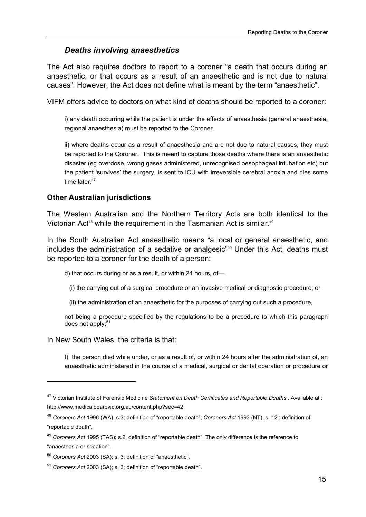## *Deaths involving anaesthetics*

The Act also requires doctors to report to a coroner "a death that occurs during an anaesthetic; or that occurs as a result of an anaesthetic and is not due to natural causes". However, the Act does not define what is meant by the term "anaesthetic".

VIFM offers advice to doctors on what kind of deaths should be reported to a coroner:

i) any death occurring while the patient is under the effects of anaesthesia (general anaesthesia, regional anaesthesia) must be reported to the Coroner.

ii) where deaths occur as a result of anaesthesia and are not due to natural causes, they must be reported to the Coroner. This is meant to capture those deaths where there is an anaesthetic disaster (eg overdose, wrong gases administered, unrecognised oesophageal intubation etc) but the patient 'survives' the surgery, is sent to ICU with irreversible cerebral anoxia and dies some time later  $47$ 

### **Other Australian jurisdictions**

The Western Australian and the Northern Territory Acts are both identical to the Victorian Act<sup>48</sup> while the requirement in the Tasmanian Act is similar.<sup>49</sup>

In the South Australian Act anaesthetic means "a local or general anaesthetic, and includes the administration of a sedative or analgesic<sup>"50</sup> Under this Act, deaths must be reported to a coroner for the death of a person:

d) that occurs during or as a result, or within 24 hours, of—

(i) the carrying out of a surgical procedure or an invasive medical or diagnostic procedure; or

(ii) the administration of an anaesthetic for the purposes of carrying out such a procedure,

not being a procedure specified by the regulations to be a procedure to which this paragraph does not apply; $51$ 

In New South Wales, the criteria is that:

l

f) the person died while under, or as a result of, or within 24 hours after the administration of, an anaesthetic administered in the course of a medical, surgical or dental operation or procedure or

<sup>47</sup> Victorian Institute of Forensic Medicine *Statement on Death Certificates and Reportable Deaths .* Available at : http://www.medicalboardvic.org.au/content.php?sec=42

<sup>48</sup> *Coroners Act* 1996 (WA), s.3; definition of "reportable death"; *Coroners Act* 1993 (NT), s. 12.: definition of "reportable death".

<sup>49</sup> *Coroners Act* 1995 (TAS); s.2; definition of "reportable death". The only difference is the reference to "anaesthesia or sedation".

<sup>50</sup> *Coroners Act* 2003 (SA); s. 3; definition of "anaesthetic".

<sup>51</sup> *Coroners Act* 2003 (SA); s. 3; definition of "reportable death".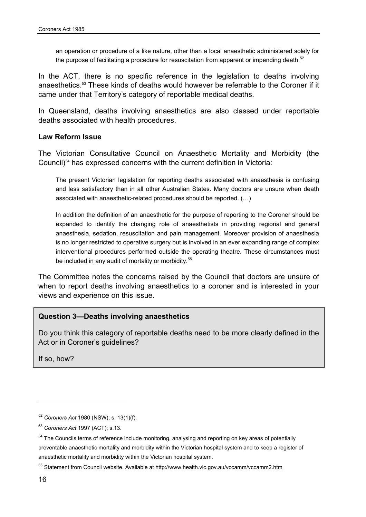an operation or procedure of a like nature, other than a local anaesthetic administered solely for the purpose of facilitating a procedure for resuscitation from apparent or impending death.<sup>52</sup>

In the ACT, there is no specific reference in the legislation to deaths involving anaesthetics.53 These kinds of deaths would however be referrable to the Coroner if it came under that Territory's category of reportable medical deaths.

In Queensland, deaths involving anaesthetics are also classed under reportable deaths associated with health procedures.

#### **Law Reform Issue**

The Victorian Consultative Council on Anaesthetic Mortality and Morbidity (the Council)54 has expressed concerns with the current definition in Victoria:

The present Victorian legislation for reporting deaths associated with anaesthesia is confusing and less satisfactory than in all other Australian States. Many doctors are unsure when death associated with anaesthetic-related procedures should be reported. (…)

In addition the definition of an anaesthetic for the purpose of reporting to the Coroner should be expanded to identify the changing role of anaesthetists in providing regional and general anaesthesia, sedation, resuscitation and pain management. Moreover provision of anaesthesia is no longer restricted to operative surgery but is involved in an ever expanding range of complex interventional procedures performed outside the operating theatre. These circumstances must be included in any audit of mortality or morbidity.<sup>55</sup>

The Committee notes the concerns raised by the Council that doctors are unsure of when to report deaths involving anaesthetics to a coroner and is interested in your views and experience on this issue.

#### **Question 3—Deaths involving anaesthetics**

Do you think this category of reportable deaths need to be more clearly defined in the Act or in Coroner's guidelines?

If so, how?

 $\overline{a}$ 

<sup>52</sup> *Coroners Act* 1980 (NSW); s. 13(1)(f).

<sup>53</sup> *Coroners Act* 1997 (ACT); s.13.

<sup>&</sup>lt;sup>54</sup> The Councils terms of reference include monitoring, analysing and reporting on key areas of potentially preventable anaesthetic mortality and morbidity within the Victorian hospital system and to keep a register of anaesthetic mortality and morbidity within the Victorian hospital system.

<sup>55</sup> Statement from Council website. Available at http://www.health.vic.gov.au/vccamm/vccamm2.htm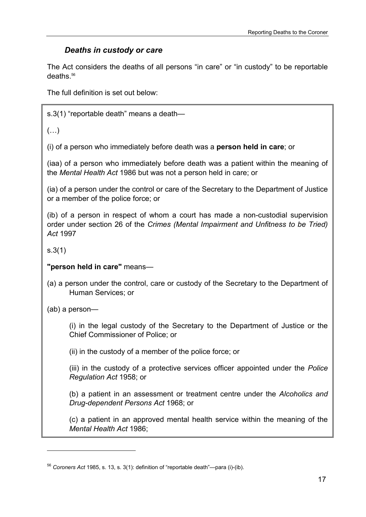## *Deaths in custody or care*

The Act considers the deaths of all persons "in care" or "in custody" to be reportable deaths $56$ 

The full definition is set out below:

s.3(1) "reportable death" means a death—

 $(\ldots)$ 

(i) of a person who immediately before death was a **person held in care**; or

(iaa) of a person who immediately before death was a patient within the meaning of the *Mental Health Act* 1986 but was not a person held in care; or

(ia) of a person under the control or care of the Secretary to the Department of Justice or a member of the police force; or

(ib) of a person in respect of whom a court has made a non-custodial supervision order under section 26 of the *Crimes (Mental Impairment and Unfitness to be Tried) Act* 1997

s.3(1)

l

**"person held in care"** means—

(a) a person under the control, care or custody of the Secretary to the Department of Human Services; or

(ab) a person—

 (i) in the legal custody of the Secretary to the Department of Justice or the Chief Commissioner of Police; or

(ii) in the custody of a member of the police force; or

 (iii) in the custody of a protective services officer appointed under the *Police Regulation Act* 1958; or

 (b) a patient in an assessment or treatment centre under the *Alcoholics and Drug-dependent Persons Act* 1968; or

 (c) a patient in an approved mental health service within the meaning of the *Mental Health Act* 1986;

<sup>56</sup> *Coroners Act* 1985, s. 13, s. 3(1): definition of "reportable death"—para (i)-(ib).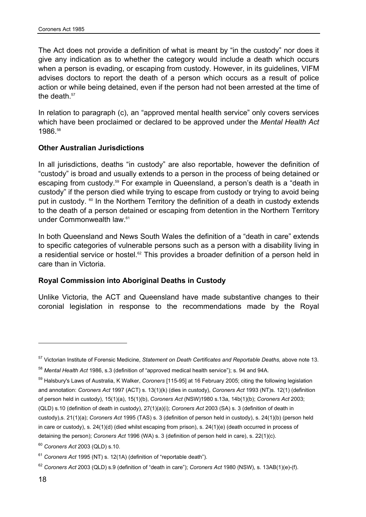The Act does not provide a definition of what is meant by "in the custody" nor does it give any indication as to whether the category would include a death which occurs when a person is evading, or escaping from custody. However, in its guidelines, VIFM advises doctors to report the death of a person which occurs as a result of police action or while being detained, even if the person had not been arrested at the time of the death.<sup>57</sup>

In relation to paragraph (c), an "approved mental health service" only covers services which have been proclaimed or declared to be approved under the *Mental Health Act*  1986.58

### **Other Australian Jurisdictions**

In all jurisdictions, deaths "in custody" are also reportable, however the definition of "custody" is broad and usually extends to a person in the process of being detained or escaping from custody.59 For example in Queensland, a person's death is a "death in custody" if the person died while trying to escape from custody or trying to avoid being put in custody. <sup>60</sup> In the Northern Territory the definition of a death in custody extends to the death of a person detained or escaping from detention in the Northern Territory under Commonwealth law.<sup>61</sup>

In both Queensland and News South Wales the definition of a "death in care" extends to specific categories of vulnerable persons such as a person with a disability living in a residential service or hostel.<sup>62</sup> This provides a broader definition of a person held in care than in Victoria.

#### **Royal Commission into Aboriginal Deaths in Custody**

Unlike Victoria, the ACT and Queensland have made substantive changes to their coronial legislation in response to the recommendations made by the Royal

<sup>57</sup> Victorian Institute of Forensic Medicine, *Statement on Death Certificates and Reportable Deaths,* above note 13.

<sup>58</sup> *Mental Health Act* 1986, s.3 (definition of "approved medical health service"); s. 94 and 94A.

<sup>59</sup> Halsbury's Laws of Australia, K Walker, *Coroners* [115-95] at 16 February 2005; citing the following legislation and annotation: *Coroners Act* 1997 (ACT) s. 13(1)(k) (dies in custody), *Coroners Act* 1993 (NT)s. 12(1) (definition of person held in custody), 15(1)(a), 15(1)(b), *Coroners Act* (NSW)1980 s.13a, 14b(1)(b); *Coroners Act* 2003; (QLD) s.10 (definition of death in custody), 27(1)(a)(i); *Coroners Act* 2003 (SA) s. 3 (definition of death in custody),s. 21(1)(a); *Coroners Act* 1995 (TAS) s. 3 (definition of person held in custody), s. 24(1)(b) (person held in care or custody), s. 24(1)(d) (died whilst escaping from prison), s. 24(1)(e) (death occurred in process of detaining the person); *Coroners Act* 1996 (WA) s. 3 (definition of person held in care), s. 22(1)(c).

<sup>60</sup> *Coroners Act* 2003 (QLD) s.10.

<sup>61</sup> *Coroners Act* 1995 (NT) s. 12(1A) (definition of "reportable death").

<sup>62</sup> *Coroners Act* 2003 (QLD) s.9 (definition of "death in care"); *Coroners Act* 1980 (NSW), s. 13AB(1)(e)-(f).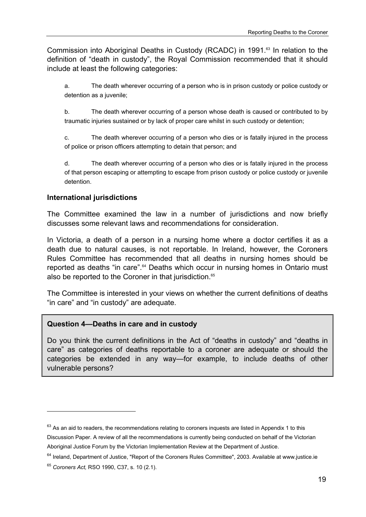Commission into Aboriginal Deaths in Custody (RCADC) in 1991.<sup>63</sup> In relation to the definition of "death in custody", the Royal Commission recommended that it should include at least the following categories:

a. The death wherever occurring of a person who is in prison custody or police custody or detention as a juvenile;

b. The death wherever occurring of a person whose death is caused or contributed to by traumatic injuries sustained or by lack of proper care whilst in such custody or detention;

c. The death wherever occurring of a person who dies or is fatally injured in the process of police or prison officers attempting to detain that person; and

d. The death wherever occurring of a person who dies or is fatally injured in the process of that person escaping or attempting to escape from prison custody or police custody or juvenile detention.

#### **International jurisdictions**

The Committee examined the law in a number of jurisdictions and now briefly discusses some relevant laws and recommendations for consideration.

In Victoria, a death of a person in a nursing home where a doctor certifies it as a death due to natural causes, is not reportable. In Ireland, however, the Coroners Rules Committee has recommended that all deaths in nursing homes should be reported as deaths "in care".<sup>64</sup> Deaths which occur in nursing homes in Ontario must also be reported to the Coroner in that jurisdiction.<sup>65</sup>

The Committee is interested in your views on whether the current definitions of deaths "in care" and "in custody" are adequate.

#### **Question 4—Deaths in care and in custody**

Do you think the current definitions in the Act of "deaths in custody" and "deaths in care" as categories of deaths reportable to a coroner are adequate or should the categories be extended in any way—for example, to include deaths of other vulnerable persons?

 $63$  As an aid to readers, the recommendations relating to coroners inquests are listed in Appendix 1 to this Discussion Paper. A review of all the recommendations is currently being conducted on behalf of the Victorian Aboriginal Justice Forum by the Victorian Implementation Review at the Department of Justice.

 $64$  Ireland, Department of Justice, "Report of the Coroners Rules Committee", 2003. Available at www.justice.ie

<sup>65</sup> *Coroners Act,* RSO 1990, C37, s. 10 (2.1).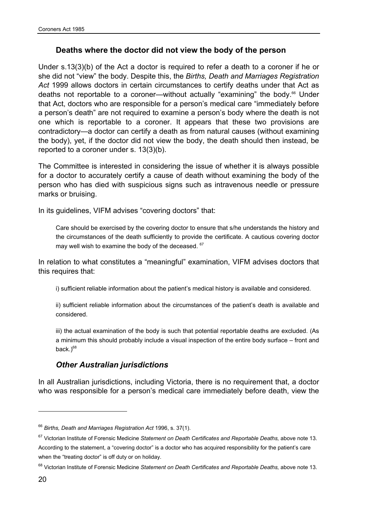### **Deaths where the doctor did not view the body of the person**

Under s.13(3)(b) of the Act a doctor is required to refer a death to a coroner if he or she did not "view" the body. Despite this, the *Births, Death and Marriages Registration Act* 1999 allows doctors in certain circumstances to certify deaths under that Act as deaths not reportable to a coroner—without actually "examining" the body.<sup>66</sup> Under that Act, doctors who are responsible for a person's medical care "immediately before a person's death" are not required to examine a person's body where the death is not one which is reportable to a coroner. It appears that these two provisions are contradictory—a doctor can certify a death as from natural causes (without examining the body), yet, if the doctor did not view the body, the death should then instead, be reported to a coroner under s. 13(3)(b).

The Committee is interested in considering the issue of whether it is always possible for a doctor to accurately certify a cause of death without examining the body of the person who has died with suspicious signs such as intravenous needle or pressure marks or bruising.

In its guidelines, VIFM advises "covering doctors" that:

Care should be exercised by the covering doctor to ensure that s/he understands the history and the circumstances of the death sufficiently to provide the certificate. A cautious covering doctor may well wish to examine the body of the deceased. <sup>67</sup>

In relation to what constitutes a "meaningful" examination, VIFM advises doctors that this requires that:

i) sufficient reliable information about the patient's medical history is available and considered.

ii) sufficient reliable information about the circumstances of the patient's death is available and considered.

iii) the actual examination of the body is such that potential reportable deaths are excluded. (As a minimum this should probably include a visual inspection of the entire body surface – front and back. $)^{68}$ 

### *Other Australian jurisdictions*

In all Australian jurisdictions, including Victoria, there is no requirement that, a doctor who was responsible for a person's medical care immediately before death, view the

<sup>66</sup> *Births, Death and Marriages Registration Act* 1996, s. 37(1).

<sup>67</sup> Victorian Institute of Forensic Medicine *Statement on Death Certificates and Reportable Deaths,* above note 13. According to the statement, a "covering doctor" is a doctor who has acquired responsibility for the patient's care when the "treating doctor" is off duty or on holiday.

<sup>68</sup> Victorian Institute of Forensic Medicine *Statement on Death Certificates and Reportable Deaths,* above note 13.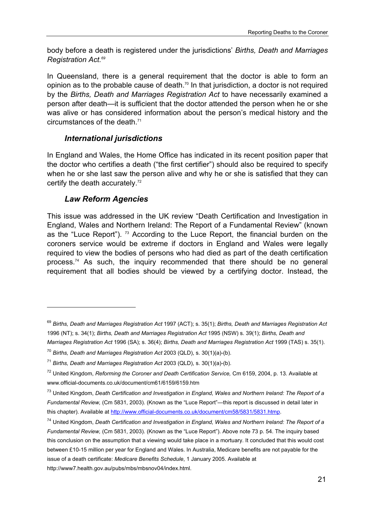body before a death is registered under the jurisdictions' *Births, Death and Marriages Registration Act.69*

In Queensland, there is a general requirement that the doctor is able to form an opinion as to the probable cause of death.<sup>70</sup> In that jurisdiction, a doctor is not required by the *Births, Death and Marriages Registration Act* to have necessarily examined a person after death—it is sufficient that the doctor attended the person when he or she was alive or has considered information about the person's medical history and the circumstances of the death.<sup>71</sup>

## *International jurisdictions*

In England and Wales, the Home Office has indicated in its recent position paper that the doctor who certifies a death ("the first certifier") should also be required to specify when he or she last saw the person alive and why he or she is satisfied that they can certify the death accurately.<sup>72</sup>

## *Law Reform Agencies*

l

This issue was addressed in the UK review "Death Certification and Investigation in England, Wales and Northern Ireland: The Report of a Fundamental Review" (known as the "Luce Report"). <sup>73</sup> According to the Luce Report, the financial burden on the coroners service would be extreme if doctors in England and Wales were legally required to view the bodies of persons who had died as part of the death certification process.<sup>74</sup> As such, the inquiry recommended that there should be no general requirement that all bodies should be viewed by a certifying doctor. Instead, the

<sup>69</sup> *Births, Death and Marriages Registration Act* 1997 (ACT); s. 35(1); *Births, Death and Marriages Registration Act*  1996 (NT); s. 34(1); *Births, Death and Marriages Registration Act* 1995 (NSW) s. 39(1); *Births, Death and Marriages Registration Act* 1996 (SA); s. 36(4); *Births, Death and Marriages Registration Act* 1999 (TAS) s. 35(1).

<sup>70</sup> *Births, Death and Marriages Registration Act* 2003 (QLD), s. 30(1)(a)-(b).

<sup>71</sup> *Births, Death and Marriages Registration Act* 2003 (QLD), s. 30(1)(a)-(b).

<sup>72</sup> United Kingdom, *Reforming the Coroner and Death Certification Service,* Cm 6159, 2004, p. 13*.* Available at www.official-documents.co.uk/document/cm61/6159/6159.htm

<sup>73</sup> United Kingdom, *Death Certification and Investigation in England, Wales and Northern Ireland: The Report of a Fundamental Review,* (Cm 5831, 2003). (Known as the "Luce Report"—this report is discussed in detail later in this chapter). Available at http://www.official-documents.co.uk/document/cm58/5831/5831.htmp.

<sup>74</sup> United Kingdom, *Death Certification and Investigation in England, Wales and Northern Ireland: The Report of a Fundamental Review,* (Cm 5831, 2003). (Known as the "Luce Report"). Above note 73 p. 54. The inquiry based this conclusion on the assumption that a viewing would take place in a mortuary. It concluded that this would cost between £10-15 million per year for England and Wales. In Australia, Medicare benefits are not payable for the issue of a death certificate: *Medicare Benefits Schedule*, 1 January 2005. Available at http://www7.health.gov.au/pubs/mbs/mbsnov04/index.html.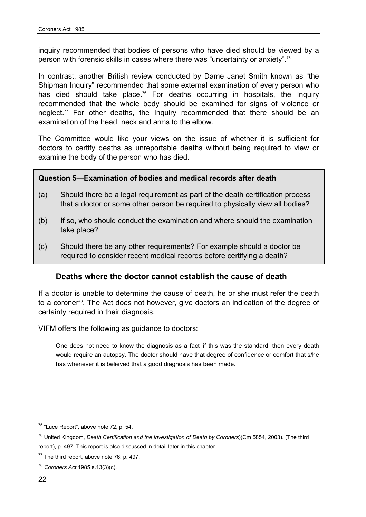inquiry recommended that bodies of persons who have died should be viewed by a person with forensic skills in cases where there was "uncertainty or anxiety".75

In contrast, another British review conducted by Dame Janet Smith known as "the Shipman Inquiry" recommended that some external examination of every person who has died should take place.<sup>76</sup> For deaths occurring in hospitals, the Inquiry recommended that the whole body should be examined for signs of violence or neglect.<sup>77</sup> For other deaths, the Inquiry recommended that there should be an examination of the head, neck and arms to the elbow.

The Committee would like your views on the issue of whether it is sufficient for doctors to certify deaths as unreportable deaths without being required to view or examine the body of the person who has died.

### **Question 5—Examination of bodies and medical records after death**

- (a) Should there be a legal requirement as part of the death certification process that a doctor or some other person be required to physically view all bodies?
- (b) If so, who should conduct the examination and where should the examination take place?
- (c) Should there be any other requirements? For example should a doctor be required to consider recent medical records before certifying a death?

### **Deaths where the doctor cannot establish the cause of death**

If a doctor is unable to determine the cause of death, he or she must refer the death to a coroner<sup>78</sup>. The Act does not however, give doctors an indication of the degree of certainty required in their diagnosis.

VIFM offers the following as guidance to doctors:

One does not need to know the diagnosis as a fact–if this was the standard, then every death would require an autopsy. The doctor should have that degree of confidence or comfort that s/he has whenever it is believed that a good diagnosis has been made.

 $\overline{a}$ 

<sup>&</sup>lt;sup>75</sup> "Luce Report", above note 72, p. 54.

<sup>76</sup> United Kingdom, *Death Certification and the Investigation of Death by Coroners*)(Cm 5854, 2003). (The third report), p. 497. This report is also discussed in detail later in this chapter.

 $77$  The third report, above note 76; p. 497.

<sup>78</sup> *Coroners Act* 1985 s.13(3)(c).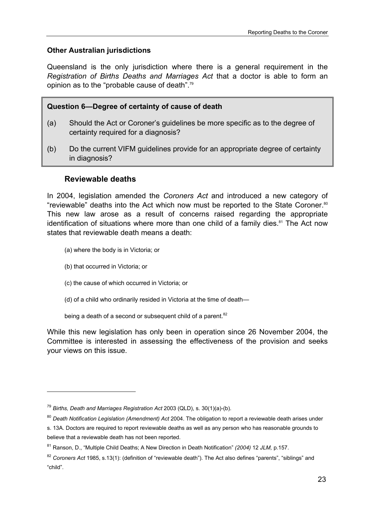### **Other Australian jurisdictions**

Queensland is the only jurisdiction where there is a general requirement in the *Registration of Births Deaths and Marriages Act* that a doctor is able to form an opinion as to the "probable cause of death".79

### **Question 6—Degree of certainty of cause of death**

- (a) Should the Act or Coroner's guidelines be more specific as to the degree of certainty required for a diagnosis?
- (b) Do the current VIFM guidelines provide for an appropriate degree of certainty in diagnosis?

### **Reviewable deaths**

In 2004, legislation amended the *Coroners Act* and introduced a new category of "reviewable" deaths into the Act which now must be reported to the State Coroner.<sup>80</sup> This new law arose as a result of concerns raised regarding the appropriate identification of situations where more than one child of a family dies. $81$  The Act now states that reviewable death means a death:

- (a) where the body is in Victoria; or
- (b) that occurred in Victoria; or

 $\overline{a}$ 

- (c) the cause of which occurred in Victoria; or
- (d) of a child who ordinarily resided in Victoria at the time of death—

being a death of a second or subsequent child of a parent.<sup>82</sup>

While this new legislation has only been in operation since 26 November 2004, the Committee is interested in assessing the effectiveness of the provision and seeks your views on this issue.

<sup>79</sup> *Births, Death and Marriages Registration Act* 2003 (QLD), s. 30(1)(a)-(b).

<sup>80</sup> *Death Notification Legislation (Amendment) Act* 2004. The obligation to report a reviewable death arises under s. 13A. Doctors are required to report reviewable deaths as well as any person who has reasonable grounds to believe that a reviewable death has not been reported.

<sup>81</sup> Ranson, D., "Multiple Child Deaths; A New Direction in Death Notification" *(2004)* 12 *JLM,* p.157.

<sup>82</sup> *Coroners Act* 1985, s.13(1): (definition of "reviewable death"). The Act also defines "parents", "siblings" and "child".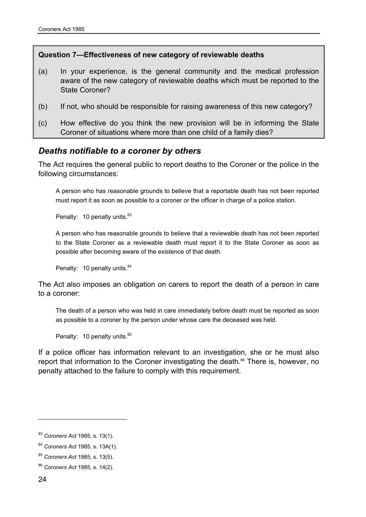#### **Question 7—Effectiveness of new category of reviewable deaths**

- (a) In your experience, is the general community and the medical profession aware of the new category of reviewable deaths which must be reported to the State Coroner?
- (b) If not, who should be responsible for raising awareness of this new category?
- (c) How effective do you think the new provision will be in informing the State Coroner of situations where more than one child of a family dies?

### *Deaths notifiable to a coroner by others*

The Act requires the general public to report deaths to the Coroner or the police in the following circumstances:

A person who has reasonable grounds to believe that a reportable death has not been reported must report it as soon as possible to a coroner or the officer in charge of a police station.

Penalty: 10 penalty units.<sup>83</sup>

A person who has reasonable grounds to believe that a reviewable death has not been reported to the State Coroner as a reviewable death must report it to the State Coroner as soon as possible after becoming aware of the existence of that death.

Penalty: 10 penalty units.<sup>84</sup>

The Act also imposes an obligation on carers to report the death of a person in care to a coroner:

The death of a person who was held in care immediately before death must be reported as soon as possible to a coroner by the person under whose care the deceased was held.

Penalty: 10 penalty units.<sup>85</sup>

If a police officer has information relevant to an investigation, she or he must also report that information to the Coroner investigating the death.<sup>86</sup> There is, however, no penalty attached to the failure to comply with this requirement.

<sup>83</sup> *Coroners Act* 1985, s. 13(1).

<sup>84</sup> *Coroners Act* 1985, s. 13A(1).

<sup>85</sup> *Coroners Act* 1985, s. 13(5).

<sup>86</sup> *Coroners Act* 1985, s. 14(2).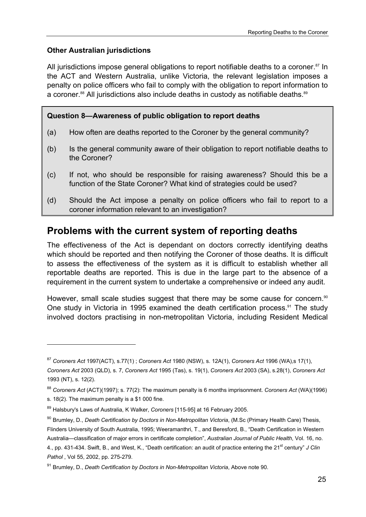## **Other Australian jurisdictions**

All jurisdictions impose general obligations to report notifiable deaths to a coroner.<sup>87</sup> In the ACT and Western Australia, unlike Victoria, the relevant legislation imposes a penalty on police officers who fail to comply with the obligation to report information to a coroner.<sup>88</sup> All jurisdictions also include deaths in custody as notifiable deaths.<sup>89</sup>

## **Question 8—Awareness of public obligation to report deaths**

- (a) How often are deaths reported to the Coroner by the general community?
- (b) Is the general community aware of their obligation to report notifiable deaths to the Coroner?
- (c) If not, who should be responsible for raising awareness? Should this be a function of the State Coroner? What kind of strategies could be used?
- (d) Should the Act impose a penalty on police officers who fail to report to a coroner information relevant to an investigation?

# **Problems with the current system of reporting deaths**

The effectiveness of the Act is dependant on doctors correctly identifying deaths which should be reported and then notifying the Coroner of those deaths. It is difficult to assess the effectiveness of the system as it is difficult to establish whether all reportable deaths are reported. This is due in the large part to the absence of a requirement in the current system to undertake a comprehensive or indeed any audit.

However, small scale studies suggest that there may be some cause for concern.<sup>90</sup> One study in Victoria in 1995 examined the death certification process.<sup>91</sup> The study involved doctors practising in non-metropolitan Victoria, including Resident Medical

<sup>87</sup> *Coroners Act* 1997(ACT), s.77(1) ; *Coroners Act* 1980 (NSW), s. 12A(1), *Coroners Act* 1996 (WA),s 17(1), *Coroners Act* 2003 (QLD), s. 7, *Coroners Act* 1995 (Tas), s. 19(1), *Coroners Act* 2003 (SA), s.28(1), *Coroners Act* 1993 (NT), s. 12(2).

<sup>88</sup> *Coroners Act* (ACT)(1997); s. 77(2): The maximum penalty is 6 months imprisonment. *Coroners Act* (WA)(1996)

s. 18(2). The maximum penalty is a \$1 000 fine.

<sup>89</sup> Halsbury's Laws of Australia, K Walker, *Coroners* [115-95] at 16 February 2005.

<sup>90</sup> Brumley, D., *Death Certification by Doctors in Non-Metropolitan Victoria*, (M.Sc (Primary Health Care) Thesis, Flinders University of South Australia, 1995; Weeramanthri, T., and Beresford, B., "Death Certification in Western Australia—classification of major errors in certificate completion", *Australian Journal of Public Health*, Vol. 16, no. 4., pp. 431-434. Swift, B., and West, K., "Death certification: an audit of practice entering the 21st century" *J Clin Pathol* , Vol 55, 2002, pp. 275-279.

<sup>91</sup> Brumley, D., *Death Certification by Doctors in Non-Metropolitan Victoria*, Above note 90.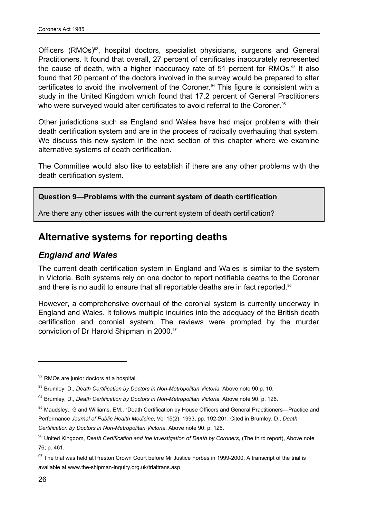Officers (RMOs)<sup>92</sup>, hospital doctors, specialist physicians, surgeons and General Practitioners. It found that overall, 27 percent of certificates inaccurately represented the cause of death, with a higher inaccuracy rate of 51 percent for RMOs.<sup>93</sup> It also found that 20 percent of the doctors involved in the survey would be prepared to alter certificates to avoid the involvement of the Coroner.<sup>94</sup> This figure is consistent with a study in the United Kingdom which found that 17.2 percent of General Practitioners who were surveyed would alter certificates to avoid referral to the Coroner.<sup>95</sup>

Other jurisdictions such as England and Wales have had major problems with their death certification system and are in the process of radically overhauling that system. We discuss this new system in the next section of this chapter where we examine alternative systems of death certification.

The Committee would also like to establish if there are any other problems with the death certification system.

### **Question 9—Problems with the current system of death certification**

Are there any other issues with the current system of death certification?

# **Alternative systems for reporting deaths**

## *England and Wales*

The current death certification system in England and Wales is similar to the system in Victoria. Both systems rely on one doctor to report notifiable deaths to the Coroner and there is no audit to ensure that all reportable deaths are in fact reported.<sup>96</sup>

However, a comprehensive overhaul of the coronial system is currently underway in England and Wales. It follows multiple inquiries into the adequacy of the British death certification and coronial system. The reviews were prompted by the murder conviction of Dr Harold Shipman in 2000.<sup>97</sup>

 $92$  RMOs are junior doctors at a hospital.

<sup>93</sup> Brumley, D., *Death Certification by Doctors in Non-Metropolitan Victoria*, Above note 90.p. 10.

<sup>94</sup> Brumley, D., *Death Certification by Doctors in Non-Metropolitan Victoria*, Above note 90. p. 126.

<sup>&</sup>lt;sup>95</sup> Maudsley., G and Williams, EM., "Death Certification by House Officers and General Practitioners—Practice and Performance *Journal of Public Health Medicine*, Vol 15(2), 1993, pp. 192-201*.* Cited in Brumley, D., *Death Certification by Doctors in Non-Metropolitan Victoria*, Above note 90. p. 126.

<sup>&</sup>lt;sup>96</sup> United Kingdom, *Death Certification and the Investigation of Death by Coroners,* (The third report), Above note 76; p. 461.

<sup>97</sup> The trial was held at Preston Crown Court before Mr Justice Forbes in 1999-2000. A transcript of the trial is available at www.the-shipman-inquiry.org.uk/trialtrans.asp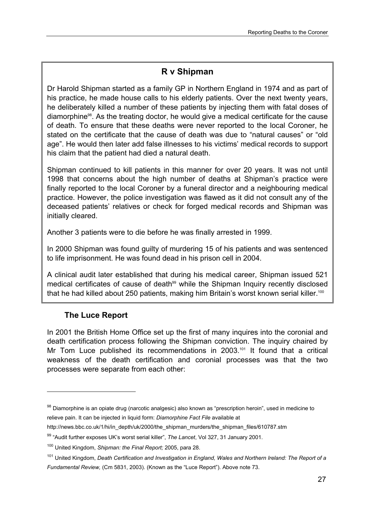# **R v Shipman**

Dr Harold Shipman started as a family GP in Northern England in 1974 and as part of his practice, he made house calls to his elderly patients. Over the next twenty years, he deliberately killed a number of these patients by injecting them with fatal doses of diamorphine98. As the treating doctor, he would give a medical certificate for the cause of death. To ensure that these deaths were never reported to the local Coroner, he stated on the certificate that the cause of death was due to "natural causes" or "old age". He would then later add false illnesses to his victims' medical records to support his claim that the patient had died a natural death.

Shipman continued to kill patients in this manner for over 20 years. It was not until 1998 that concerns about the high number of deaths at Shipman's practice were finally reported to the local Coroner by a funeral director and a neighbouring medical practice. However, the police investigation was flawed as it did not consult any of the deceased patients' relatives or check for forged medical records and Shipman was initially cleared.

Another 3 patients were to die before he was finally arrested in 1999.

In 2000 Shipman was found guilty of murdering 15 of his patients and was sentenced to life imprisonment. He was found dead in his prison cell in 2004.

A clinical audit later established that during his medical career, Shipman issued 521 medical certificates of cause of death<sup>99</sup> while the Shipman Inquiry recently disclosed that he had killed about 250 patients, making him Britain's worst known serial killer.<sup>100</sup>

## **The Luce Report**

 $\overline{a}$ 

In 2001 the British Home Office set up the first of many inquires into the coronial and death certification process following the Shipman conviction. The inquiry chaired by Mr Tom Luce published its recommendations in 2003.<sup>101</sup> It found that a critical weakness of the death certification and coronial processes was that the two processes were separate from each other:

http://news.bbc.co.uk/1/hi/in\_depth/uk/2000/the\_shipman\_murders/the\_shipman\_files/610787.stm

<sup>98</sup> Diamorphine is an opiate drug (narcotic analgesic) also known as "prescription heroin", used in medicine to relieve pain. It can be injected in liquid form: *Diamorphine Fact File* available at

<sup>99 &</sup>quot;Audit further exposes UK's worst serial killer", *The Lancet*, Vol 327, 31 January 2001.

<sup>100</sup> United Kingdom, *Shipman: the Final Report;* 2005, para 28.

<sup>101</sup> United Kingdom, *Death Certification and Investigation in England, Wales and Northern Ireland: The Report of a Fundamental Review,* (Cm 5831, 2003). (Known as the "Luce Report"). Above note 73.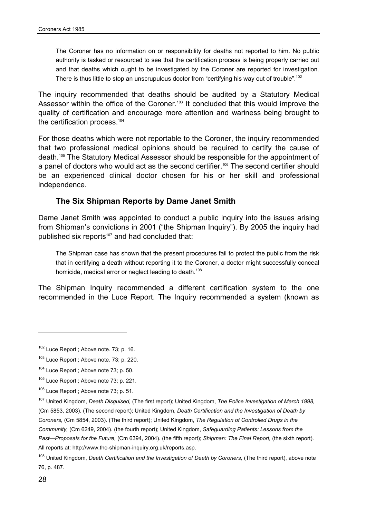The Coroner has no information on or responsibility for deaths not reported to him. No public authority is tasked or resourced to see that the certification process is being properly carried out and that deaths which ought to be investigated by the Coroner are reported for investigation. There is thus little to stop an unscrupulous doctor from "certifying his way out of trouble".<sup>102</sup>

The inquiry recommended that deaths should be audited by a Statutory Medical Assessor within the office of the Coroner.<sup>103</sup> It concluded that this would improve the quality of certification and encourage more attention and wariness being brought to the certification process.<sup>104</sup>

For those deaths which were not reportable to the Coroner, the inquiry recommended that two professional medical opinions should be required to certify the cause of death.105 The Statutory Medical Assessor should be responsible for the appointment of a panel of doctors who would act as the second certifier.<sup>106</sup> The second certifier should be an experienced clinical doctor chosen for his or her skill and professional independence.

### **The Six Shipman Reports by Dame Janet Smith**

Dame Janet Smith was appointed to conduct a public inquiry into the issues arising from Shipman's convictions in 2001 ("the Shipman Inquiry"). By 2005 the inquiry had published six reports<sup>107</sup> and had concluded that:

The Shipman case has shown that the present procedures fail to protect the public from the risk that in certifying a death without reporting it to the Coroner, a doctor might successfully conceal homicide, medical error or neglect leading to death.<sup>108</sup>

The Shipman Inquiry recommended a different certification system to the one recommended in the Luce Report. The Inquiry recommended a system (known as

<sup>102</sup> Luce Report ; Above note. 73; p. 16.

<sup>&</sup>lt;sup>103</sup> Luce Report ; Above note. 73; p. 220.

 $104$  Luce Report; Above note 73; p. 50.

<sup>&</sup>lt;sup>105</sup> Luce Report : Above note 73; p. 221.

<sup>&</sup>lt;sup>106</sup> Luce Report ; Above note 73; p. 51.

<sup>107</sup> United Kingdom, *Death Disguised,* (The first report); United Kingdom, *The Police Investigation of March 1998,*  (Cm 5853, 2003). (The second report); United Kingdom, *Death Certification and the Investigation of Death by Coroners,* (Cm 5854, 2003). (The third report); United Kingdom, *The Regulation of Controlled Drugs in the Community,* (Cm 6249, 2004). (the fourth report); United Kingdom, *Safeguarding Patients: Lessons from the Past—Proposals for the Future,* (Cm 6394, 2004). (the fifth report); *Shipman: The Final Report,* (the sixth report). All reports at: http://www.the-shipman-inquiry.org.uk/reports.asp.

<sup>108</sup> United Kingdom, *Death Certification and the Investigation of Death by Coroners,* (The third report), above note 76, p. 487.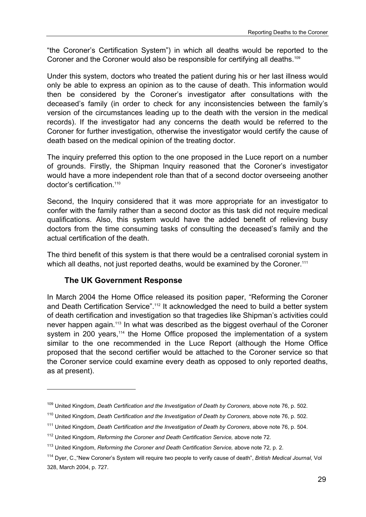"the Coroner's Certification System") in which all deaths would be reported to the Coroner and the Coroner would also be responsible for certifying all deaths.<sup>109</sup>

Under this system, doctors who treated the patient during his or her last illness would only be able to express an opinion as to the cause of death. This information would then be considered by the Coroner's investigator after consultations with the deceased's family (in order to check for any inconsistencies between the family's version of the circumstances leading up to the death with the version in the medical records). If the investigator had any concerns the death would be referred to the Coroner for further investigation, otherwise the investigator would certify the cause of death based on the medical opinion of the treating doctor.

The inquiry preferred this option to the one proposed in the Luce report on a number of grounds. Firstly, the Shipman Inquiry reasoned that the Coroner's investigator would have a more independent role than that of a second doctor overseeing another doctor's certification.<sup>110</sup>

Second, the Inquiry considered that it was more appropriate for an investigator to confer with the family rather than a second doctor as this task did not require medical qualifications. Also, this system would have the added benefit of relieving busy doctors from the time consuming tasks of consulting the deceased's family and the actual certification of the death.

The third benefit of this system is that there would be a centralised coronial system in which all deaths, not just reported deaths, would be examined by the Coroner.<sup>111</sup>

### **The UK Government Response**

l

In March 2004 the Home Office released its position paper, "Reforming the Coroner and Death Certification Service".<sup>112</sup> It acknowledged the need to build a better system of death certification and investigation so that tragedies like Shipman's activities could never happen again.113 In what was described as the biggest overhaul of the Coroner system in 200 years,<sup>114</sup> the Home Office proposed the implementation of a system similar to the one recommended in the Luce Report (although the Home Office proposed that the second certifier would be attached to the Coroner service so that the Coroner service could examine every death as opposed to only reported deaths, as at present).

<sup>&</sup>lt;sup>109</sup> United Kingdom, *Death Certification and the Investigation of Death by Coroners, above note 76, p. 502.* 

<sup>&</sup>lt;sup>110</sup> United Kingdom, *Death Certification and the Investigation of Death by Coroners, above note 76, p. 502.* 

<sup>111</sup> United Kingdom, *Death Certification and the Investigation of Death by Coroners*, above note 76, p. 504.

<sup>112</sup> United Kingdom, *Reforming the Coroner and Death Certification Service,* above note 72*.*

<sup>113</sup> United Kingdom, *Reforming the Coroner and Death Certification Service,* above note 72*,* p. 2.

<sup>114</sup> Dyer, C.,"New Coroner's System will require two people to verify cause of death", *British Medical Journal*, Vol 328, March 2004, p. 727.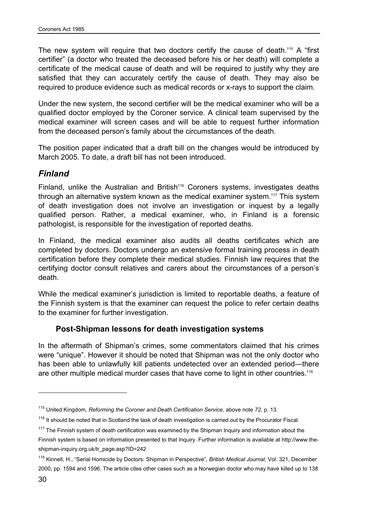The new system will require that two doctors certify the cause of death.<sup>115</sup> A "first certifier" (a doctor who treated the deceased before his or her death) will complete a certificate of the medical cause of death and will be required to justify why they are satisfied that they can accurately certify the cause of death. They may also be required to produce evidence such as medical records or x-rays to support the claim.

Under the new system, the second certifier will be the medical examiner who will be a qualified doctor employed by the Coroner service. A clinical team supervised by the medical examiner will screen cases and will be able to request further information from the deceased person's family about the circumstances of the death.

The position paper indicated that a draft bill on the changes would be introduced by March 2005. To date, a draft bill has not been introduced.

## *Finland*

Finland, unlike the Australian and British<sup>116</sup> Coroners systems, investigates deaths through an alternative system known as the medical examiner system.<sup>117</sup> This system of death investigation does not involve an investigation or inquest by a legally qualified person. Rather, a medical examiner, who, in Finland is a forensic pathologist, is responsible for the investigation of reported deaths.

In Finland, the medical examiner also audits all deaths certificates which are completed by doctors. Doctors undergo an extensive formal training process in death certification before they complete their medical studies. Finnish law requires that the certifying doctor consult relatives and carers about the circumstances of a person's death.

While the medical examiner's jurisdiction is limited to reportable deaths, a feature of the Finnish system is that the examiner can request the police to refer certain deaths to the examiner for further investigation.

### **Post-Shipman lessons for death investigation systems**

In the aftermath of Shipman's crimes, some commentators claimed that his crimes were "unique". However it should be noted that Shipman was not the only doctor who has been able to unlawfully kill patients undetected over an extended period—there are other multiple medical murder cases that have come to light in other countries.<sup>118</sup>

<sup>115</sup> United Kingdom, *Reforming the Coroner and Death Certification Service,* above note *72,* p. 13*.*

 $116$  It should be noted that in Scotland the task of death investigation is carried out by the Procurator Fiscal.

 $117$  The Finnish system of death certification was examined by the Shipman Inquiry and information about the

Finnish system is based on information presented to that Inquiry. Further information is available at http://www.theshipman-inquiry.org.uk/tr\_page.asp?ID=242

<sup>118</sup> Kinnell, H., "Serial Homicide by Doctors: Shipman in Perspective"*, British Medical Journal*, Vol. 321, December 2000, pp. 1594 and 1596. The article cites other cases such as a Norwegian doctor who may have killed up to 138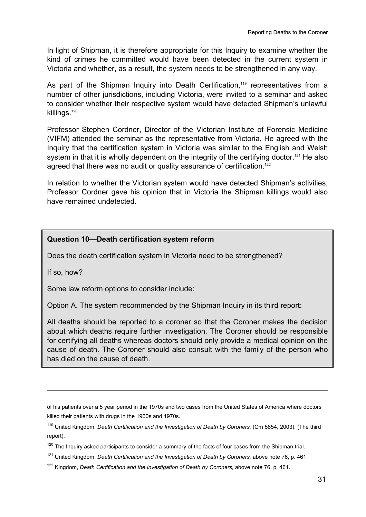In light of Shipman, it is therefore appropriate for this Inquiry to examine whether the kind of crimes he committed would have been detected in the current system in Victoria and whether, as a result, the system needs to be strengthened in any way.

As part of the Shipman Inquiry into Death Certification,<sup>119</sup> representatives from a number of other jurisdictions, including Victoria, were invited to a seminar and asked to consider whether their respective system would have detected Shipman's unlawful killings.<sup>120</sup>

Professor Stephen Cordner, Director of the Victorian Institute of Forensic Medicine (VIFM) attended the seminar as the representative from Victoria. He agreed with the Inquiry that the certification system in Victoria was similar to the English and Welsh system in that it is wholly dependent on the integrity of the certifying doctor.<sup>121</sup> He also agreed that there was no audit or quality assurance of certification.<sup>122</sup>

In relation to whether the Victorian system would have detected Shipman's activities, Professor Cordner gave his opinion that in Victoria the Shipman killings would also have remained undetected.

### **Question 10—Death certification system reform**

Does the death certification system in Victoria need to be strengthened?

If so, how?

l

Some law reform options to consider include:

Option A. The system recommended by the Shipman Inquiry in its third report:

All deaths should be reported to a coroner so that the Coroner makes the decision about which deaths require further investigation. The Coroner should be responsible for certifying all deaths whereas doctors should only provide a medical opinion on the cause of death. The Coroner should also consult with the family of the person who has died on the cause of death.

of his patients over a 5 year period in the 1970s and two cases from the United States of America where doctors killed their patients with drugs in the 1960s and 1970s.

<sup>&</sup>lt;sup>119</sup> United Kingdom, *Death Certification and the Investigation of Death by Coroners, (Cm 5854, 2003). (The third* report).

 $120$  The Inquiry asked participants to consider a summary of the facts of four cases from the Shipman trial.

<sup>&</sup>lt;sup>121</sup> United Kingdom, *Death Certification and the Investigation of Death by Coroners, above note 76, p. 461.* 

<sup>&</sup>lt;sup>122</sup> Kingdom, *Death Certification and the Investigation of Death by Coroners, above note 76, p. 461.*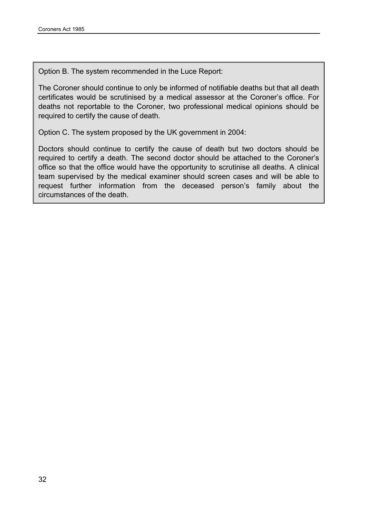Option B. The system recommended in the Luce Report:

The Coroner should continue to only be informed of notifiable deaths but that all death certificates would be scrutinised by a medical assessor at the Coroner's office. For deaths not reportable to the Coroner, two professional medical opinions should be required to certify the cause of death.

Option C. The system proposed by the UK government in 2004:

Doctors should continue to certify the cause of death but two doctors should be required to certify a death. The second doctor should be attached to the Coroner's office so that the office would have the opportunity to scrutinise all deaths. A clinical team supervised by the medical examiner should screen cases and will be able to request further information from the deceased person's family about the circumstances of the death.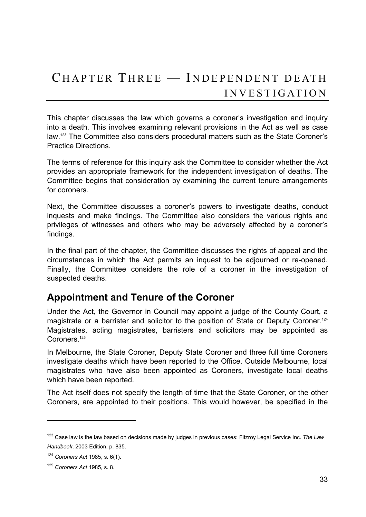This chapter discusses the law which governs a coroner's investigation and inquiry into a death. This involves examining relevant provisions in the Act as well as case law.123 The Committee also considers procedural matters such as the State Coroner's Practice Directions.

The terms of reference for this inquiry ask the Committee to consider whether the Act provides an appropriate framework for the independent investigation of deaths. The Committee begins that consideration by examining the current tenure arrangements for coroners.

Next, the Committee discusses a coroner's powers to investigate deaths, conduct inquests and make findings. The Committee also considers the various rights and privileges of witnesses and others who may be adversely affected by a coroner's findings.

In the final part of the chapter, the Committee discusses the rights of appeal and the circumstances in which the Act permits an inquest to be adjourned or re-opened. Finally, the Committee considers the role of a coroner in the investigation of suspected deaths.

# **Appointment and Tenure of the Coroner**

Under the Act, the Governor in Council may appoint a judge of the County Court, a magistrate or a barrister and solicitor to the position of State or Deputy Coroner.<sup>124</sup> Magistrates, acting magistrates, barristers and solicitors may be appointed as Coroners.<sup>125</sup>

In Melbourne, the State Coroner, Deputy State Coroner and three full time Coroners investigate deaths which have been reported to the Office. Outside Melbourne, local magistrates who have also been appointed as Coroners, investigate local deaths which have been reported.

The Act itself does not specify the length of time that the State Coroner, or the other Coroners, are appointed to their positions. This would however, be specified in the

<sup>123</sup> Case law is the law based on decisions made by judges in previous cases: Fitzroy Legal Service Inc. *The Law Handbook*, 2003 Edition, p. 835.

<sup>124</sup> *Coroners Act* 1985, s. 6(1).

<sup>125</sup> *Coroners Act* 1985, s. 8.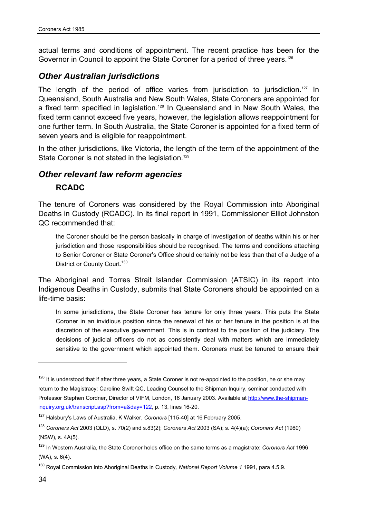actual terms and conditions of appointment. The recent practice has been for the Governor in Council to appoint the State Coroner for a period of three years.<sup>126</sup>

## *Other Australian jurisdictions*

The length of the period of office varies from jurisdiction to jurisdiction.<sup>127</sup> In Queensland, South Australia and New South Wales, State Coroners are appointed for a fixed term specified in legislation.<sup>128</sup> In Queensland and in New South Wales, the fixed term cannot exceed five years, however, the legislation allows reappointment for one further term. In South Australia, the State Coroner is appointed for a fixed term of seven years and is eligible for reappointment.

In the other jurisdictions, like Victoria, the length of the term of the appointment of the State Coroner is not stated in the legislation.<sup>129</sup>

## *Other relevant law reform agencies*

### **RCADC**

The tenure of Coroners was considered by the Royal Commission into Aboriginal Deaths in Custody (RCADC). In its final report in 1991, Commissioner Elliot Johnston QC recommended that:

the Coroner should be the person basically in charge of investigation of deaths within his or her jurisdiction and those responsibilities should be recognised. The terms and conditions attaching to Senior Coroner or State Coroner's Office should certainly not be less than that of a Judge of a District or County Court.<sup>130</sup>

The Aboriginal and Torres Strait Islander Commission (ATSIC) in its report into Indigenous Deaths in Custody, submits that State Coroners should be appointed on a life-time basis:

In some jurisdictions, the State Coroner has tenure for only three years. This puts the State Coroner in an invidious position since the renewal of his or her tenure in the position is at the discretion of the executive government. This is in contrast to the position of the judiciary. The decisions of judicial officers do not as consistently deal with matters which are immediately sensitive to the government which appointed them. Coroners must be tenured to ensure their

<sup>&</sup>lt;sup>126</sup> It is understood that if after three years, a State Coroner is not re-appointed to the position, he or she may return to the Magistracy: Caroline Swift QC, Leading Counsel to the Shipman Inquiry, seminar conducted with Professor Stephen Cordner, Director of VIFM, London, 16 January 2003. Available at http://www.the-shipmaninquiry.org.uk/transcript.asp?from=a&day=122, p. 13, lines 16-20.

<sup>127</sup> Halsbury's Laws of Australia, K Walker, *Coroners* [115-40] at 16 February 2005.

<sup>128</sup> *Coroners Act* 2003 (QLD), s. 70(2) and s.83(2); *Coroners Act* 2003 (SA); s. 4(4)(a); *Coroners Act* (1980) (NSW), s. 4A(5).

<sup>129</sup> In Western Australia, the State Coroner holds office on the same terms as a magistrate: *Coroners Act* 1996 (WA), s. 6(4).

<sup>130</sup> Royal Commission into Aboriginal Deaths in Custody*, National Report Volume 1* 1991, para 4.5.9.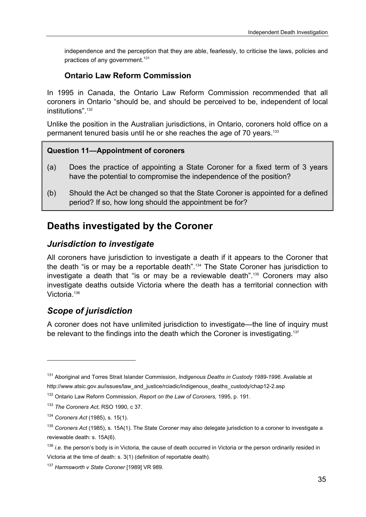independence and the perception that they are able, fearlessly, to criticise the laws, policies and practices of any government.<sup>131</sup>

## **Ontario Law Reform Commission**

In 1995 in Canada, the Ontario Law Reform Commission recommended that all coroners in Ontario "should be, and should be perceived to be, independent of local institutions".132

Unlike the position in the Australian jurisdictions, in Ontario, coroners hold office on a permanent tenured basis until he or she reaches the age of 70 years.<sup>133</sup>

### **Question 11—Appointment of coroners**

- (a) Does the practice of appointing a State Coroner for a fixed term of 3 years have the potential to compromise the independence of the position?
- (b) Should the Act be changed so that the State Coroner is appointed for a defined period? If so, how long should the appointment be for?

# **Deaths investigated by the Coroner**

## *Jurisdiction to investigate*

All coroners have jurisdiction to investigate a death if it appears to the Coroner that the death "is or may be a reportable death".134 The State Coroner has jurisdiction to investigate a death that "is or may be a reviewable death".135 Coroners may also investigate deaths outside Victoria where the death has a territorial connection with Victoria<sup>136</sup>

# *Scope of jurisdiction*

l

A coroner does not have unlimited jurisdiction to investigate—the line of inquiry must be relevant to the findings into the death which the Coroner is investigating.<sup>137</sup>

<sup>131</sup> Aboriginal and Torres Strait Islander Commission, *Indigenous Deaths in Custody 1989-1996*. Available at http://www.atsic.gov.au/issues/law\_and\_justice/rciadic/indigenous\_deaths\_custody/chap12-2.asp

<sup>132</sup> Ontario Law Reform Commission, *Report on the Law of Coroners,* 1995, p. 191.

<sup>133</sup> *The Coroners Act*, RSO 1990, c 37.

<sup>134</sup> *Coroners Act* (1985), s. 15(1).

<sup>135</sup> *Coroners Act* (1985), s. 15A(1). The State Coroner may also delegate jurisdiction to a coroner to investigate a reviewable death: s. 15A(6).

<sup>&</sup>lt;sup>136</sup> *i.e.* the person's body is in Victoria, the cause of death occurred in Victoria or the person ordinarily resided in Victoria at the time of death: s. 3(1) (definition of reportable death).

<sup>137</sup> *Harmsworth v State Coroner* [1989] VR 989.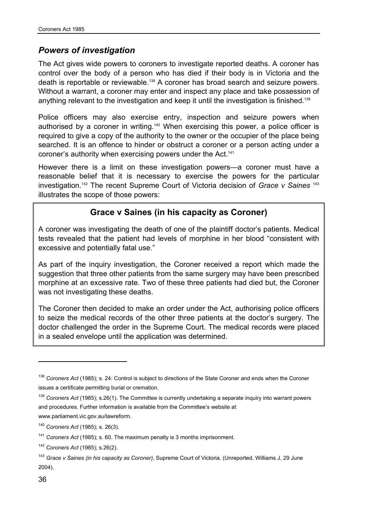## *Powers of investigation*

The Act gives wide powers to coroners to investigate reported deaths. A coroner has control over the body of a person who has died if their body is in Victoria and the death is reportable or reviewable.138 A coroner has broad search and seizure powers. Without a warrant, a coroner may enter and inspect any place and take possession of anything relevant to the investigation and keep it until the investigation is finished.<sup>139</sup>

Police officers may also exercise entry, inspection and seizure powers when authorised by a coroner in writing.<sup>140</sup> When exercising this power, a police officer is required to give a copy of the authority to the owner or the occupier of the place being searched. It is an offence to hinder or obstruct a coroner or a person acting under a coroner's authority when exercising powers under the Act.<sup>141</sup>

However there is a limit on these investigation powers—a coroner must have a reasonable belief that it is necessary to exercise the powers for the particular investigation.142 The recent Supreme Court of Victoria decision of *Grace v Saines* <sup>143</sup> illustrates the scope of those powers:

# **Grace v Saines (in his capacity as Coroner)**

A coroner was investigating the death of one of the plaintiff doctor's patients. Medical tests revealed that the patient had levels of morphine in her blood "consistent with excessive and potentially fatal use."

As part of the inquiry investigation, the Coroner received a report which made the suggestion that three other patients from the same surgery may have been prescribed morphine at an excessive rate. Two of these three patients had died but, the Coroner was not investigating these deaths.

The Coroner then decided to make an order under the Act, authorising police officers to seize the medical records of the other three patients at the doctor's surgery. The doctor challenged the order in the Supreme Court. The medical records were placed in a sealed envelope until the application was determined.

<sup>138</sup> *Coroners Act* (1985); s. 24: Control is subject to directions of the State Coroner and ends when the Coroner issues a certificate permitting burial or cremation.

<sup>139</sup> *Coroners Act* (1985); s.26(1). The Committee is currently undertaking a separate inquiry into warrant powers and procedures. Further information is available from the Committee's website at

www.parliament.vic.gov.au/lawreform.

<sup>140</sup> *Coroners Act* (1985); s. 26(3).

<sup>141</sup> *Coroners Act* (1985); s. 60. The maximum penalty is 3 months imprisonment.

<sup>142</sup> *Coroners Act* (1985); s.26(2).

<sup>143</sup> *Grace v Saines (in his capacity as Coroner)*, Supreme Court of Victoria, (Unreported, Williams J, 29 June 2004).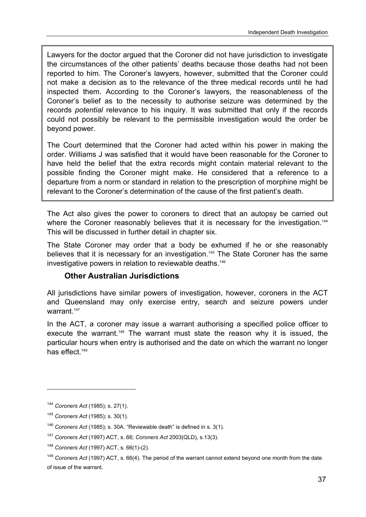Lawyers for the doctor argued that the Coroner did not have jurisdiction to investigate the circumstances of the other patients' deaths because those deaths had not been reported to him. The Coroner's lawyers, however, submitted that the Coroner could not make a decision as to the relevance of the three medical records until he had inspected them. According to the Coroner's lawyers, the reasonableness of the Coroner's belief as to the necessity to authorise seizure was determined by the records *potential* relevance to his inquiry. It was submitted that only if the records could not possibly be relevant to the permissible investigation would the order be beyond power.

The Court determined that the Coroner had acted within his power in making the order. Williams J was satisfied that it would have been reasonable for the Coroner to have held the belief that the extra records might contain material relevant to the possible finding the Coroner might make. He considered that a reference to a departure from a norm or standard in relation to the prescription of morphine might be relevant to the Coroner's determination of the cause of the first patient's death.

The Act also gives the power to coroners to direct that an autopsy be carried out where the Coroner reasonably believes that it is necessary for the investigation.<sup>144</sup> This will be discussed in further detail in chapter six.

The State Coroner may order that a body be exhumed if he or she reasonably believes that it is necessary for an investigation.<sup>145</sup> The State Coroner has the same investigative powers in relation to reviewable deaths.<sup>146</sup>

## **Other Australian Jurisdictions**

All jurisdictions have similar powers of investigation, however, coroners in the ACT and Queensland may only exercise entry, search and seizure powers under warrant.<sup>147</sup>

In the ACT, a coroner may issue a warrant authorising a specified police officer to execute the warrant.<sup>148</sup> The warrant must state the reason why it is issued, the particular hours when entry is authorised and the date on which the warrant no longer has effect.<sup>149</sup>

<sup>144</sup> *Coroners Act* (1985); s. 27(1).

<sup>145</sup> *Coroners Act* (1985); s. 30(1).

<sup>146</sup> *Coroners Act* (1985); s. 30A. "Reviewable death" is defined in s. 3(1).

<sup>147</sup> *Coroners Act* (1997) ACT, s. 66; *Coroners Act* 2003(QLD), s.13(3).

<sup>148</sup> *Coroners Act* (1997) ACT, s. 66(1)-(2).

<sup>149</sup> *Coroners Act* (1997) ACT, s. 66(4). The period of the warrant cannot extend beyond one month from the date of issue of the warrant.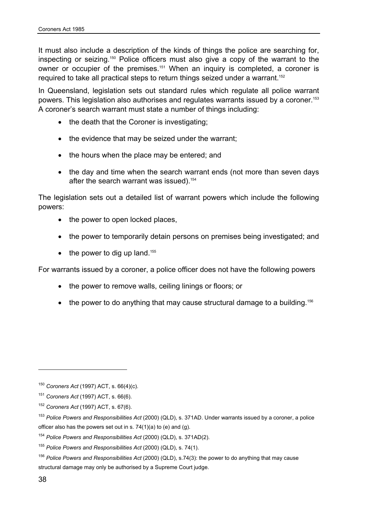It must also include a description of the kinds of things the police are searching for, inspecting or seizing.150 Police officers must also give a copy of the warrant to the owner or occupier of the premises.<sup>151</sup> When an inquiry is completed, a coroner is required to take all practical steps to return things seized under a warrant.<sup>152</sup>

In Queensland, legislation sets out standard rules which regulate all police warrant powers. This legislation also authorises and regulates warrants issued by a coroner.<sup>153</sup> A coroner's search warrant must state a number of things including:

- the death that the Coroner is investigating;
- the evidence that may be seized under the warrant;
- the hours when the place may be entered; and
- the day and time when the search warrant ends (not more than seven days after the search warrant was issued).154

The legislation sets out a detailed list of warrant powers which include the following powers:

- the power to open locked places,
- the power to temporarily detain persons on premises being investigated; and
- the power to dig up land.<sup>155</sup>

For warrants issued by a coroner, a police officer does not have the following powers

- the power to remove walls, ceiling linings or floors; or
- the power to do anything that may cause structural damage to a building.<sup>156</sup>

 $\overline{a}$ 

<sup>150</sup> *Coroners Act* (1997) ACT, s. 66(4)(c).

<sup>151</sup> *Coroners Act* (1997) ACT, s. 66(6).

<sup>152</sup> *Coroners Act* (1997) ACT, s. 67(6).

<sup>153</sup> *Police Powers and Responsibilities Act* (2000) (QLD), s. 371AD. Under warrants issued by a coroner, a police officer also has the powers set out in s.  $74(1)(a)$  to (e) and (g).

<sup>154</sup> *Police Powers and Responsibilities Act* (2000) (QLD), s. 371AD(2).

<sup>155</sup> *Police Powers and Responsibilities Act* (2000) (QLD), s. 74(1).

<sup>156</sup> *Police Powers and Responsibilities Act* (2000) (QLD), s.74(3): the power to do anything that may cause structural damage may only be authorised by a Supreme Court iudge.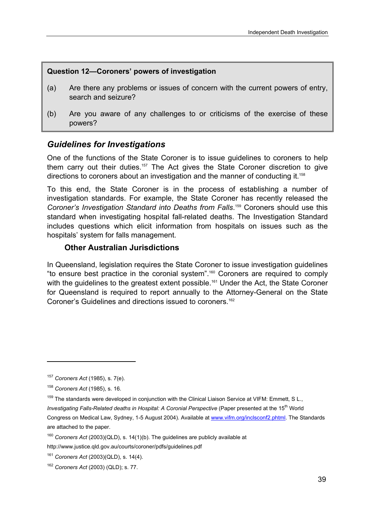### **Question 12—Coroners' powers of investigation**

- (a) Are there any problems or issues of concern with the current powers of entry, search and seizure?
- (b) Are you aware of any challenges to or criticisms of the exercise of these powers?

## *Guidelines for Investigations*

One of the functions of the State Coroner is to issue guidelines to coroners to help them carry out their duties.<sup>157</sup> The Act gives the State Coroner discretion to give directions to coroners about an investigation and the manner of conducting it.<sup>158</sup>

To this end, the State Coroner is in the process of establishing a number of investigation standards. For example, the State Coroner has recently released the *Coroner's Investigation Standard into Deaths from Falls*. 159 Coroners should use this standard when investigating hospital fall-related deaths. The Investigation Standard includes questions which elicit information from hospitals on issues such as the hospitals' system for falls management.

### **Other Australian Jurisdictions**

In Queensland, legislation requires the State Coroner to issue investigation guidelines "to ensure best practice in the coronial system".160 Coroners are required to comply with the guidelines to the greatest extent possible.<sup>161</sup> Under the Act, the State Coroner for Queensland is required to report annually to the Attorney-General on the State Coroner's Guidelines and directions issued to coroners.<sup>162</sup>

l

http://www.justice.qld.gov.au/courts/coroner/pdfs/guidelines.pdf

<sup>157</sup> *Coroners Act* (1985), s. 7(e).

<sup>158</sup> *Coroners Act* (1985), s. 16.

<sup>&</sup>lt;sup>159</sup> The standards were developed in conjunction with the Clinical Liaison Service at VIFM: Emmett, S L., *Investigating Falls-Related deaths in Hospital: A Coronial Perspective (Paper presented at the 15<sup>th</sup> World* Congress on Medical Law, Sydney, 1-5 August 2004). Available at www.vifm.org/inclsconf2.phtml. The Standards are attached to the paper.

<sup>160</sup> *Coroners Act* (2003)(QLD), s. 14(1)(b). The guidelines are publicly available at

<sup>161</sup> *Coroners Act* (2003)(QLD), s. 14(4).

<sup>162</sup> *Coroners Act* (2003) (QLD); s. 77.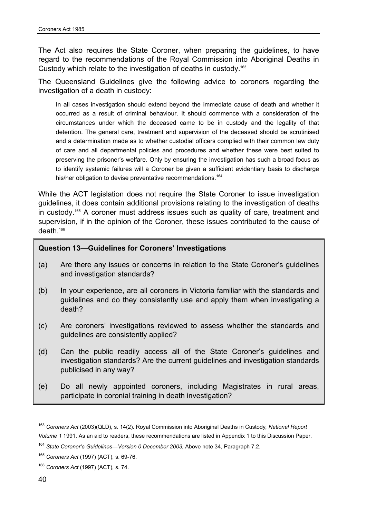The Act also requires the State Coroner, when preparing the guidelines, to have regard to the recommendations of the Royal Commission into Aboriginal Deaths in Custody which relate to the investigation of deaths in custody.163

The Queensland Guidelines give the following advice to coroners regarding the investigation of a death in custody:

In all cases investigation should extend beyond the immediate cause of death and whether it occurred as a result of criminal behaviour. It should commence with a consideration of the circumstances under which the deceased came to be in custody and the legality of that detention. The general care, treatment and supervision of the deceased should be scrutinised and a determination made as to whether custodial officers complied with their common law duty of care and all departmental policies and procedures and whether these were best suited to preserving the prisoner's welfare. Only by ensuring the investigation has such a broad focus as to identify systemic failures will a Coroner be given a sufficient evidentiary basis to discharge his/her obligation to devise preventative recommendations.<sup>164</sup>

While the ACT legislation does not require the State Coroner to issue investigation guidelines, it does contain additional provisions relating to the investigation of deaths in custody.165 A coroner must address issues such as quality of care, treatment and supervision, if in the opinion of the Coroner, these issues contributed to the cause of death.166

#### **Question 13—Guidelines for Coroners' Investigations**

- (a) Are there any issues or concerns in relation to the State Coroner's guidelines and investigation standards?
- (b) In your experience, are all coroners in Victoria familiar with the standards and guidelines and do they consistently use and apply them when investigating a death?
- (c) Are coroners' investigations reviewed to assess whether the standards and guidelines are consistently applied?
- (d) Can the public readily access all of the State Coroner's guidelines and investigation standards? Are the current guidelines and investigation standards publicised in any way?
- (e) Do all newly appointed coroners, including Magistrates in rural areas, participate in coronial training in death investigation?

 $\overline{a}$ 

<sup>163</sup> *Coroners Act* (2003)(QLD), s. 14(2). Royal Commission into Aboriginal Deaths in Custody*, National Report Volume 1* 1991. As an aid to readers, these recommendations are listed in Appendix 1 to this Discussion Paper.

<sup>&</sup>lt;sup>164</sup> State Coroner's Guidelines—Version 0 December 2003, Above note 34, Paragraph 7.2.

<sup>165</sup> *Coroners Act* (1997) (ACT), s. 69-76.

<sup>166</sup> *Coroners Act* (1997) (ACT), s. 74.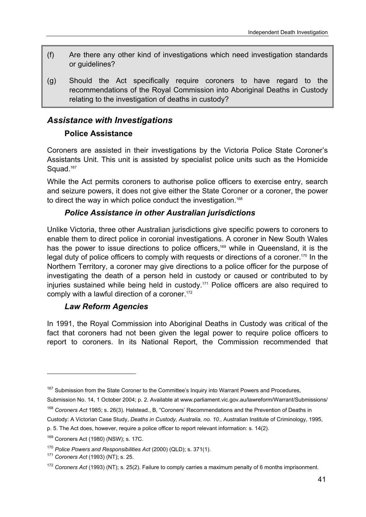- (f) Are there any other kind of investigations which need investigation standards or guidelines?
- (g) Should the Act specifically require coroners to have regard to the recommendations of the Royal Commission into Aboriginal Deaths in Custody relating to the investigation of deaths in custody?

# *Assistance with Investigations*

## **Police Assistance**

Coroners are assisted in their investigations by the Victoria Police State Coroner's Assistants Unit. This unit is assisted by specialist police units such as the Homicide Squad.<sup>167</sup>

While the Act permits coroners to authorise police officers to exercise entry, search and seizure powers, it does not give either the State Coroner or a coroner, the power to direct the way in which police conduct the investigation.<sup>168</sup>

## *Police Assistance in other Australian jurisdictions*

Unlike Victoria, three other Australian jurisdictions give specific powers to coroners to enable them to direct police in coronial investigations. A coroner in New South Wales has the power to issue directions to police officers,<sup>169</sup> while in Queensland, it is the legal duty of police officers to comply with requests or directions of a coroner.<sup>170</sup> In the Northern Territory, a coroner may give directions to a police officer for the purpose of investigating the death of a person held in custody or caused or contributed to by injuries sustained while being held in custody.171 Police officers are also required to comply with a lawful direction of a coroner.<sup>172</sup>

## *Law Reform Agencies*

In 1991, the Royal Commission into Aboriginal Deaths in Custody was critical of the fact that coroners had not been given the legal power to require police officers to report to coroners. In its National Report, the Commission recommended that

- Submission No. 14, 1 October 2004; p. 2. Available at www.parliament.vic.gov.au/lawreform/Warrant/Submissions/
- <sup>168</sup> *Coroners Act* 1985; s. 26(3). Halstead., B, "Coroners' Recommendations and the Prevention of Deaths in Custody: A Victorian Case Study, *Deaths in Custody, Australia, no. 10.,* Australian Institute of Criminology, 1995,

<sup>&</sup>lt;sup>167</sup> Submission from the State Coroner to the Committee's Inquiry into Warrant Powers and Procedures,

p. 5. The Act does, however, require a police officer to report relevant information: s. 14(2).

<sup>169</sup> Coroners Act (1980) (NSW); s. 17C.

<sup>170</sup> *Police Powers and Responsibilities Act* (2000) (QLD); s. 371(1). 171 *Coroners Act* (1993) (NT); s. 25.

<sup>172</sup> *Coroners Act* (1993) (NT); s. 25(2). Failure to comply carries a maximum penalty of 6 months imprisonment.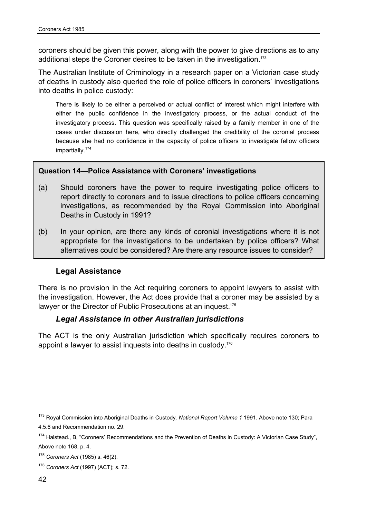coroners should be given this power, along with the power to give directions as to any additional steps the Coroner desires to be taken in the investigation.<sup>173</sup>

The Australian Institute of Criminology in a research paper on a Victorian case study of deaths in custody also queried the role of police officers in coroners' investigations into deaths in police custody:

There is likely to be either a perceived or actual conflict of interest which might interfere with either the public confidence in the investigatory process, or the actual conduct of the investigatory process. This question was specifically raised by a family member in one of the cases under discussion here, who directly challenged the credibility of the coronial process because she had no confidence in the capacity of police officers to investigate fellow officers impartially.174

### **Question 14—Police Assistance with Coroners' investigations**

- (a) Should coroners have the power to require investigating police officers to report directly to coroners and to issue directions to police officers concerning investigations, as recommended by the Royal Commission into Aboriginal Deaths in Custody in 1991?
- (b) In your opinion, are there any kinds of coronial investigations where it is not appropriate for the investigations to be undertaken by police officers? What alternatives could be considered? Are there any resource issues to consider?

### **Legal Assistance**

There is no provision in the Act requiring coroners to appoint lawyers to assist with the investigation. However, the Act does provide that a coroner may be assisted by a lawyer or the Director of Public Prosecutions at an inquest.<sup>175</sup>

### *Legal Assistance in other Australian jurisdictions*

The ACT is the only Australian jurisdiction which specifically requires coroners to appoint a lawyer to assist inquests into deaths in custody.176

 $\overline{a}$ 

<sup>173</sup> Royal Commission into Aboriginal Deaths in Custody*, National Report Volume 1* 1991. Above note 130; Para 4.5.6 and Recommendation no. 29.

<sup>&</sup>lt;sup>174</sup> Halstead., B, "Coroners' Recommendations and the Prevention of Deaths in Custody: A Victorian Case Study", Above note 168, p. 4.

<sup>175</sup> *Coroners Act* (1985) s. 46(2).

<sup>176</sup> *Coroners Act* (1997) (ACT); s. 72.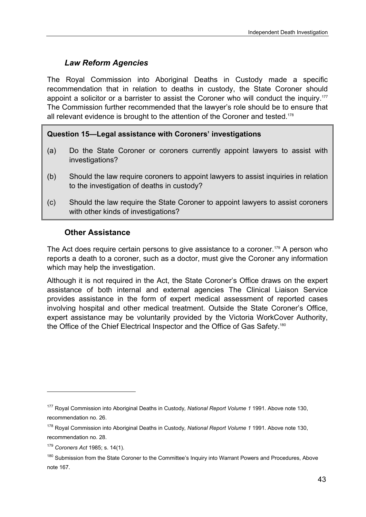# *Law Reform Agencies*

The Royal Commission into Aboriginal Deaths in Custody made a specific recommendation that in relation to deaths in custody, the State Coroner should appoint a solicitor or a barrister to assist the Coroner who will conduct the inquiry.<sup>177</sup> The Commission further recommended that the lawyer's role should be to ensure that all relevant evidence is brought to the attention of the Coroner and tested.178

## **Question 15—Legal assistance with Coroners' investigations**

- (a) Do the State Coroner or coroners currently appoint lawyers to assist with investigations?
- (b) Should the law require coroners to appoint lawyers to assist inquiries in relation to the investigation of deaths in custody?
- (c) Should the law require the State Coroner to appoint lawyers to assist coroners with other kinds of investigations?

## **Other Assistance**

The Act does require certain persons to give assistance to a coroner.<sup>179</sup> A person who reports a death to a coroner, such as a doctor, must give the Coroner any information which may help the investigation.

Although it is not required in the Act, the State Coroner's Office draws on the expert assistance of both internal and external agencies The Clinical Liaison Service provides assistance in the form of expert medical assessment of reported cases involving hospital and other medical treatment. Outside the State Coroner's Office, expert assistance may be voluntarily provided by the Victoria WorkCover Authority, the Office of the Chief Electrical Inspector and the Office of Gas Safety.180

 $\overline{a}$ 

<sup>177</sup> Royal Commission into Aboriginal Deaths in Custody*, National Report Volume 1* 1991. Above note 130, recommendation no. 26.

<sup>178</sup> Royal Commission into Aboriginal Deaths in Custody*, National Report Volume 1* 1991. Above note 130, recommendation no. 28.

<sup>179</sup> *Coroners Act* 1985; s. 14(1).

<sup>&</sup>lt;sup>180</sup> Submission from the State Coroner to the Committee's Inquiry into Warrant Powers and Procedures, Above note 167.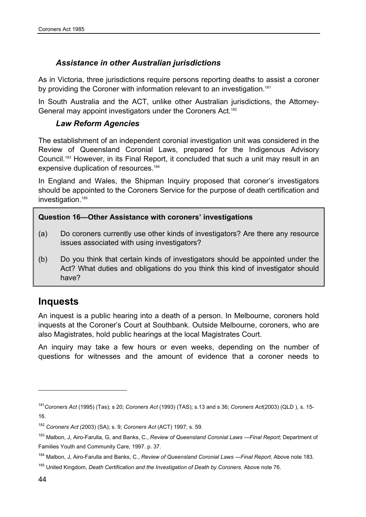## *Assistance in other Australian jurisdictions*

As in Victoria, three jurisdictions require persons reporting deaths to assist a coroner by providing the Coroner with information relevant to an investigation.<sup>181</sup>

In South Australia and the ACT, unlike other Australian jurisdictions, the Attorney-General may appoint investigators under the Coroners Act.<sup>182</sup>

## *Law Reform Agencies*

The establishment of an independent coronial investigation unit was considered in the Review of Queensland Coronial Laws, prepared for the Indigenous Advisory Council.183 However, in its Final Report, it concluded that such a unit may result in an expensive duplication of resources.<sup>184</sup>

In England and Wales, the Shipman Inquiry proposed that coroner's investigators should be appointed to the Coroners Service for the purpose of death certification and investigation.<sup>185</sup>

### **Question 16—Other Assistance with coroners' investigations**

- (a) Do coroners currently use other kinds of investigators? Are there any resource issues associated with using investigators?
- (b) Do you think that certain kinds of investigators should be appointed under the Act? What duties and obligations do you think this kind of investigator should have?

# **Inquests**

An inquest is a public hearing into a death of a person. In Melbourne, coroners hold inquests at the Coroner's Court at Southbank. Outside Melbourne, coroners, who are also Magistrates, hold public hearings at the local Magistrates Court.

An inquiry may take a few hours or even weeks, depending on the number of questions for witnesses and the amount of evidence that a coroner needs to

<sup>181</sup>*Coroners Act* (1995) (Tas); s 20; *Coroners Act* (1993) (TAS); s.13 and s 36; *Coroners Act*(2003) (QLD ), s. 15- 16.

<sup>182</sup> *Coroners Act* (2003) (SA); s. 9; *Coroners Act* (ACT) 1997; s. 59.

<sup>183</sup> Malbon, J, Airo-Farulla, G, and Banks, C., *Review of Queensland Coronial Laws —Final Report;* Department of Families Youth and Community Care, 1997. p. 37.

<sup>184</sup> Malbon, J, Airo-Farulla and Banks, C., *Review of Queensland Coronial Laws —Final Report,* Above note 183*.*

<sup>&</sup>lt;sup>185</sup> United Kingdom, *Death Certification and the Investigation of Death by Coroners. Above note 76.*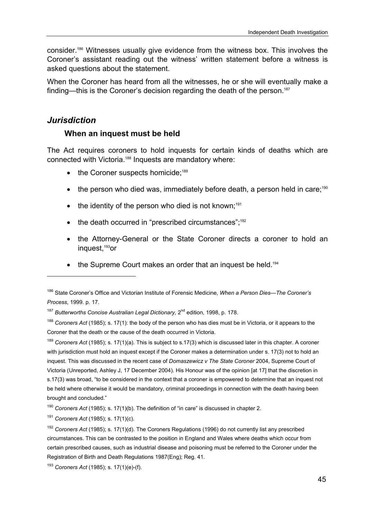consider.186 Witnesses usually give evidence from the witness box. This involves the Coroner's assistant reading out the witness' written statement before a witness is asked questions about the statement.

When the Coroner has heard from all the witnesses, he or she will eventually make a finding—this is the Coroner's decision regarding the death of the person.<sup>187</sup>

## *Jurisdiction*

l

### **When an inquest must be held**

The Act requires coroners to hold inquests for certain kinds of deaths which are connected with Victoria.188 Inquests are mandatory where:

- $\bullet$  the Coroner suspects homicide:<sup>189</sup>
- the person who died was, immediately before death, a person held in care;<sup>190</sup>
- $\bullet$  the identity of the person who died is not known:<sup>191</sup>
- the death occurred in "prescribed circumstances":<sup>192</sup>
- the Attorney-General or the State Coroner directs a coroner to hold an inquest,193or
- the Supreme Court makes an order that an inquest be held.<sup>194</sup>

<sup>189</sup> *Coroners Act* (1985); s. 17(1)(a). This is subject to s.17(3) which is discussed later in this chapter. A coroner with jurisdiction must hold an inquest except if the Coroner makes a determination under s. 17(3) not to hold an inquest. This was discussed in the recent case of *Domaszewicz v The State Coroner* 2004, Supreme Court of Victoria (Unreported, Ashley J, 17 December 2004). His Honour was of the opinion [at 17] that the discretion in s.17(3) was broad, "to be considered in the context that a coroner is empowered to determine that an inquest not be held where otherwise it would be mandatory, criminal proceedings in connection with the death having been brought and concluded."

<sup>190</sup> *Coroners Act* (1985); s. 17(1)(b). The definition of "in care" is discussed in chapter 2.

<sup>191</sup> *Coroners Act* (1985); s. 17(1)(c).

<sup>186</sup> State Coroner's Office and Victorian Institute of Forensic Medicine, *When a Person Dies—The Coroner's Process*, 1999. p. 17.

<sup>&</sup>lt;sup>187</sup> Butterworths Concise Australian Legal Dictionary, 2<sup>nd</sup> edition, 1998, p. 178.

<sup>188</sup> *Coroners Act* (1985); s. 17(1): the body of the person who has dies must be in Victoria, or it appears to the Coroner that the death or the cause of the death occurred in Victoria.

<sup>192</sup> *Coroners Act* (1985); s. 17(1)(d). The Coroners Regulations (1996) do not currently list any prescribed circumstances. This can be contrasted to the position in England and Wales where deaths which occur from certain prescribed causes, such as industrial disease and poisoning must be referred to the Coroner under the Registration of Birth and Death Regulations 1987(Eng); Reg. 41.

<sup>193</sup> *Coroners Act* (1985); s. 17(1)(e)-(f).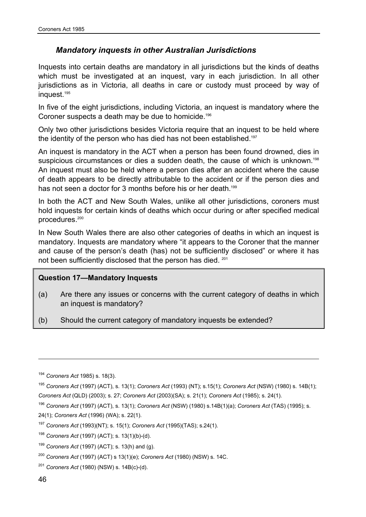### *Mandatory inquests in other Australian Jurisdictions*

Inquests into certain deaths are mandatory in all jurisdictions but the kinds of deaths which must be investigated at an inquest, vary in each jurisdiction. In all other jurisdictions as in Victoria, all deaths in care or custody must proceed by way of inquest.195

In five of the eight jurisdictions, including Victoria, an inquest is mandatory where the Coroner suspects a death may be due to homicide.<sup>196</sup>

Only two other jurisdictions besides Victoria require that an inquest to be held where the identity of the person who has died has not been established.<sup>197</sup>

An inquest is mandatory in the ACT when a person has been found drowned, dies in suspicious circumstances or dies a sudden death, the cause of which is unknown.<sup>198</sup> An inquest must also be held where a person dies after an accident where the cause of death appears to be directly attributable to the accident or if the person dies and has not seen a doctor for 3 months before his or her death.<sup>199</sup>

In both the ACT and New South Wales, unlike all other jurisdictions, coroners must hold inquests for certain kinds of deaths which occur during or after specified medical procedures.200

In New South Wales there are also other categories of deaths in which an inquest is mandatory. Inquests are mandatory where "it appears to the Coroner that the manner and cause of the person's death (has) not be sufficiently disclosed" or where it has not been sufficiently disclosed that the person has died. 201

#### **Question 17—Mandatory Inquests**

- (a) Are there any issues or concerns with the current category of deaths in which an inquest is mandatory?
- (b) Should the current category of mandatory inquests be extended?

<sup>194</sup> *Coroners Act* 1985) s. 18(3).

<sup>195</sup> *Coroners Act* (1997) (ACT), s. 13(1); *Coroners Act* (1993) (NT); s.15(1); *Coroners Act* (NSW) (1980) s. 14B(1); *Coroners Act* (QLD) (2003); s. 27; *Coroners Act* (2003)(SA); s. 21(1); *Coroners Act* (1985); s. 24(1).

<sup>196</sup> *Coroners Act* (1997) (ACT), s. 13(1); *Coroners Act* (NSW) (1980) s.14B(1)(a); *Coroners Act* (TAS) (1995); s.

<sup>24(1);</sup> *Coroners Act* (1996) (WA); s. 22(1).

<sup>197</sup> *Coroners Act* (1993)(NT); s. 15(1); *Coroners Act* (1995)(TAS); s.24(1).

<sup>198</sup> *Coroners Act* (1997) (ACT); s. 13(1)(b)-(d).

<sup>199</sup> *Coroners Act* (1997) (ACT); s. 13(h) and (g).

<sup>200</sup> *Coroners Act* (1997) (ACT) s 13(1)(e); *Coroners Act* (1980) (NSW) s. 14C.

<sup>201</sup> *Coroners Act* (1980) (NSW) s. 14B(c)-(d).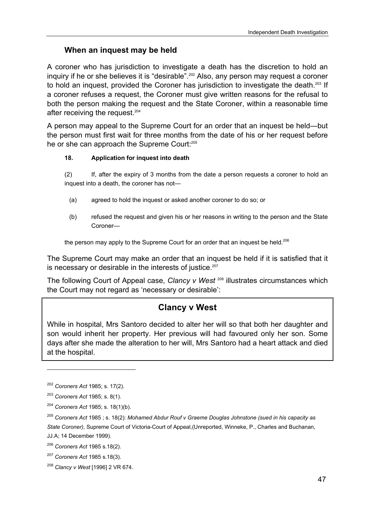## **When an inquest may be held**

A coroner who has jurisdiction to investigate a death has the discretion to hold an inquiry if he or she believes it is "desirable".<sup>202</sup> Also, any person may request a coroner to hold an inquest, provided the Coroner has jurisdiction to investigate the death.<sup>203</sup> If a coroner refuses a request, the Coroner must give written reasons for the refusal to both the person making the request and the State Coroner, within a reasonable time after receiving the request.<sup>204</sup>

A person may appeal to the Supreme Court for an order that an inquest be held—but the person must first wait for three months from the date of his or her request before he or she can approach the Supreme Court:<sup>205</sup>

### **18. Application for inquest into death**

(2) If, after the expiry of 3 months from the date a person requests a coroner to hold an inquest into a death, the coroner has not—

- (a) agreed to hold the inquest or asked another coroner to do so; or
- (b) refused the request and given his or her reasons in writing to the person and the State Coroner—

the person may apply to the Supreme Court for an order that an inquest be held.<sup>206</sup>

The Supreme Court may make an order that an inquest be held if it is satisfied that it is necessary or desirable in the interests of justice.<sup>207</sup>

The following Court of Appeal case, *Clancy v West* <sup>208</sup> illustrates circumstances which the Court may not regard as 'necessary or desirable':

# **Clancy v West**

While in hospital, Mrs Santoro decided to alter her will so that both her daughter and son would inherit her property. Her previous will had favoured only her son. Some days after she made the alteration to her will, Mrs Santoro had a heart attack and died at the hospital.

 $\overline{a}$ 

<sup>202</sup> *Coroners Act* 1985; s. 17(2).

<sup>203</sup> *Coroners Act* 1985; s. 8(1).

<sup>204</sup> *Coroners Act* 1985; s. 18(1)(b).

<sup>205</sup> *Coroners Act* 1985 ; s. 18(2): *Mohamed Abdur Rouf v Graeme Douglas Johnstone (sued in his capacity as State Coroner)*, Supreme Court of Victoria-Court of Appeal,(Unreported, Winneke, P., Charles and Buchanan, JJ.A; 14 December 1999).

<sup>206</sup> *Coroners Act* 1985 s.18(2).

<sup>207</sup> *Coroners Act* 1985 s.18(3).

<sup>208</sup> *Clancy v West* [1996] 2 VR 674.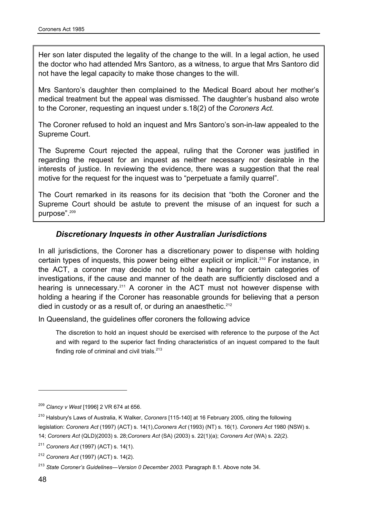Her son later disputed the legality of the change to the will. In a legal action, he used the doctor who had attended Mrs Santoro, as a witness, to argue that Mrs Santoro did not have the legal capacity to make those changes to the will.

Mrs Santoro's daughter then complained to the Medical Board about her mother's medical treatment but the appeal was dismissed. The daughter's husband also wrote to the Coroner, requesting an inquest under s.18(2) of the *Coroners Act.*

The Coroner refused to hold an inquest and Mrs Santoro's son-in-law appealed to the Supreme Court.

The Supreme Court rejected the appeal, ruling that the Coroner was justified in regarding the request for an inquest as neither necessary nor desirable in the interests of justice. In reviewing the evidence, there was a suggestion that the real motive for the request for the inquest was to "perpetuate a family quarrel".

The Court remarked in its reasons for its decision that "both the Coroner and the Supreme Court should be astute to prevent the misuse of an inquest for such a purpose".<sup>209</sup>

### *Discretionary Inquests in other Australian Jurisdictions*

In all jurisdictions, the Coroner has a discretionary power to dispense with holding certain types of inquests, this power being either explicit or implicit.<sup>210</sup> For instance, in the ACT, a coroner may decide not to hold a hearing for certain categories of investigations, if the cause and manner of the death are sufficiently disclosed and a hearing is unnecessary.<sup>211</sup> A coroner in the ACT must not however dispense with holding a hearing if the Coroner has reasonable grounds for believing that a person died in custody or as a result of, or during an anaesthetic.<sup>212</sup>

In Queensland, the guidelines offer coroners the following advice

The discretion to hold an inquest should be exercised with reference to the purpose of the Act and with regard to the superior fact finding characteristics of an inquest compared to the fault finding role of criminal and civil trials. $213$ 

<sup>209</sup> *Clancy v West* [1996] 2 VR 674 at 656.

<sup>210</sup> Halsbury's Laws of Australia, K Walker, *Coroners* [115-140] at 16 February 2005, citing the following

legislation: *Coroners Act* (1997) (ACT) s. 14(1),*Coroners Act* (1993) (NT) s. 16(1). *Coroners Act* 1980 (NSW) s.

<sup>14;</sup> *Coroners Act* (QLD)(2003) s. 28;*Coroners Act* (SA) (2003) s. 22(1)(a); *Coroners Act* (WA) s. 22(2).

<sup>211</sup> *Coroners Act* (1997) (ACT) s. 14(1).

<sup>212</sup> *Coroners Act* (1997) (ACT) s. 14(2).

<sup>&</sup>lt;sup>213</sup> State Coroner's Guidelines—Version 0 December 2003. Paragraph 8.1. Above note 34.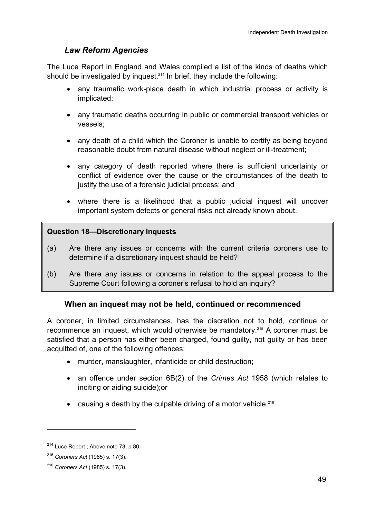## *Law Reform Agencies*

The Luce Report in England and Wales compiled a list of the kinds of deaths which should be investigated by inquest.<sup>214</sup> In brief, they include the following:

- any traumatic work-place death in which industrial process or activity is implicated;
- any traumatic deaths occurring in public or commercial transport vehicles or vessels;
- any death of a child which the Coroner is unable to certify as being beyond reasonable doubt from natural disease without neglect or ill-treatment;
- any category of death reported where there is sufficient uncertainty or conflict of evidence over the cause or the circumstances of the death to justify the use of a forensic judicial process; and
- where there is a likelihood that a public judicial inquest will uncover important system defects or general risks not already known about.

### **Question 18—Discretionary Inquests**

- (a) Are there any issues or concerns with the current criteria coroners use to determine if a discretionary inquest should be held?
- (b) Are there any issues or concerns in relation to the appeal process to the Supreme Court following a coroner's refusal to hold an inquiry?

## **When an inquest may not be held, continued or recommenced**

A coroner, in limited circumstances, has the discretion not to hold, continue or recommence an inquest, which would otherwise be mandatory.215 A coroner must be satisfied that a person has either been charged, found guilty, not guilty or has been acquitted of, one of the following offences:

- murder, manslaughter, infanticide or child destruction;
- an offence under section 6B(2) of the *Crimes Act* 1958 (which relates to inciting or aiding suicide);or
- causing a death by the culpable driving of a motor vehicle.<sup>216</sup>

<sup>&</sup>lt;sup>214</sup> Luce Report ; Above note 73; p 80.

<sup>215</sup> *Coroners Act* (1985) s. 17(3).

<sup>216</sup> *Coroners Act* (1985) s. 17(3).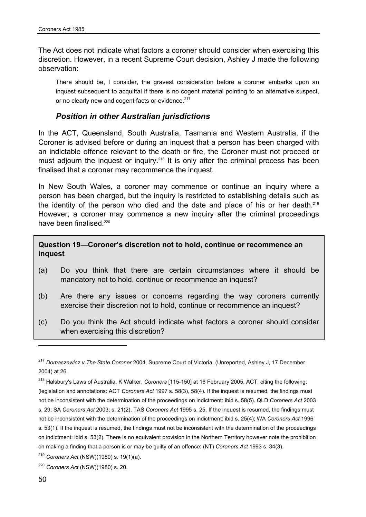The Act does not indicate what factors a coroner should consider when exercising this discretion. However, in a recent Supreme Court decision, Ashley J made the following observation:

There should be, I consider, the gravest consideration before a coroner embarks upon an inquest subsequent to acquittal if there is no cogent material pointing to an alternative suspect, or no clearly new and cogent facts or evidence.<sup>217</sup>

#### *Position in other Australian jurisdictions*

In the ACT, Queensland, South Australia, Tasmania and Western Australia, if the Coroner is advised before or during an inquest that a person has been charged with an indictable offence relevant to the death or fire, the Coroner must not proceed or must adjourn the inquest or inquiry.<sup>218</sup> It is only after the criminal process has been finalised that a coroner may recommence the inquest.

In New South Wales, a coroner may commence or continue an inquiry where a person has been charged, but the inquiry is restricted to establishing details such as the identity of the person who died and the date and place of his or her death.<sup>219</sup> However, a coroner may commence a new inquiry after the criminal proceedings have been finalised.<sup>220</sup>

**Question 19—Coroner's discretion not to hold, continue or recommence an inquest** 

- (a) Do you think that there are certain circumstances where it should be mandatory not to hold, continue or recommence an inquest?
- (b) Are there any issues or concerns regarding the way coroners currently exercise their discretion not to hold, continue or recommence an inquest?
- (c) Do you think the Act should indicate what factors a coroner should consider when exercising this discretion?

<sup>217</sup> *Domaszewicz v The State Coroner* 2004, Supreme Court of Victoria, (Unreported, Ashley J, 17 December 2004) at 26.

<sup>218</sup> Halsbury's Laws of Australia, K Walker, *Coroners* [115-150] at 16 February 2005. ACT, citing the following: (legislation and annotations: ACT *Coroners Act* 1997 s. 58(3), 58(4). If the inquest is resumed, the findings must not be inconsistent with the determination of the proceedings on indictment: ibid s. 58(5). QLD *Coroners Act* 2003 s. 29; SA *Coroners Act* 2003; s. 21(2), TAS *Coroners Act* 1995 s. 25. If the inquest is resumed, the findings must not be inconsistent with the determination of the proceedings on indictment: ibid s. 25(4); WA *Coroners Act* 1996 s. 53(1). If the inquest is resumed, the findings must not be inconsistent with the determination of the proceedings on indictment: ibid s. 53(2). There is no equivalent provision in the Northern Territory however note the prohibition on making a finding that a person is or may be guilty of an offence: (NT) *Coroners Act* 1993 s. 34(3).

<sup>219</sup> *Coroners Act* (NSW)(1980) s. 19(1)(a).

<sup>220</sup> *Coroners Act* (NSW)(1980) s. 20.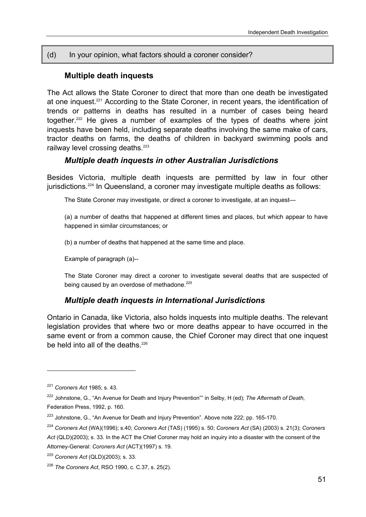#### (d) In your opinion, what factors should a coroner consider?

#### **Multiple death inquests**

The Act allows the State Coroner to direct that more than one death be investigated at one inquest.221 According to the State Coroner, in recent years, the identification of trends or patterns in deaths has resulted in a number of cases being heard together.222 He gives a number of examples of the types of deaths where joint inquests have been held, including separate deaths involving the same make of cars, tractor deaths on farms, the deaths of children in backyard swimming pools and railway level crossing deaths.<sup>223</sup>

#### *Multiple death inquests in other Australian Jurisdictions*

Besides Victoria, multiple death inquests are permitted by law in four other jurisdictions.<sup>224</sup> In Queensland, a coroner may investigate multiple deaths as follows:

The State Coroner may investigate, or direct a coroner to investigate, at an inquest—

(a) a number of deaths that happened at different times and places, but which appear to have happened in similar circumstances; or

(b) a number of deaths that happened at the same time and place.

Example of paragraph (a)--

The State Coroner may direct a coroner to investigate several deaths that are suspected of being caused by an overdose of methadone.<sup>225</sup>

#### *Multiple death inquests in International Jurisdictions*

Ontario in Canada, like Victoria, also holds inquests into multiple deaths. The relevant legislation provides that where two or more deaths appear to have occurred in the same event or from a common cause, the Chief Coroner may direct that one inquest be held into all of the deaths.<sup>226</sup>

<sup>221</sup> *Coroners Act* 1985; s. 43.

<sup>222</sup> Johnstone, G., "An Avenue for Death and Injury Prevention"" in Selby, H (ed); *The Aftermath of Death,* Federation Press, 1992, p. 160.

<sup>&</sup>lt;sup>223</sup> Johnstone, G., "An Avenue for Death and Injury Prevention". Above note 222; pp. 165-170.

<sup>224</sup> *Coroners Act* (WA)(1996); s.40; *Coroners Act* (TAS) (1995) s. 50; *Coroners Act* (SA) (2003) s. 21(3); *Coroners Act* (QLD)(2003); s. 33. In the ACT the Chief Coroner may hold an inquiry into a disaster with the consent of the Attorney-General: *Coroners Act* (ACT)(1997) s. 19.

<sup>225</sup> *Coroners Act* (QLD)(2003); s. 33.

<sup>226</sup> *The Coroners Act*, RSO 1990, c. C.37, s. 25(2).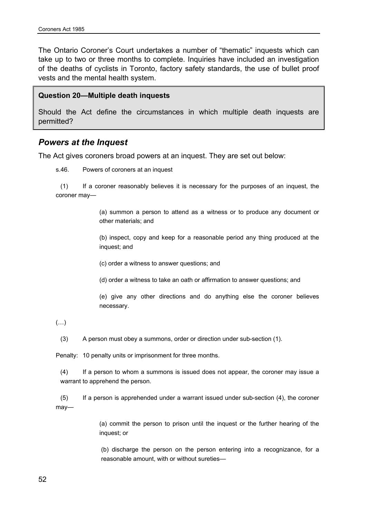The Ontario Coroner's Court undertakes a number of "thematic" inquests which can take up to two or three months to complete. Inquiries have included an investigation of the deaths of cyclists in Toronto, factory safety standards, the use of bullet proof vests and the mental health system.

#### **Question 20—Multiple death inquests**

Should the Act define the circumstances in which multiple death inquests are permitted?

#### *Powers at the Inquest*

The Act gives coroners broad powers at an inquest. They are set out below:

s.46. Powers of coroners at an inquest

 (1) If a coroner reasonably believes it is necessary for the purposes of an inquest, the coroner may—

> (a) summon a person to attend as a witness or to produce any document or other materials; and

> (b) inspect, copy and keep for a reasonable period any thing produced at the inquest; and

(c) order a witness to answer questions; and

(d) order a witness to take an oath or affirmation to answer questions; and

 (e) give any other directions and do anything else the coroner believes necessary.

(…)

(3) A person must obey a summons, order or direction under sub-section (1).

Penalty: 10 penalty units or imprisonment for three months.

(4) If a person to whom a summons is issued does not appear, the coroner may issue a warrant to apprehend the person.

 (5) If a person is apprehended under a warrant issued under sub-section (4), the coroner may—

> (a) commit the person to prison until the inquest or the further hearing of the inquest; or

> (b) discharge the person on the person entering into a recognizance, for a reasonable amount, with or without sureties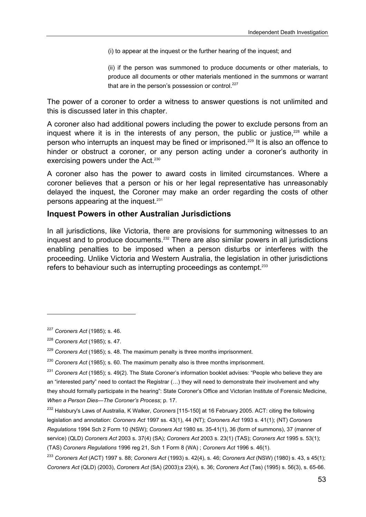(i) to appear at the inquest or the further hearing of the inquest; and

 (ii) if the person was summoned to produce documents or other materials, to produce all documents or other materials mentioned in the summons or warrant that are in the person's possession or control. $227$ 

The power of a coroner to order a witness to answer questions is not unlimited and this is discussed later in this chapter.

A coroner also had additional powers including the power to exclude persons from an inquest where it is in the interests of any person, the public or justice, $228$  while a person who interrupts an inquest may be fined or imprisoned.229 It is also an offence to hinder or obstruct a coroner, or any person acting under a coroner's authority in exercising powers under the Act.<sup>230</sup>

A coroner also has the power to award costs in limited circumstances. Where a coroner believes that a person or his or her legal representative has unreasonably delayed the inquest, the Coroner may make an order regarding the costs of other persons appearing at the inquest.<sup>231</sup>

#### **Inquest Powers in other Australian Jurisdictions**

In all jurisdictions, like Victoria, there are provisions for summoning witnesses to an inquest and to produce documents.<sup>232</sup> There are also similar powers in all jurisdictions enabling penalties to be imposed when a person disturbs or interferes with the proceeding. Unlike Victoria and Western Australia, the legislation in other jurisdictions refers to behaviour such as interrupting proceedings as contempt.<sup>233</sup>

<sup>227</sup> *Coroners Act* (1985); s. 46.

<sup>228</sup> *Coroners Act* (1985); s. 47.

<sup>229</sup> *Coroners Act* (1985); s. 48. The maximum penalty is three months imprisonment.

<sup>230</sup> *Coroners Act* (1985); s. 60. The maximum penalty also is three months imprisonment.

<sup>231</sup> *Coroners Act* (1985); s. 49(2). The State Coroner's information booklet advises: "People who believe they are an "interested party" need to contact the Registrar (…) they will need to demonstrate their involvement and why they should formally participate in the hearing": State Coroner's Office and Victorian Institute of Forensic Medicine, *When a Person Dies—The Coroner's Process*; p. 17.

<sup>232</sup> Halsbury's Laws of Australia, K Walker, *Coroners* [115-150] at 16 February 2005. ACT: citing the following legislation and annotation: *Coroners Act* 1997 ss. 43(1), 44 (NT); *Coroners Act* 1993 s. 41(1); (NT) *Coroners Regulations* 1994 Sch 2 Form 10 (NSW); *Coroners Act* 1980 ss. 35-41(1), 36 (form of summons), 37 (manner of service) (QLD) *Coroners Act* 2003 s. 37(4) (SA); *Coroners Act* 2003 s. 23(1) (TAS); *Coroners Act* 1995 s. 53(1); (TAS) *Coroners Regulations* 1996 reg 21, Sch 1 Form 8 (WA) ; *Coroners Act* 1996 s. 46(1).

<sup>233</sup> *Coroners Act* (ACT) 1997 s. 88; *Coroners Act* (1993) s. 42(4), s. 46; *Coroners Act* (NSW) (1980) s. 43, s 45(1); *Coroners Act* (QLD) (2003), *Coroners Act* (SA) (2003);s 23(4), s. 36; *Coroners Act* (Tas) (1995) s. 56(3), s. 65-66.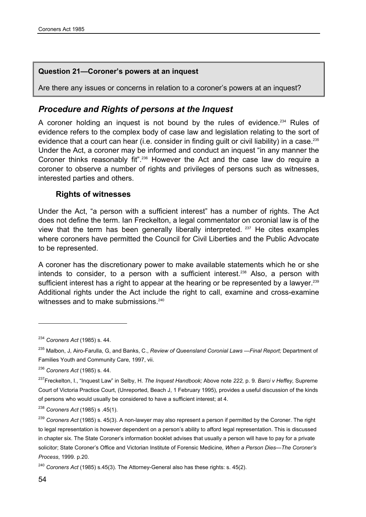#### **Question 21—Coroner's powers at an inquest**

Are there any issues or concerns in relation to a coroner's powers at an inquest?

## *Procedure and Rights of persons at the Inquest*

A coroner holding an inquest is not bound by the rules of evidence.<sup>234</sup> Rules of evidence refers to the complex body of case law and legislation relating to the sort of evidence that a court can hear (i.e. consider in finding guilt or civil liability) in a case.<sup>235</sup> Under the Act, a coroner may be informed and conduct an inquest "in any manner the Coroner thinks reasonably fit<sup>", 236</sup> However the Act and the case law do require a coroner to observe a number of rights and privileges of persons such as witnesses, interested parties and others.

#### **Rights of witnesses**

Under the Act, "a person with a sufficient interest" has a number of rights. The Act does not define the term. Ian Freckelton, a legal commentator on coronial law is of the view that the term has been generally liberally interpreted. 237 He cites examples where coroners have permitted the Council for Civil Liberties and the Public Advocate to be represented.

A coroner has the discretionary power to make available statements which he or she intends to consider, to a person with a sufficient interest.<sup>238</sup> Also, a person with sufficient interest has a right to appear at the hearing or be represented by a lawyer.<sup>239</sup> Additional rights under the Act include the right to call, examine and cross-examine witnesses and to make submissions.<sup>240</sup>

<sup>234</sup> *Coroners Act* (1985) s. 44.

<sup>235</sup> Malbon, J, Airo-Farulla, G, and Banks, C., *Review of Queensland Coronial Laws —Final Report;* Department of Families Youth and Community Care, 1997, vii.

<sup>236</sup> *Coroners Act* (1985) s. 44.

<sup>237</sup>Freckelton, I., "Inquest Law" in Selby, H. *The Inquest Handbook;* Above note *222,* p. 9*. Barci v Heffey,* Supreme Court of Victoria Practice Court, (Unreported, Beach J, 1 February 1995), provides a useful discussion of the kinds of persons who would usually be considered to have a sufficient interest; at 4.

<sup>238</sup> *Coroners Act* (1985) s .45(1).

<sup>239</sup> *Coroners Act* (1985) s. 45(3). A non-lawyer may also represent a person if permitted by the Coroner. The right to legal representation is however dependent on a person's ability to afford legal representation. This is discussed in chapter six. The State Coroner's information booklet advises that usually a person will have to pay for a private solicitor; State Coroner's Office and Victorian Institute of Forensic Medicine, *When a Person Dies—The Coroner's Process*, 1999. p.20.

<sup>240</sup> *Coroners Act* (1985) s.45(3). The Attorney-General also has these rights: s. 45(2).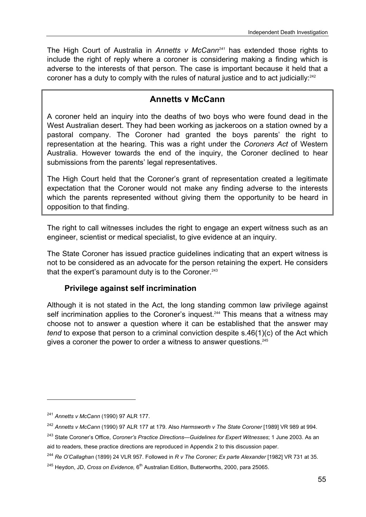The High Court of Australia in *Annetts v McCann<sup>241</sup>* has extended those rights to include the right of reply where a coroner is considering making a finding which is adverse to the interests of that person. The case is important because it held that a coroner has a duty to comply with the rules of natural justice and to act judicially:<sup>242</sup>

# **Annetts v McCann**

A coroner held an inquiry into the deaths of two boys who were found dead in the West Australian desert. They had been working as jackeroos on a station owned by a pastoral company. The Coroner had granted the boys parents' the right to representation at the hearing. This was a right under the *Coroners Act* of Western Australia. However towards the end of the inquiry, the Coroner declined to hear submissions from the parents' legal representatives.

The High Court held that the Coroner's grant of representation created a legitimate expectation that the Coroner would not make any finding adverse to the interests which the parents represented without giving them the opportunity to be heard in opposition to that finding.

The right to call witnesses includes the right to engage an expert witness such as an engineer, scientist or medical specialist, to give evidence at an inquiry.

The State Coroner has issued practice guidelines indicating that an expert witness is not to be considered as an advocate for the person retaining the expert. He considers that the expert's paramount duty is to the Coroner. $243$ 

### **Privilege against self incrimination**

Although it is not stated in the Act, the long standing common law privilege against self incrimination applies to the Coroner's inquest.<sup>244</sup> This means that a witness may choose not to answer a question where it can be established that the answer may *tend* to expose that person to a criminal conviction despite s.46(1)(c) of the Act which gives a coroner the power to order a witness to answer questions.<sup>245</sup>

<sup>241</sup> *Annetts v McCann* (1990) 97 ALR 177.

<sup>242</sup> *Annetts v McCann* (1990) 97 ALR 177 at 179. Also *Harmsworth v The State Coroner* [1989] VR 989 at 994.

<sup>243</sup> State Coroner's Office, *Coroner's Practice Directions—Guidelines for Expert Witnesses*; 1 June 2003. As an aid to readers, these practice directions are reproduced in Appendix 2 to this discussion paper.

<sup>244</sup> *Re O'Callaghan* (1899) 24 VLR 957. Followed in *R v The Coroner; Ex parte Alexander* [1982] VR 731 at 35.

<sup>&</sup>lt;sup>245</sup> Heydon, JD, *Cross on Evidence*, 6<sup>th</sup> Australian Edition, Butterworths, 2000, para 25065.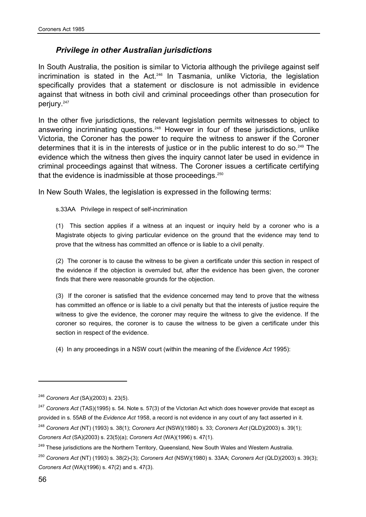#### *Privilege in other Australian jurisdictions*

In South Australia, the position is similar to Victoria although the privilege against self incrimination is stated in the Act.<sup>246</sup> In Tasmania, unlike Victoria, the legislation specifically provides that a statement or disclosure is not admissible in evidence against that witness in both civil and criminal proceedings other than prosecution for perjury.<sup>247</sup>

In the other five jurisdictions, the relevant legislation permits witnesses to object to answering incriminating questions.<sup>248</sup> However in four of these jurisdictions, unlike Victoria, the Coroner has the power to require the witness to answer if the Coroner determines that it is in the interests of justice or in the public interest to do so.<sup>249</sup> The evidence which the witness then gives the inquiry cannot later be used in evidence in criminal proceedings against that witness. The Coroner issues a certificate certifying that the evidence is inadmissible at those proceedings.<sup>250</sup>

In New South Wales, the legislation is expressed in the following terms:

s.33AA Privilege in respect of self-incrimination

(1) This section applies if a witness at an inquest or inquiry held by a coroner who is a Magistrate objects to giving particular evidence on the ground that the evidence may tend to prove that the witness has committed an offence or is liable to a civil penalty.

(2) The coroner is to cause the witness to be given a certificate under this section in respect of the evidence if the objection is overruled but, after the evidence has been given, the coroner finds that there were reasonable grounds for the objection.

(3) If the coroner is satisfied that the evidence concerned may tend to prove that the witness has committed an offence or is liable to a civil penalty but that the interests of justice require the witness to give the evidence, the coroner may require the witness to give the evidence. If the coroner so requires, the coroner is to cause the witness to be given a certificate under this section in respect of the evidence.

(4) In any proceedings in a NSW court (within the meaning of the *Evidence Act* 1995):

<sup>246</sup> *Coroners Act* (SA)(2003) s. 23(5).

<sup>247</sup> *Coroners Act* (TAS)(1995) s. 54. Note s. 57(3) of the Victorian Act which does however provide that except as provided in s. 55AB of the *Evidence Act* 1958, a record is not evidence in any court of any fact asserted in it.

<sup>248</sup> *Coroners Act* (NT) (1993) s. 38(1); *Coroners Act* (NSW)(1980) s. 33; *Coroners Act* (QLD)(2003) s. 39(1); *Coroners Act* (SA)(2003) s. 23(5)(a); *Coroners Act* (WA)(1996) s. 47(1).

<sup>&</sup>lt;sup>249</sup> These jurisdictions are the Northern Territory, Queensland, New South Wales and Western Australia.

<sup>250</sup> *Coroners Act* (NT) (1993) s. 38(2)-(3); *Coroners Act* (NSW)(1980) s. 33AA; *Coroners Act* (QLD)(2003) s. 39(3); *Coroners Act* (WA)(1996) s. 47(2) and s. 47(3).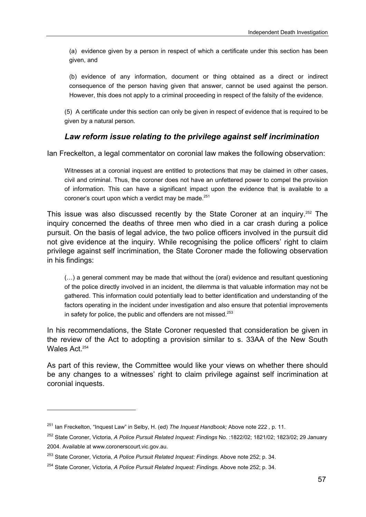(a) evidence given by a person in respect of which a certificate under this section has been given, and

(b) evidence of any information, document or thing obtained as a direct or indirect consequence of the person having given that answer, cannot be used against the person. However, this does not apply to a criminal proceeding in respect of the falsity of the evidence.

(5) A certificate under this section can only be given in respect of evidence that is required to be given by a natural person.

#### *Law reform issue relating to the privilege against self incrimination*

Ian Freckelton, a legal commentator on coronial law makes the following observation:

Witnesses at a coronial inquest are entitled to protections that may be claimed in other cases, civil and criminal. Thus, the coroner does not have an unfettered power to compel the provision of information. This can have a significant impact upon the evidence that is available to a coroner's court upon which a verdict may be made. $251$ 

This issue was also discussed recently by the State Coroner at an inquiry.252 The inquiry concerned the deaths of three men who died in a car crash during a police pursuit. On the basis of legal advice, the two police officers involved in the pursuit did not give evidence at the inquiry. While recognising the police officers' right to claim privilege against self incrimination, the State Coroner made the following observation in his findings:

(…) a general comment may be made that without the (oral) evidence and resultant questioning of the police directly involved in an incident, the dilemma is that valuable information may not be gathered. This information could potentially lead to better identification and understanding of the factors operating in the incident under investigation and also ensure that potential improvements in safety for police, the public and offenders are not missed. $253$ 

In his recommendations, the State Coroner requested that consideration be given in the review of the Act to adopting a provision similar to s. 33AA of the New South Wales Act<sup>254</sup>

As part of this review, the Committee would like your views on whether there should be any changes to a witnesses' right to claim privilege against self incrimination at coronial inquests.

 $\overline{a}$ 

<sup>251</sup> Ian Freckelton, "Inquest Law" in Selby, H. (ed) *The Inquest Handbook;* Above note 222 *,* p. 11.

<sup>252</sup> State Coroner, Victoria, *A Police Pursuit Related Inquest: Findings* No. :1822/02; 1821/02; 1823/02; 29 January 2004. Available at www.coronerscourt.vic.gov.au.

<sup>253</sup> State Coroner, Victoria, *A Police Pursuit Related Inquest: Findings.* Above note 252; p. 34.

<sup>254</sup> State Coroner, Victoria, *A Police Pursuit Related Inquest: Findings.* Above note 252; p. 34.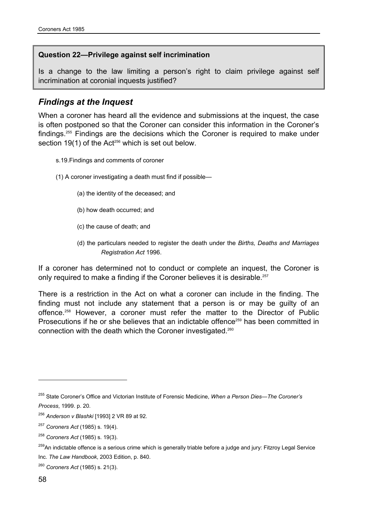#### **Question 22—Privilege against self incrimination**

Is a change to the law limiting a person's right to claim privilege against self incrimination at coronial inquests justified?

### *Findings at the Inquest*

When a coroner has heard all the evidence and submissions at the inquest, the case is often postponed so that the Coroner can consider this information in the Coroner's findings.255 Findings are the decisions which the Coroner is required to make under section 19(1) of the Act<sup>256</sup> which is set out below.

- s.19.Findings and comments of coroner
- (1) A coroner investigating a death must find if possible—
	- (a) the identity of the deceased; and
	- (b) how death occurred; and
	- (c) the cause of death; and
	- (d) the particulars needed to register the death under the *Births, Deaths and Marriages Registration Act* 1996.

If a coroner has determined not to conduct or complete an inquest, the Coroner is only required to make a finding if the Coroner believes it is desirable.257

There is a restriction in the Act on what a coroner can include in the finding. The finding must not include any statement that a person is or may be guilty of an offence.258 However, a coroner must refer the matter to the Director of Public Prosecutions if he or she believes that an indictable offence<sup>259</sup> has been committed in connection with the death which the Coroner investigated.260

<sup>255</sup> State Coroner's Office and Victorian Institute of Forensic Medicine, *When a Person Dies—The Coroner's Process*, 1999. p. 20.

<sup>256</sup> *Anderson v Blashki* [1993] 2 VR 89 at 92.

<sup>257</sup> *Coroners Act* (1985) s. 19(4).

<sup>258</sup> *Coroners Act* (1985) s. 19(3).

<sup>&</sup>lt;sup>259</sup>An indictable offence is a serious crime which is generally triable before a judge and jury: Fitzroy Legal Service Inc. *The Law Handbook*, 2003 Edition, p. 840.

<sup>260</sup> *Coroners Act* (1985) s. 21(3).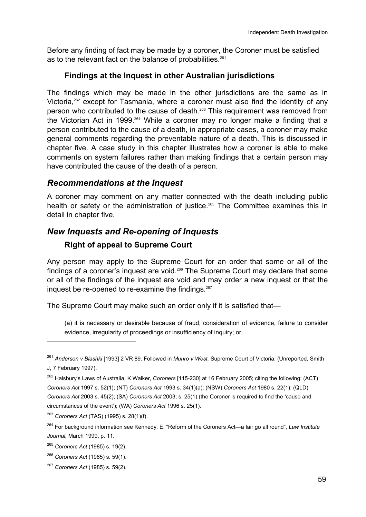Before any finding of fact may be made by a coroner, the Coroner must be satisfied as to the relevant fact on the balance of probabilities.<sup>261</sup>

#### **Findings at the Inquest in other Australian jurisdictions**

The findings which may be made in the other jurisdictions are the same as in Victoria,<sup>262</sup> except for Tasmania, where a coroner must also find the identity of any person who contributed to the cause of death.263 This requirement was removed from the Victorian Act in 1999.<sup>264</sup> While a coroner may no longer make a finding that a person contributed to the cause of a death, in appropriate cases, a coroner may make general comments regarding the preventable nature of a death. This is discussed in chapter five. A case study in this chapter illustrates how a coroner is able to make comments on system failures rather than making findings that a certain person may have contributed the cause of the death of a person.

### *Recommendations at the Inquest*

A coroner may comment on any matter connected with the death including public health or safety or the administration of justice.<sup>265</sup> The Committee examines this in detail in chapter five.

### *New Inquests and Re-opening of Inquests*

### **Right of appeal to Supreme Court**

Any person may apply to the Supreme Court for an order that some or all of the findings of a coroner's inquest are void.<sup>266</sup> The Supreme Court may declare that some or all of the findings of the inquest are void and may order a new inquest or that the inquest be re-opened to re-examine the findings.<sup>267</sup>

The Supreme Court may make such an order only if it is satisfied that—

(a) it is necessary or desirable because of fraud, consideration of evidence, failure to consider evidence, irregularity of proceedings or insufficiency of inquiry; or

<sup>263</sup> *Coroners Act* (TAS) (1995) s. 28(1)(f).

<sup>261</sup> *Anderson v Blashki* [1993] 2 VR 89. Followed in *Munro v West,* Supreme Court of Victoria, (Unreported, Smith J, 7 February 1997).

<sup>262</sup> Halsbury's Laws of Australia, K Walker, *Coroners* [115-230] at 16 February 2005; citing the following: (ACT) *Coroners Act* 1997 s. 52(1); (NT) *Coroners Act* 1993 s. 34(1)(a); (NSW) *Coroners Act* 1980 s. 22(1); (QLD) *Coroners Act* 2003 s. 45(2); (SA) *Coroners Act* 2003; s. 25(1) (the Coroner is required to find the 'cause and circumstances of the event'); (WA) *Coroners Act* 1996 s. 25(1).

<sup>264</sup> For background information see Kennedy, E; "Reform of the Coroners Act—a fair go all round", *Law Institute Journal,* March 1999, p. 11.

<sup>265</sup> *Coroners Act* (1985) s. 19(2).

<sup>266</sup> *Coroners Act* (1985) s. 59(1).

<sup>267</sup> *Coroners Act* (1985) s. 59(2).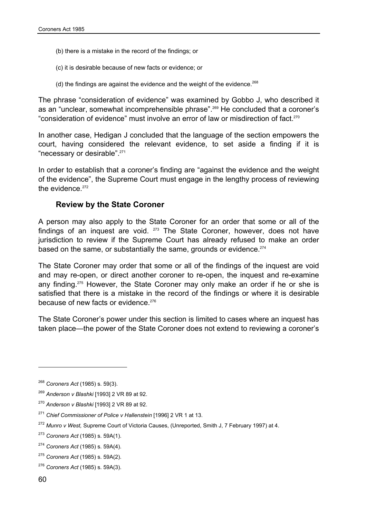- (b) there is a mistake in the record of the findings; or
- (c) it is desirable because of new facts or evidence; or
- (d) the findings are against the evidence and the weight of the evidence.<sup>268</sup>

The phrase "consideration of evidence" was examined by Gobbo J, who described it as an "unclear, somewhat incomprehensible phrase".269 He concluded that a coroner's "consideration of evidence" must involve an error of law or misdirection of fact.270

In another case, Hedigan J concluded that the language of the section empowers the court, having considered the relevant evidence, to set aside a finding if it is "necessary or desirable".271

In order to establish that a coroner's finding are "against the evidence and the weight of the evidence", the Supreme Court must engage in the lengthy process of reviewing the evidence  $272$ 

#### **Review by the State Coroner**

A person may also apply to the State Coroner for an order that some or all of the findings of an inquest are void. <sup>273</sup> The State Coroner, however, does not have jurisdiction to review if the Supreme Court has already refused to make an order based on the same, or substantially the same, grounds or evidence.<sup>274</sup>

The State Coroner may order that some or all of the findings of the inquest are void and may re-open, or direct another coroner to re-open, the inquest and re-examine any finding.<sup>275</sup> However, the State Coroner may only make an order if he or she is satisfied that there is a mistake in the record of the findings or where it is desirable because of new facts or evidence.<sup>276</sup>

The State Coroner's power under this section is limited to cases where an inquest has taken place—the power of the State Coroner does not extend to reviewing a coroner's

<sup>268</sup> *Coroners Act* (1985) s. 59(3).

<sup>269</sup> *Anderson v Blashki* [1993] 2 VR 89 at 92.

<sup>270</sup> *Anderson v Blashki* [1993] 2 VR 89 at 92.

<sup>271</sup> *Chief Commissioner of Police v Hallenstein* [1996] 2 VR 1 at 13.

<sup>272</sup> *Munro v West,* Supreme Court of Victoria Causes, (Unreported, Smith J, 7 February 1997) at 4.

<sup>273</sup> *Coroners Act* (1985) s. 59A(1).

<sup>274</sup> *Coroners Act* (1985) s. 59A(4).

<sup>275</sup> *Coroners Act* (1985) s. 59A(2).

<sup>276</sup> *Coroners Act* (1985) s. 59A(3).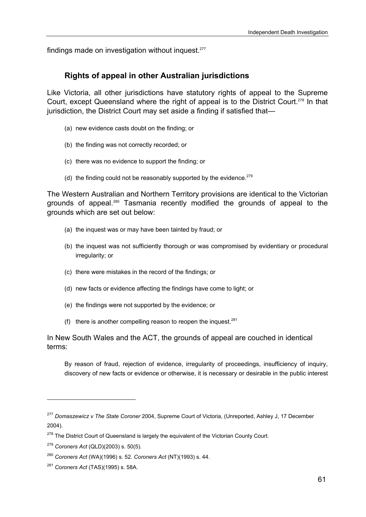findings made on investigation without inquest.<sup>277</sup>

#### **Rights of appeal in other Australian jurisdictions**

Like Victoria, all other jurisdictions have statutory rights of appeal to the Supreme Court, except Queensland where the right of appeal is to the District Court.<sup>278</sup> In that jurisdiction, the District Court may set aside a finding if satisfied that—

- (a) new evidence casts doubt on the finding; or
- (b) the finding was not correctly recorded; or
- (c) there was no evidence to support the finding; or
- (d) the finding could not be reasonably supported by the evidence. $279$

The Western Australian and Northern Territory provisions are identical to the Victorian grounds of appeal.<sup>280</sup> Tasmania recently modified the grounds of appeal to the grounds which are set out below:

- (a) the inquest was or may have been tainted by fraud; or
- (b) the inquest was not sufficiently thorough or was compromised by evidentiary or procedural irregularity; or
- (c) there were mistakes in the record of the findings; or
- (d) new facts or evidence affecting the findings have come to light; or
- (e) the findings were not supported by the evidence; or
- (f) there is another compelling reason to reopen the inquest. $281$

In New South Wales and the ACT, the grounds of appeal are couched in identical terms:

By reason of fraud, rejection of evidence, irregularity of proceedings, insufficiency of inquiry, discovery of new facts or evidence or otherwise, it is necessary or desirable in the public interest

<sup>277</sup> *Domaszewicz v The State Coroner* 2004, Supreme Court of Victoria, (Unreported, Ashley J, 17 December 2004).

<sup>&</sup>lt;sup>278</sup> The District Court of Queensland is largely the equivalent of the Victorian County Court.

<sup>279</sup> *Coroners Act* (QLD)(2003) s. 50(5).

<sup>280</sup> *Coroners Act* (WA)(1996) s. 52. *Coroners Act* (NT)(1993) s. 44.

<sup>281</sup> *Coroners Act* (TAS)(1995) s. 58A.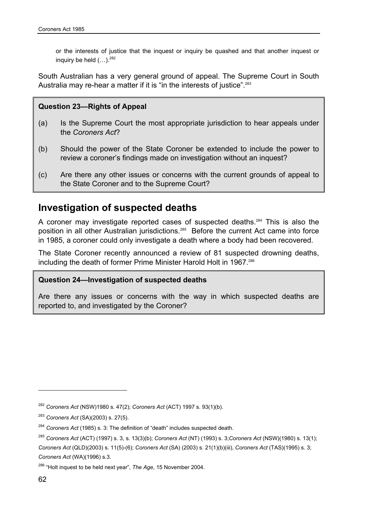or the interests of justice that the inquest or inquiry be quashed and that another inquest or inquiry be held  $(...)^282$ 

South Australian has a very general ground of appeal. The Supreme Court in South Australia may re-hear a matter if it is "in the interests of justice".<sup>283</sup>

#### **Question 23—Rights of Appeal**

- (a) Is the Supreme Court the most appropriate jurisdiction to hear appeals under the *Coroners Act*?
- (b) Should the power of the State Coroner be extended to include the power to review a coroner's findings made on investigation without an inquest?
- (c) Are there any other issues or concerns with the current grounds of appeal to the State Coroner and to the Supreme Court?

# **Investigation of suspected deaths**

A coroner may investigate reported cases of suspected deaths.<sup>284</sup> This is also the position in all other Australian jurisdictions.<sup>285</sup> Before the current Act came into force in 1985, a coroner could only investigate a death where a body had been recovered.

The State Coroner recently announced a review of 81 suspected drowning deaths, including the death of former Prime Minister Harold Holt in 1967.<sup>286</sup>

#### **Question 24—Investigation of suspected deaths**

Are there any issues or concerns with the way in which suspected deaths are reported to, and investigated by the Coroner?

<sup>282</sup> *Coroners Act* (NSW)1980 s. 47(2); *Coroners Act* (ACT) 1997 s. 93(1)(b).

<sup>283</sup> *Coroners Act* (SA)(2003) s. 27(5).

<sup>284</sup> *Coroners Act* (1985) s. 3: The definition of "death" includes suspected death.

<sup>285</sup> *Coroners Act* (ACT) (1997) s. 3, s. 13(3)(b); *Coroners Act* (NT) (1993) s. 3;*Coroners Act* (NSW)(1980) s. 13(1); *Coroners Act* (QLD)(2003) s. 11(5)-(6); *Coroners Act* (SA) (2003) s. 21(1)(b)(iii), *Coroners Act* (TAS)(1995) s. 3; *Coroners Act* (WA)(1996) s.3.

<sup>286 &</sup>quot;Holt inquest to be held next year", *The Age*, 15 November 2004.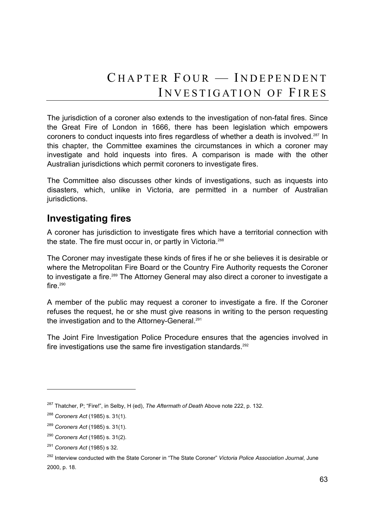The jurisdiction of a coroner also extends to the investigation of non-fatal fires. Since the Great Fire of London in 1666, there has been legislation which empowers coroners to conduct inquests into fires regardless of whether a death is involved.<sup>287</sup> In this chapter, the Committee examines the circumstances in which a coroner may investigate and hold inquests into fires. A comparison is made with the other Australian jurisdictions which permit coroners to investigate fires.

The Committee also discusses other kinds of investigations, such as inquests into disasters, which, unlike in Victoria, are permitted in a number of Australian jurisdictions.

# **Investigating fires**

A coroner has jurisdiction to investigate fires which have a territorial connection with the state. The fire must occur in, or partly in Victoria.<sup>288</sup>

The Coroner may investigate these kinds of fires if he or she believes it is desirable or where the Metropolitan Fire Board or the Country Fire Authority requests the Coroner to investigate a fire.<sup>289</sup> The Attorney General may also direct a coroner to investigate a fire. $290$ 

A member of the public may request a coroner to investigate a fire. If the Coroner refuses the request, he or she must give reasons in writing to the person requesting the investigation and to the Attorney-General.<sup>291</sup>

The Joint Fire Investigation Police Procedure ensures that the agencies involved in fire investigations use the same fire investigation standards.<sup>292</sup>

<sup>287</sup> Thatcher, P; "Fire!", in Selby, H (ed), *The Aftermath of Death* Above note 222, p. 132.

<sup>288</sup> *Coroners Act* (1985) s. 31(1).

<sup>289</sup> *Coroners Act* (1985) s. 31(1).

<sup>290</sup> *Coroners Act* (1985) s. 31(2).

<sup>291</sup> *Coroners Act* (1985) s 32.

<sup>292</sup> Interview conducted with the State Coroner in "The State Coroner" *Victoria Police Association Journal*, June 2000, p. 18.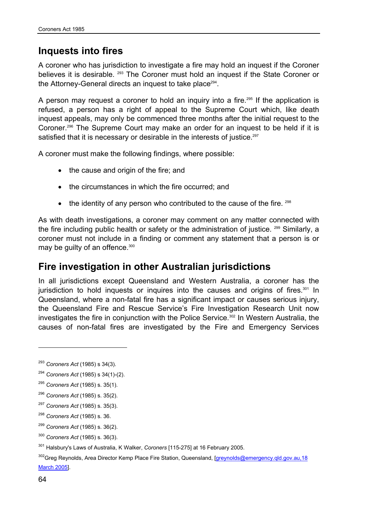# **Inquests into fires**

A coroner who has jurisdiction to investigate a fire may hold an inquest if the Coroner believes it is desirable. <sup>293</sup> The Coroner must hold an inquest if the State Coroner or the Attorney-General directs an inquest to take place<sup>294</sup>.

A person may request a coroner to hold an inquiry into a fire.<sup>295</sup> If the application is refused, a person has a right of appeal to the Supreme Court which, like death inquest appeals, may only be commenced three months after the initial request to the Coroner.296 The Supreme Court may make an order for an inquest to be held if it is satisfied that it is necessary or desirable in the interests of justice.<sup>297</sup>

A coroner must make the following findings, where possible:

- the cause and origin of the fire; and
- the circumstances in which the fire occurred; and
- $\bullet$  the identity of any person who contributed to the cause of the fire.  $298$

As with death investigations, a coroner may comment on any matter connected with the fire including public health or safety or the administration of justice. <sup>299</sup> Similarly, a coroner must not include in a finding or comment any statement that a person is or may be guilty of an offence.<sup>300</sup>

# **Fire investigation in other Australian jurisdictions**

In all jurisdictions except Queensland and Western Australia, a coroner has the jurisdiction to hold inquests or inquires into the causes and origins of fires.<sup>301</sup> In Queensland, where a non-fatal fire has a significant impact or causes serious injury, the Queensland Fire and Rescue Service's Fire Investigation Research Unit now investigates the fire in conjunction with the Police Service.<sup>302</sup> In Western Australia, the causes of non-fatal fires are investigated by the Fire and Emergency Services

- <sup>299</sup> *Coroners Act* (1985) s. 36(2).
- <sup>300</sup> *Coroners Act* (1985) s. 36(3).

<sup>293</sup> *Coroners Act* (1985) s 34(3).

<sup>294</sup> *Coroners Act* (1985) s 34(1)-(2).

<sup>295</sup> *Coroners Act* (1985) s. 35(1).

<sup>296</sup> *Coroners Act* (1985) s. 35(2).

<sup>297</sup> *Coroners Act* (1985) s. 35(3).

<sup>298</sup> *Coroners Act* (1985) s. 36.

<sup>301</sup> Halsbury's Laws of Australia, K Walker, *Coroners* [115-275] at 16 February 2005.

<sup>&</sup>lt;sup>302</sup>Greg Reynolds, Area Director Kemp Place Fire Station, Queensland, [greynolds@emergency.qld.gov.au,18 March 2005].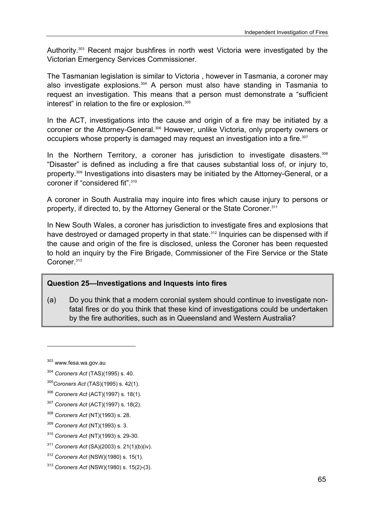Authority.303 Recent major bushfires in north west Victoria were investigated by the Victorian Emergency Services Commissioner.

The Tasmanian legislation is similar to Victoria , however in Tasmania, a coroner may also investigate explosions.<sup>304</sup> A person must also have standing in Tasmania to request an investigation. This means that a person must demonstrate a "sufficient interest" in relation to the fire or explosion.<sup>305</sup>

In the ACT, investigations into the cause and origin of a fire may be initiated by a coroner or the Attorney-General.306 However, unlike Victoria, only property owners or occupiers whose property is damaged may request an investigation into a fire.<sup>307</sup>

In the Northern Territory, a coroner has jurisdiction to investigate disasters.<sup>308</sup> "Disaster" is defined as including a fire that causes substantial loss of, or injury to, property.309 Investigations into disasters may be initiated by the Attorney-General, or a coroner if "considered fit".<sup>310</sup>

A coroner in South Australia may inquire into fires which cause injury to persons or property, if directed to, by the Attorney General or the State Coroner.<sup>311</sup>

In New South Wales, a coroner has jurisdiction to investigate fires and explosions that have destroyed or damaged property in that state.<sup>312</sup> Inquiries can be dispensed with if the cause and origin of the fire is disclosed, unless the Coroner has been requested to hold an inquiry by the Fire Brigade, Commissioner of the Fire Service or the State Coroner.<sup>313</sup>

#### **Question 25—Investigations and Inquests into fires**

(a) Do you think that a modern coronial system should continue to investigate nonfatal fires or do you think that these kind of investigations could be undertaken by the fire authorities, such as in Queensland and Western Australia?

- <sup>304</sup> *Coroners Act* (TAS)(1995) s. 40.
- <sup>305</sup>*Coroners Act* (TAS)(1995) s. 42(1).
- <sup>306</sup> *Coroners Act* (ACT)(1997) s. 18(1).
- <sup>307</sup> *Coroners Act* (ACT)(1997) s. 18(2).
- <sup>308</sup> *Coroners Act* (NT)(1993) s. 28.
- <sup>309</sup> *Coroners Act* (NT)(1993) s. 3.
- <sup>310</sup> *Coroners Act* (NT)(1993) s. 29-30.
- <sup>311</sup> *Coroners Act* (SA)(2003) s. 21(1)(b)(iv).
- <sup>312</sup> *Coroners Act* (NSW)(1980) s. 15(1).
- <sup>313</sup> *Coroners Act* (NSW)(1980) s. 15(2)-(3).

<sup>303</sup> www.fesa.wa.gov.au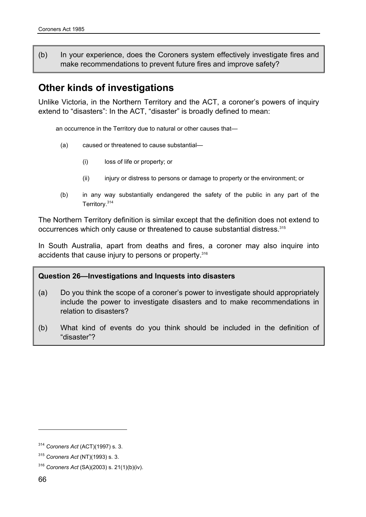(b) In your experience, does the Coroners system effectively investigate fires and make recommendations to prevent future fires and improve safety?

# **Other kinds of investigations**

Unlike Victoria, in the Northern Territory and the ACT, a coroner's powers of inquiry extend to "disasters": In the ACT, "disaster" is broadly defined to mean:

an occurrence in the Territory due to natural or other causes that—

- (a) caused or threatened to cause substantial—
	- (i) loss of life or property; or
	- (ii) injury or distress to persons or damage to property or the environment; or
- (b) in any way substantially endangered the safety of the public in any part of the Territory.<sup>314</sup>

The Northern Territory definition is similar except that the definition does not extend to occurrences which only cause or threatened to cause substantial distress.315

In South Australia, apart from deaths and fires, a coroner may also inquire into accidents that cause injury to persons or property.<sup>316</sup>

#### **Question 26—Investigations and Inquests into disasters**

- (a) Do you think the scope of a coroner's power to investigate should appropriately include the power to investigate disasters and to make recommendations in relation to disasters?
- (b) What kind of events do you think should be included in the definition of "disaster"?

<sup>314</sup> *Coroners Act* (ACT)(1997) s. 3.

<sup>315</sup> *Coroners Act* (NT)(1993) s. 3.

<sup>316</sup> *Coroners Act* (SA)(2003) s. 21(1)(b)(iv).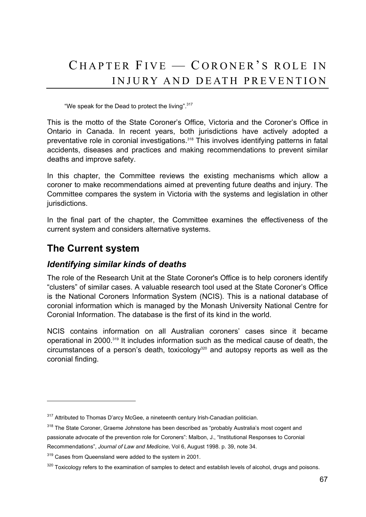# $CHAPTER$  FIVE  $-$  CORONER'S ROLE IN INJURY AND DEATH PREVENTION

"We speak for the Dead to protect the living".317

This is the motto of the State Coroner's Office, Victoria and the Coroner's Office in Ontario in Canada. In recent years, both jurisdictions have actively adopted a preventative role in coronial investigations.<sup>318</sup> This involves identifying patterns in fatal accidents, diseases and practices and making recommendations to prevent similar deaths and improve safety.

In this chapter, the Committee reviews the existing mechanisms which allow a coroner to make recommendations aimed at preventing future deaths and injury. The Committee compares the system in Victoria with the systems and legislation in other jurisdictions.

In the final part of the chapter, the Committee examines the effectiveness of the current system and considers alternative systems.

# **The Current system**

 $\overline{a}$ 

### *Identifying similar kinds of deaths*

The role of the Research Unit at the State Coroner's Office is to help coroners identify "clusters" of similar cases. A valuable research tool used at the State Coroner's Office is the National Coroners Information System (NCIS). This is a national database of coronial information which is managed by the Monash University National Centre for Coronial Information. The database is the first of its kind in the world.

NCIS contains information on all Australian coroners' cases since it became operational in 2000.319 It includes information such as the medical cause of death, the circumstances of a person's death, toxicology $320$  and autopsy reports as well as the coronial finding.

<sup>&</sup>lt;sup>317</sup> Attributed to Thomas D'arcy McGee, a nineteenth century Irish-Canadian politician.

<sup>&</sup>lt;sup>318</sup> The State Coroner, Graeme Johnstone has been described as "probably Australia's most cogent and passionate advocate of the prevention role for Coroners": Malbon, J., "Institutional Responses to Coronial Recommendations", *Journal of Law and Medicine,* Vol 6, August 1998. p. 39, note 34.

<sup>&</sup>lt;sup>319</sup> Cases from Queensland were added to the system in 2001.

<sup>&</sup>lt;sup>320</sup> Toxicology refers to the examination of samples to detect and establish levels of alcohol, drugs and poisons.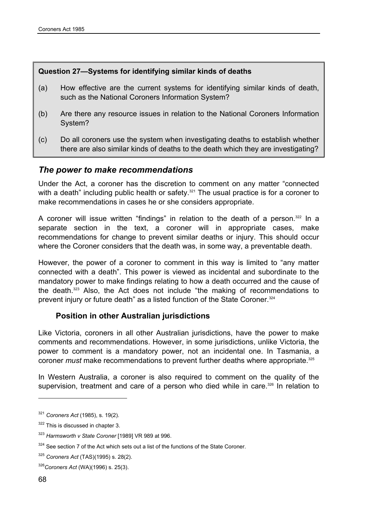#### **Question 27—Systems for identifying similar kinds of deaths**

- (a) How effective are the current systems for identifying similar kinds of death, such as the National Coroners Information System?
- (b) Are there any resource issues in relation to the National Coroners Information System?
- (c) Do all coroners use the system when investigating deaths to establish whether there are also similar kinds of deaths to the death which they are investigating?

### *The power to make recommendations*

Under the Act, a coroner has the discretion to comment on any matter "connected with a death" including public health or safety.<sup>321</sup> The usual practice is for a coroner to make recommendations in cases he or she considers appropriate.

A coroner will issue written "findings" in relation to the death of a person.<sup>322</sup> In a separate section in the text, a coroner will in appropriate cases, make recommendations for change to prevent similar deaths or injury. This should occur where the Coroner considers that the death was, in some way, a preventable death.

However, the power of a coroner to comment in this way is limited to "any matter connected with a death". This power is viewed as incidental and subordinate to the mandatory power to make findings relating to how a death occurred and the cause of the death.323 Also, the Act does not include "the making of recommendations to prevent injury or future death" as a listed function of the State Coroner.324

#### **Position in other Australian jurisdictions**

Like Victoria, coroners in all other Australian jurisdictions, have the power to make comments and recommendations. However, in some jurisdictions, unlike Victoria, the power to comment is a mandatory power, not an incidental one. In Tasmania, a coroner *must* make recommendations to prevent further deaths where appropriate.<sup>325</sup>

In Western Australia, a coroner is also required to comment on the quality of the supervision, treatment and care of a person who died while in care.<sup>326</sup> In relation to

<sup>321</sup> *Coroners Act* (1985), s. 19(2).

<sup>322</sup> This is discussed in chapter 3.

<sup>323</sup> *Harmsworth v State Coroner* [1989] VR 989 at 996.

 $324$  See section 7 of the Act which sets out a list of the functions of the State Coroner.

<sup>325</sup> *Coroners Act* (TAS)(1995) s. 28(2).

<sup>326</sup>*Coroners Act* (WA)(1996) s. 25(3).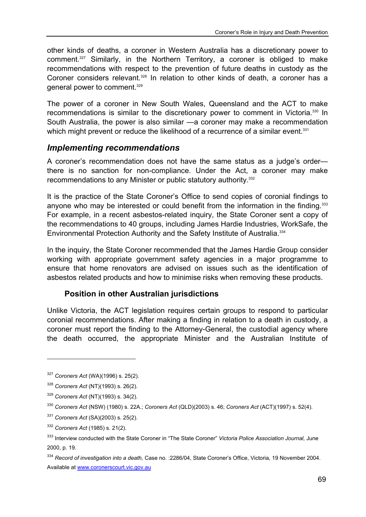other kinds of deaths, a coroner in Western Australia has a discretionary power to comment.327 Similarly, in the Northern Territory, a coroner is obliged to make recommendations with respect to the prevention of future deaths in custody as the Coroner considers relevant.<sup>328</sup> In relation to other kinds of death, a coroner has a general power to comment.329

The power of a coroner in New South Wales, Queensland and the ACT to make recommendations is similar to the discretionary power to comment in Victoria.<sup>330</sup> In South Australia, the power is also similar —a coroner may make a recommendation which might prevent or reduce the likelihood of a recurrence of a similar event.<sup>331</sup>

### *Implementing recommendations*

A coroner's recommendation does not have the same status as a judge's order there is no sanction for non-compliance. Under the Act, a coroner may make recommendations to any Minister or public statutory authority.332

It is the practice of the State Coroner's Office to send copies of coronial findings to anyone who may be interested or could benefit from the information in the finding.<sup>333</sup> For example, in a recent asbestos-related inquiry, the State Coroner sent a copy of the recommendations to 40 groups, including James Hardie Industries, WorkSafe, the Environmental Protection Authority and the Safety Institute of Australia.334

In the inquiry, the State Coroner recommended that the James Hardie Group consider working with appropriate government safety agencies in a major programme to ensure that home renovators are advised on issues such as the identification of asbestos related products and how to minimise risks when removing these products.

#### **Position in other Australian jurisdictions**

Unlike Victoria, the ACT legislation requires certain groups to respond to particular coronial recommendations. After making a finding in relation to a death in custody, a coroner must report the finding to the Attorney-General, the custodial agency where the death occurred, the appropriate Minister and the Australian Institute of

<sup>327</sup> *Coroners Act* (WA)(1996) s. 25(2).

<sup>328</sup> *Coroners Act* (NT)(1993) s. 26(2).

<sup>329</sup> *Coroners Act* (NT)(1993) s. 34(2).

<sup>330</sup> *Coroners Act* (NSW) (1980) s. 22A.; *Coroners Act* (QLD)(2003) s. 46; *Coroners Act* (ACT)(1997) s. 52(4).

<sup>331</sup> *Coroners Act* (SA)(2003) s. 25(2).

<sup>332</sup> *Coroners Act* (1985) s. 21(2).

<sup>333</sup> Interview conducted with the State Coroner in "The State Coroner" *Victoria Police Association Journal,* June 2000, p. 19.

<sup>334</sup> *Record of investigation into a death,* Case no. :2286/04, State Coroner's Office, Victoria, 19 November 2004. Available at www.coronerscourt.vic.gov.au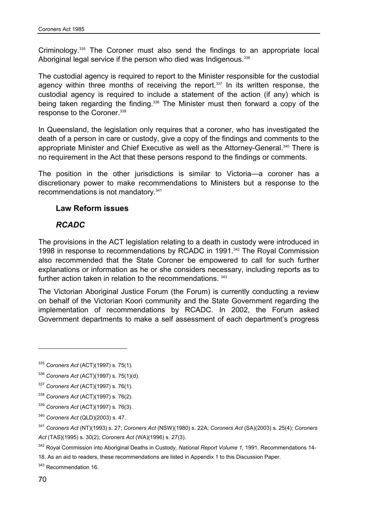Criminology.335 The Coroner must also send the findings to an appropriate local Aboriginal legal service if the person who died was Indigenous.<sup>336</sup>

The custodial agency is required to report to the Minister responsible for the custodial agency within three months of receiving the report.<sup>337</sup> In its written response, the custodial agency is required to include a statement of the action (if any) which is being taken regarding the finding.<sup>338</sup> The Minister must then forward a copy of the response to the Coroner.<sup>339</sup>

In Queensland, the legislation only requires that a coroner, who has investigated the death of a person in care or custody, give a copy of the findings and comments to the appropriate Minister and Chief Executive as well as the Attorney-General.<sup>340</sup> There is no requirement in the Act that these persons respond to the findings or comments.

The position in the other jurisdictions is similar to Victoria—a coroner has a discretionary power to make recommendations to Ministers but a response to the recommendations is not mandatory.341

#### **Law Reform issues**

### *RCADC*

The provisions in the ACT legislation relating to a death in custody were introduced in 1998 in response to recommendations by RCADC in 1991.342 The Royal Commission also recommended that the State Coroner be empowered to call for such further explanations or information as he or she considers necessary, including reports as to further action taken in relation to the recommendations. 343

The Victorian Aboriginal Justice Forum (the Forum) is currently conducting a review on behalf of the Victorian Koori community and the State Government regarding the implementation of recommendations by RCADC. In 2002, the Forum asked Government departments to make a self assessment of each department's progress

18. As an aid to readers, these recommendations are listed in Appendix 1 to this Discussion Paper.

<sup>343</sup> Recommendation 16.

<sup>335</sup> *Coroners Act* (ACT)(1997) s. 75(1).

<sup>336</sup> *Coroners Act* (ACT)(1997) s. 75(1)(d).

<sup>337</sup> *Coroners Act* (ACT)(1997) s. 76(1).

<sup>338</sup> *Coroners Act* (ACT)(1997) s. 76(2).

<sup>339</sup> *Coroners Act* (ACT)(1997) s. 76(3).

<sup>340</sup> *Coroners Act* (QLD)(2003) s. 47.

<sup>341</sup> *Coroners Act* (NT)(1993) s. 27; *Coroners Act* (NSW)(1980) s. 22A; *Coroners Act* (SA)(2003) s. 25(4); *Coroners Act* (TAS)(1995) s. 30(2); *Coroners Act* (WA)(1996) s. 27(3).

<sup>342</sup> Royal Commission into Aboriginal Deaths in Custody*, National Report Volume 1,* 1991. Recommendations 14-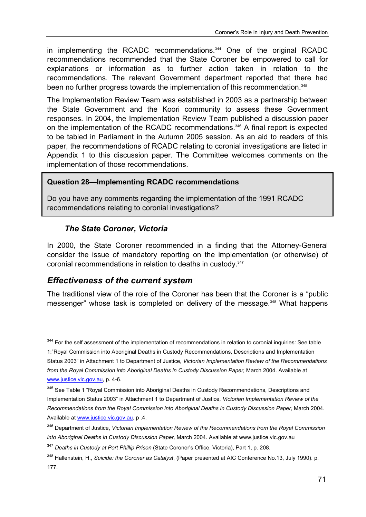in implementing the RCADC recommendations.<sup>344</sup> One of the original RCADC recommendations recommended that the State Coroner be empowered to call for explanations or information as to further action taken in relation to the recommendations. The relevant Government department reported that there had been no further progress towards the implementation of this recommendation.<sup>345</sup>

The Implementation Review Team was established in 2003 as a partnership between the State Government and the Koori community to assess these Government responses. In 2004, the Implementation Review Team published a discussion paper on the implementation of the RCADC recommendations.346 A final report is expected to be tabled in Parliament in the Autumn 2005 session. As an aid to readers of this paper, the recommendations of RCADC relating to coronial investigations are listed in Appendix 1 to this discussion paper. The Committee welcomes comments on the implementation of those recommendations.

#### **Question 28—Implementing RCADC recommendations**

Do you have any comments regarding the implementation of the 1991 RCADC recommendations relating to coronial investigations?

### *The State Coroner, Victoria*

In 2000, the State Coroner recommended in a finding that the Attorney-General consider the issue of mandatory reporting on the implementation (or otherwise) of coronial recommendations in relation to deaths in custody.347

# *Effectiveness of the current system*

l

The traditional view of the role of the Coroner has been that the Coroner is a "public messenger" whose task is completed on delivery of the message.<sup>348</sup> What happens

<sup>&</sup>lt;sup>344</sup> For the self assessment of the implementation of recommendations in relation to coronial inquiries: See table

<sup>1:&</sup>quot;Royal Commission into Aboriginal Deaths in Custody Recommendations, Descriptions and Implementation Status 2003" in Attachment 1 to Department of Justice, *Victorian Implementation Review of the Recommendations from the Royal Commission into Aboriginal Deaths in Custody Discussion Paper, March 2004. Available at* www.justice.vic.gov.au, p. 4-6.

<sup>345</sup> See Table 1 "Royal Commission into Aboriginal Deaths in Custody Recommendations, Descriptions and Implementation Status 2003" in Attachment 1 to Department of Justice, *Victorian Implementation Review of the Recommendations from the Royal Commission into Aboriginal Deaths in Custody Discussion Paper,* March 2004. Available at www.justice.vic.gov.au, p .4.

<sup>346</sup> Department of Justice, *Victorian Implementation Review of the Recommendations from the Royal Commission into Aboriginal Deaths in Custody Discussion Paper,* March 2004. Available at www.justice.vic.gov.au

<sup>347</sup> *Deaths in Custody at Port Phillip Prison* (State Coroner's Office, Victoria), Part 1, p. 208.

<sup>348</sup> Hallenstein, H., *Suicide: the Coroner as Catalyst*, (Paper presented at AIC Conference No.13, July 1990). p. 177.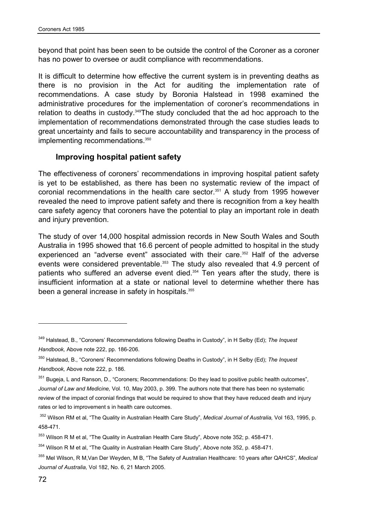beyond that point has been seen to be outside the control of the Coroner as a coroner has no power to oversee or audit compliance with recommendations.

It is difficult to determine how effective the current system is in preventing deaths as there is no provision in the Act for auditing the implementation rate of recommendations. A case study by Boronia Halstead in 1998 examined the administrative procedures for the implementation of coroner's recommendations in relation to deaths in custody.349The study concluded that the ad hoc approach to the implementation of recommendations demonstrated through the case studies leads to great uncertainty and fails to secure accountability and transparency in the process of implementing recommendations.<sup>350</sup>

#### **Improving hospital patient safety**

The effectiveness of coroners' recommendations in improving hospital patient safety is yet to be established, as there has been no systematic review of the impact of coronial recommendations in the health care sector.<sup>351</sup> A study from 1995 however revealed the need to improve patient safety and there is recognition from a key health care safety agency that coroners have the potential to play an important role in death and injury prevention.

The study of over 14,000 hospital admission records in New South Wales and South Australia in 1995 showed that 16.6 percent of people admitted to hospital in the study experienced an "adverse event" associated with their care.<sup>352</sup> Half of the adverse events were considered preventable.<sup>353</sup> The study also revealed that 4.9 percent of patients who suffered an adverse event died.<sup>354</sup> Ten years after the study, there is insufficient information at a state or national level to determine whether there has been a general increase in safety in hospitals.<sup>355</sup>

<sup>349</sup> Halstead, B., "Coroners' Recommendations following Deaths in Custody", in H Selby (Ed); *The Inquest Handbook,* Above note 222, pp. 186-206.

<sup>350</sup> Halstead, B., "Coroners' Recommendations following Deaths in Custody", in H Selby (Ed); *The Inquest Handbook,* Above note 222, p. 186.

<sup>351</sup> Bugeja, L and Ranson, D., "Coroners; Recommendations: Do they lead to positive public health outcomes", *Journal of Law and Medicine,* Vol. 10, May 2003, p. 399. The authors note that there has been no systematic review of the impact of coronial findings that would be required to show that they have reduced death and injury rates or led to improvement s in health care outcomes.

<sup>352</sup> Wilson RM et al, "The Quality in Australian Health Care Study", *Medical Journal of Australia,* Vol 163, 1995, p. 458-471.

<sup>&</sup>lt;sup>353</sup> Wilson R M et al, "The Quality in Australian Health Care Study", Above note 352; p. 458-471.

<sup>&</sup>lt;sup>354</sup> Wilson R M et al, "The Quality in Australian Health Care Study", Above note 352, p. 458-471.

<sup>355</sup> Mel Wilson, R M,Van Der Weyden, M B, "The Safety of Australian Healthcare: 10 years after QAHCS", *Medical Journal of Australia,* Vol 182, No. 6, 21 March 2005.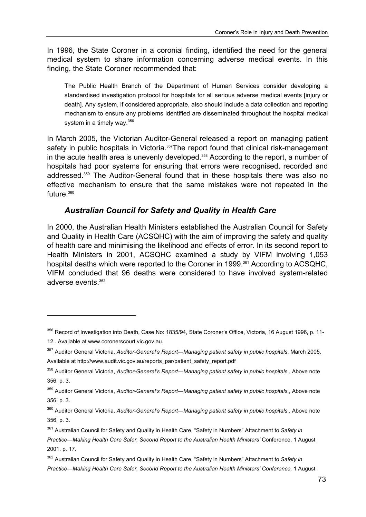In 1996, the State Coroner in a coronial finding, identified the need for the general medical system to share information concerning adverse medical events. In this finding, the State Coroner recommended that:

The Public Health Branch of the Department of Human Services consider developing a standardised investigation protocol for hospitals for all serious adverse medical events [injury or death]. Any system, if considered appropriate, also should include a data collection and reporting mechanism to ensure any problems identified are disseminated throughout the hospital medical system in a timely way. $356$ 

In March 2005, the Victorian Auditor-General released a report on managing patient safety in public hospitals in Victoria.<sup>357</sup>The report found that clinical risk-management in the acute health area is unevenly developed.<sup>358</sup> According to the report, a number of hospitals had poor systems for ensuring that errors were recognised, recorded and addressed.359 The Auditor-General found that in these hospitals there was also no effective mechanism to ensure that the same mistakes were not repeated in the future.<sup>360</sup>

#### *Australian Council for Safety and Quality in Health Care*

In 2000, the Australian Health Ministers established the Australian Council for Safety and Quality in Health Care (ACSQHC) with the aim of improving the safety and quality of health care and minimising the likelihood and effects of error. In its second report to Health Ministers in 2001, ACSQHC examined a study by VIFM involving 1,053 hospital deaths which were reported to the Coroner in 1999.<sup>361</sup> According to ACSQHC, VIFM concluded that 96 deaths were considered to have involved system-related adverse events.362

<sup>356</sup> Record of Investigation into Death, Case No: 1835/94, State Coroner's Office, Victoria, 16 August 1996, p. 11-12.. Available at www.coronerscourt.vic.gov.au.

<sup>357</sup> Auditor General Victoria, *Auditor-General's Report—Managing patient safety in public hospitals*, March 2005. Available at http://www.audit.vic.gov.au/reports\_par/patient\_safety\_report.pdf

<sup>358</sup> Auditor General Victoria, *Auditor-General's Report—Managing patient safety in public hospitals* , Above note 356, p. 3.

<sup>359</sup> Auditor General Victoria, *Auditor-General's Report—Managing patient safety in public hospitals* , Above note 356, p. 3.

<sup>360</sup> Auditor General Victoria, *Auditor-General's Report—Managing patient safety in public hospitals* , Above note 356, p. 3.

<sup>361</sup> Australian Council for Safety and Quality in Health Care, "Safety in Numbers" Attachment to *Safety in Practice—Making Health Care Safer, Second Report to the Australian Health Ministers'* Conference, 1 August 2001. p. 17.

<sup>362</sup> Australian Council for Safety and Quality in Health Care, "Safety in Numbers" Attachment to *Safety in Practice—Making Health Care Safer, Second Report to the Australian Health Ministers' Conference,* 1 August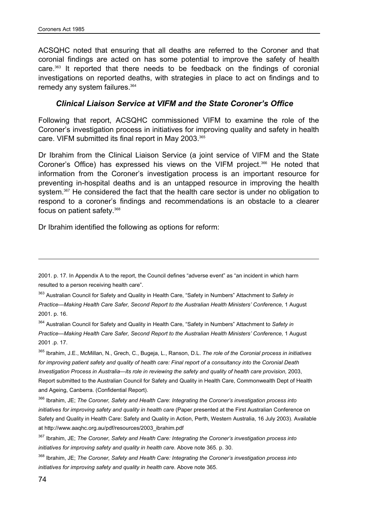ACSQHC noted that ensuring that all deaths are referred to the Coroner and that coronial findings are acted on has some potential to improve the safety of health care.363 It reported that there needs to be feedback on the findings of coronial investigations on reported deaths, with strategies in place to act on findings and to remedy any system failures.<sup>364</sup>

#### *Clinical Liaison Service at VIFM and the State Coroner's Office*

Following that report, ACSQHC commissioned VIFM to examine the role of the Coroner's investigation process in initiatives for improving quality and safety in health care. VIFM submitted its final report in May 2003.365

Dr Ibrahim from the Clinical Liaison Service (a joint service of VIFM and the State Coroner's Office) has expressed his views on the VIFM project.<sup>366</sup> He noted that information from the Coroner's investigation process is an important resource for preventing in-hospital deaths and is an untapped resource in improving the health system.<sup>367</sup> He considered the fact that the health care sector is under no obligation to respond to a coroner's findings and recommendations is an obstacle to a clearer focus on patient safety.<sup>368</sup>

Dr Ibrahim identified the following as options for reform:

364 Australian Council for Safety and Quality in Health Care, "Safety in Numbers" Attachment to *Safety in Practice—Making Health Care Safer, Second Report to the Australian Health Ministers' Conference,* 1 August 2001 .p. 17.

365 Ibrahim, J.E., McMillan, N., Grech, C., Bugeja, L., Ranson, D.L. *The role of the Coronial process in initiatives for improving patient safety and quality of health care: Final report of a consultancy into the Coronial Death Investigation Process in Australia—its role in reviewing the safety and quality of health care provision, 2003,* Report submitted to the Australian Council for Safety and Quality in Health Care, Commonwealth Dept of Health and Ageing, Canberra. (Confidential Report).

366 Ibrahim, JE; *The Coroner, Safety and Health Care*: *Integrating the Coroner's investigation process into initiatives for improving safety and quality in health care* (Paper presented at the First Australian Conference on Safety and Quality in Health Care: Safety and Quality in Action, Perth, Western Australia, 16 July 2003). Available at http://www.aaqhc.org.au/pdf/resources/2003\_ibrahim.pdf

368 Ibrahim, JE; *The Coroner, Safety and Health Care: Integrating the Coroner's investigation process into initiatives for improving safety and quality in health care*. Above note 365.

<sup>2001.</sup> p. 17*.* In Appendix A to the report, the Council defines "adverse event" as "an incident in which harm resulted to a person receiving health care".

<sup>363</sup> Australian Council for Safety and Quality in Health Care, "Safety in Numbers" Attachment to *Safety in Practice—Making Health Care Safer, Second Report to the Australian Health Ministers' Conference,* 1 August 2001. p. 16.

<sup>367</sup> Ibrahim, JE; *The Coroner, Safety and Health Care: Integrating the Coroner's investigation process into initiatives for improving safety and quality in health care*. Above note 365. p. 30.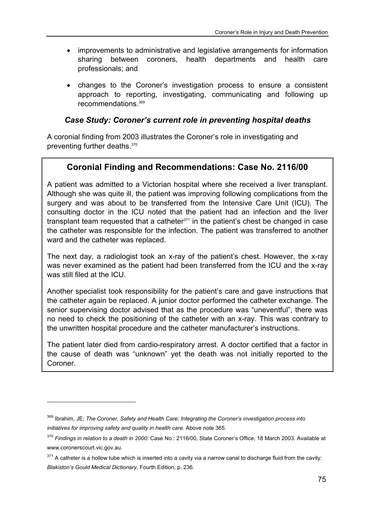- improvements to administrative and legislative arrangements for information sharing between coroners, health departments and health care professionals; and
- changes to the Coroner's investigation process to ensure a consistent approach to reporting, investigating, communicating and following up recommendations.369

### *Case Study: Coroner's current role in preventing hospital deaths*

A coronial finding from 2003 illustrates the Coroner's role in investigating and preventing further deaths.370

# **Coronial Finding and Recommendations: Case No. 2116/00**

A patient was admitted to a Victorian hospital where she received a liver transplant. Although she was quite ill, the patient was improving following complications from the surgery and was about to be transferred from the Intensive Care Unit (ICU). The consulting doctor in the ICU noted that the patient had an infection and the liver transplant team requested that a catheter $371$  in the patient's chest be changed in case the catheter was responsible for the infection. The patient was transferred to another ward and the catheter was replaced.

The next day, a radiologist took an x-ray of the patient's chest. However, the x-ray was never examined as the patient had been transferred from the ICU and the x-ray was still filed at the ICU.

Another specialist took responsibility for the patient's care and gave instructions that the catheter again be replaced. A junior doctor performed the catheter exchange. The senior supervising doctor advised that as the procedure was "uneventful", there was no need to check the positioning of the catheter with an x-ray. This was contrary to the unwritten hospital procedure and the catheter manufacturer's instructions.

The patient later died from cardio-respiratory arrest. A doctor certified that a factor in the cause of death was "unknown" yet the death was not initially reported to the Coroner.

<sup>369</sup> Ibrahim, JE; *The Coroner, Safety and Health Care: Integrating the Coroner's investigation process into initiatives for improving safety and quality in health care*. Above note 365.

<sup>370</sup> *Findings in relation to a death in 2000:* Case No.: 2116/00, State Coroner's Office, 18 March 2003. Available at www.coronerscourt.vic.gov.au.

 $371$  A catheter is a hollow tube which is inserted into a cavity via a narrow canal to discharge fluid from the cavity: *Blakiston's Gould Medical Dictionary,* Fourth Edition, p. 236.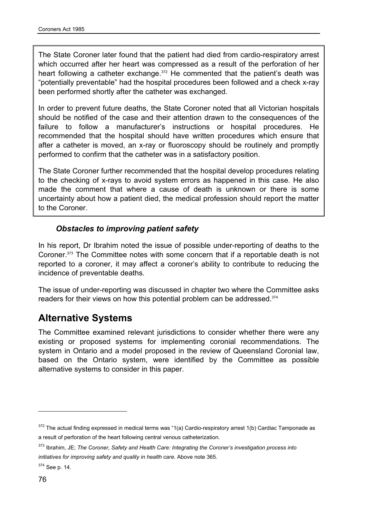The State Coroner later found that the patient had died from cardio-respiratory arrest which occurred after her heart was compressed as a result of the perforation of her heart following a catheter exchange.<sup>372</sup> He commented that the patient's death was "potentially preventable" had the hospital procedures been followed and a check x-ray been performed shortly after the catheter was exchanged.

In order to prevent future deaths, the State Coroner noted that all Victorian hospitals should be notified of the case and their attention drawn to the consequences of the failure to follow a manufacturer's instructions or hospital procedures. He recommended that the hospital should have written procedures which ensure that after a catheter is moved, an x-ray or fluoroscopy should be routinely and promptly performed to confirm that the catheter was in a satisfactory position.

The State Coroner further recommended that the hospital develop procedures relating to the checking of x-rays to avoid system errors as happened in this case. He also made the comment that where a cause of death is unknown or there is some uncertainty about how a patient died, the medical profession should report the matter to the Coroner.

### *Obstacles to improving patient safety*

In his report, Dr Ibrahim noted the issue of possible under-reporting of deaths to the Coroner.373 The Committee notes with some concern that if a reportable death is not reported to a coroner, it may affect a coroner's ability to contribute to reducing the incidence of preventable deaths.

The issue of under-reporting was discussed in chapter two where the Committee asks readers for their views on how this potential problem can be addressed.<sup>374</sup>

# **Alternative Systems**

The Committee examined relevant jurisdictions to consider whether there were any existing or proposed systems for implementing coronial recommendations. The system in Ontario and a model proposed in the review of Queensland Coronial law, based on the Ontario system, were identified by the Committee as possible alternative systems to consider in this paper.

 $372$  The actual finding expressed in medical terms was "1(a) Cardio-respiratory arrest 1(b) Cardiac Tamponade as a result of perforation of the heart following central venous catheterization.

<sup>373</sup> Ibrahim, JE; *The Coroner, Safety and Health Care: Integrating the Coroner's investigation process into initiatives for improving safety and quality in health care*. Above note 365.

<sup>374</sup> See p. 14.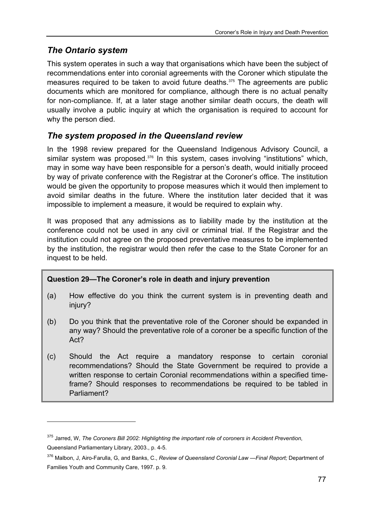# *The Ontario system*

l

This system operates in such a way that organisations which have been the subject of recommendations enter into coronial agreements with the Coroner which stipulate the measures required to be taken to avoid future deaths.375 The agreements are public documents which are monitored for compliance, although there is no actual penalty for non-compliance. If, at a later stage another similar death occurs, the death will usually involve a public inquiry at which the organisation is required to account for why the person died.

# *The system proposed in the Queensland review*

In the 1998 review prepared for the Queensland Indigenous Advisory Council, a similar system was proposed.<sup>376</sup> In this system, cases involving "institutions" which, may in some way have been responsible for a person's death, would initially proceed by way of private conference with the Registrar at the Coroner's office. The institution would be given the opportunity to propose measures which it would then implement to avoid similar deaths in the future. Where the institution later decided that it was impossible to implement a measure, it would be required to explain why.

It was proposed that any admissions as to liability made by the institution at the conference could not be used in any civil or criminal trial. If the Registrar and the institution could not agree on the proposed preventative measures to be implemented by the institution, the registrar would then refer the case to the State Coroner for an inquest to be held.

#### **Question 29—The Coroner's role in death and injury prevention**

- (a) How effective do you think the current system is in preventing death and injury?
- (b) Do you think that the preventative role of the Coroner should be expanded in any way? Should the preventative role of a coroner be a specific function of the Act?
- (c) Should the Act require a mandatory response to certain coronial recommendations? Should the State Government be required to provide a written response to certain Coronial recommendations within a specified timeframe? Should responses to recommendations be required to be tabled in Parliament?

<sup>375</sup> Jarred, W, *The Coroners Bill 2002: Highlighting the important role of coroners in Accident Prevention*, Queensland Parliamentary Library, 2003., p. 4-5.

<sup>376</sup> Malbon, J, Airo-Farulla, G, and Banks, C., *Review of Queensland Coronial Law —Final Report;* Department of Families Youth and Community Care, 1997. p. 9.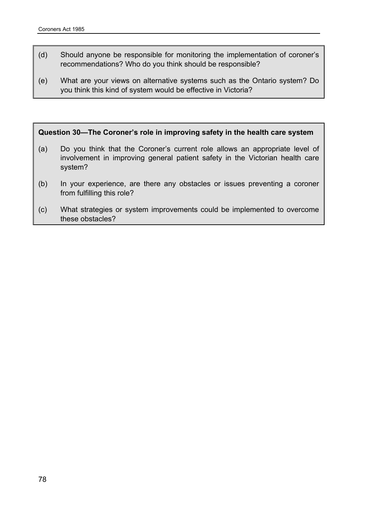- (d) Should anyone be responsible for monitoring the implementation of coroner's recommendations? Who do you think should be responsible?
- (e) What are your views on alternative systems such as the Ontario system? Do you think this kind of system would be effective in Victoria?

#### **Question 30—The Coroner's role in improving safety in the health care system**

- (a) Do you think that the Coroner's current role allows an appropriate level of involvement in improving general patient safety in the Victorian health care system?
- (b) In your experience, are there any obstacles or issues preventing a coroner from fulfilling this role?
- (c) What strategies or system improvements could be implemented to overcome these obstacles?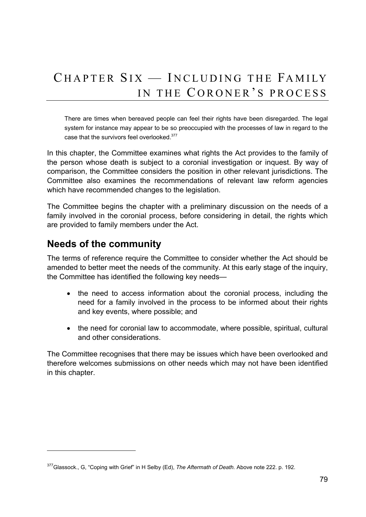# CHAPTER SIX — INCLUDING THE FAMILY IN THE CORONER'S PROCESS

There are times when bereaved people can feel their rights have been disregarded. The legal system for instance may appear to be so preoccupied with the processes of law in regard to the case that the survivors feel overlooked.377

In this chapter, the Committee examines what rights the Act provides to the family of the person whose death is subject to a coronial investigation or inquest. By way of comparison, the Committee considers the position in other relevant jurisdictions. The Committee also examines the recommendations of relevant law reform agencies which have recommended changes to the legislation.

The Committee begins the chapter with a preliminary discussion on the needs of a family involved in the coronial process, before considering in detail, the rights which are provided to family members under the Act.

# **Needs of the community**

l

The terms of reference require the Committee to consider whether the Act should be amended to better meet the needs of the community. At this early stage of the inquiry, the Committee has identified the following key needs—

- the need to access information about the coronial process, including the need for a family involved in the process to be informed about their rights and key events, where possible; and
- the need for coronial law to accommodate, where possible, spiritual, cultural and other considerations.

The Committee recognises that there may be issues which have been overlooked and therefore welcomes submissions on other needs which may not have been identified in this chapter.

<sup>377</sup>Glassock., G, "Coping with Grief" in H Selby (Ed), *The Aftermath of Death.* Above note 222. p. 192.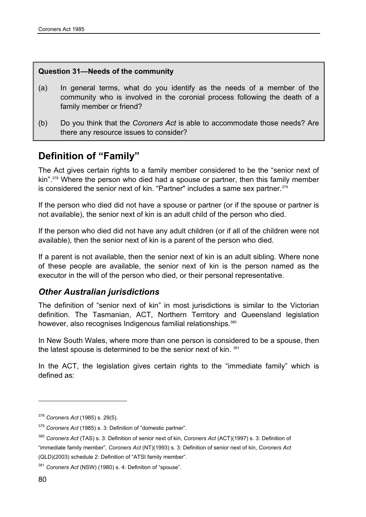#### **Question 31—Needs of the community**

- (a) In general terms, what do you identify as the needs of a member of the community who is involved in the coronial process following the death of a family member or friend?
- (b) Do you think that the *Coroners Act* is able to accommodate those needs? Are there any resource issues to consider?

# **Definition of "Family"**

The Act gives certain rights to a family member considered to be the "senior next of kin".<sup>378</sup> Where the person who died had a spouse or partner, then this family member is considered the senior next of kin. "Partner" includes a same sex partner. 379

If the person who died did not have a spouse or partner (or if the spouse or partner is not available), the senior next of kin is an adult child of the person who died.

If the person who died did not have any adult children (or if all of the children were not available), then the senior next of kin is a parent of the person who died.

If a parent is not available, then the senior next of kin is an adult sibling. Where none of these people are available, the senior next of kin is the person named as the executor in the will of the person who died, or their personal representative.

### *Other Australian jurisdictions*

The definition of "senior next of kin" in most jurisdictions is similar to the Victorian definition. The Tasmanian, ACT, Northern Territory and Queensland legislation however, also recognises Indigenous familial relationships.<sup>380</sup>

In New South Wales, where more than one person is considered to be a spouse, then the latest spouse is determined to be the senior next of kin. 381

In the ACT, the legislation gives certain rights to the "immediate family" which is defined as:

 $\overline{a}$ 

<sup>378</sup> *Coroners Act* (1985) s. 29(5).

<sup>379</sup> *Coroners Act* (1985) s. 3: Definition of "domestic partner".

<sup>380</sup> *Coroners Act* (TAS) s. 3: Definition of senior next of kin, *Coroners Act* (ACT)(1997) s. 3: Definition of "immediate family member", *Coroners Act* (NT)(1993) s. 3: Definition of senior next of kin, *Coroners Act* (QLD)(2003) schedule 2: Definition of "ATSI family member".

<sup>381</sup> *Coroners Act* (NSW) (1980) s. 4: Definition of "spouse".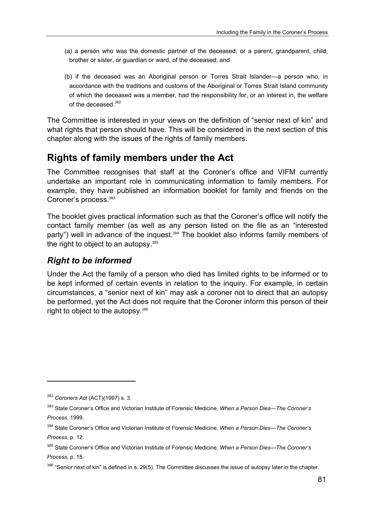- (a) a person who was the domestic partner of the deceased, or a parent, grandparent, child, brother or sister, or guardian or ward, of the deceased; and
- (b) if the deceased was an Aboriginal person or Torres Strait Islander—a person who, in accordance with the traditions and customs of the Aboriginal or Torres Strait Island community of which the deceased was a member, had the responsibility for, or an interest in, the welfare of the deceased.382

The Committee is interested in your views on the definition of "senior next of kin" and what rights that person should have. This will be considered in the next section of this chapter along with the issues of the rights of family members.

# **Rights of family members under the Act**

The Committee recognises that staff at the Coroner's office and VIFM currently undertake an important role in communicating information to family members. For example, they have published an information booklet for family and friends on the Coroner's process.<sup>383</sup>

The booklet gives practical information such as that the Coroner's office will notify the contact family member (as well as any person listed on the file as an "interested party") well in advance of the inquest.<sup>384</sup> The booklet also informs family members of the right to object to an autopsy.<sup>385</sup>

## *Right to be informed*

Under the Act the family of a person who died has limited rights to be informed or to be kept informed of certain events in relation to the inquiry. For example, in certain circumstances, a "senior next of kin" may ask a coroner not to direct that an autopsy be performed, yet the Act does not require that the Coroner inform this person of their right to object to the autopsy.386

<sup>382</sup> *Coroners Act* (ACT)(1997) s. 3.

<sup>383</sup> State Coroner's Office and Victorian Institute of Forensic Medicine, *When a Person Dies—The Coroner's Process*, 1999.

<sup>384</sup> State Coroner's Office and Victorian Institute of Forensic Medicine, *When a Person Dies—The Coroner's Process*, p. 12.

<sup>385</sup> State Coroner's Office and Victorian Institute of Forensic Medicine, *When a Person Dies—The Coroner's Process*, p. 15.

<sup>386 &</sup>quot;Senior next of kin" is defined in s. 29(5). The Committee discusses the issue of autopsy later in the chapter.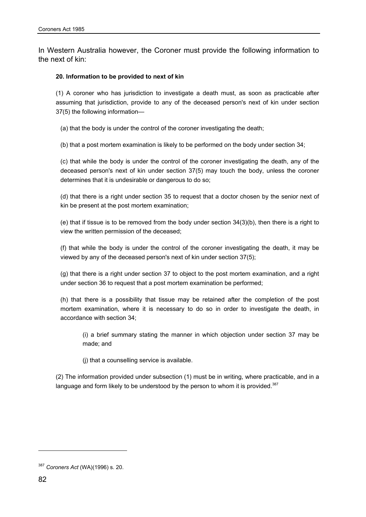In Western Australia however, the Coroner must provide the following information to the next of kin:

#### **20. Information to be provided to next of kin**

(1) A coroner who has jurisdiction to investigate a death must, as soon as practicable after assuming that jurisdiction, provide to any of the deceased person's next of kin under section 37(5) the following information—

(a) that the body is under the control of the coroner investigating the death;

(b) that a post mortem examination is likely to be performed on the body under section 34;

(c) that while the body is under the control of the coroner investigating the death, any of the deceased person's next of kin under section 37(5) may touch the body, unless the coroner determines that it is undesirable or dangerous to do so;

(d) that there is a right under section 35 to request that a doctor chosen by the senior next of kin be present at the post mortem examination;

(e) that if tissue is to be removed from the body under section  $34(3)(b)$ , then there is a right to view the written permission of the deceased;

(f) that while the body is under the control of the coroner investigating the death, it may be viewed by any of the deceased person's next of kin under section 37(5);

(g) that there is a right under section 37 to object to the post mortem examination, and a right under section 36 to request that a post mortem examination be performed;

(h) that there is a possibility that tissue may be retained after the completion of the post mortem examination, where it is necessary to do so in order to investigate the death, in accordance with section 34;

(i) a brief summary stating the manner in which objection under section 37 may be made; and

(j) that a counselling service is available.

(2) The information provided under subsection (1) must be in writing, where practicable, and in a language and form likely to be understood by the person to whom it is provided. $387$ 

<sup>387</sup> *Coroners Act* (WA)(1996) s. 20.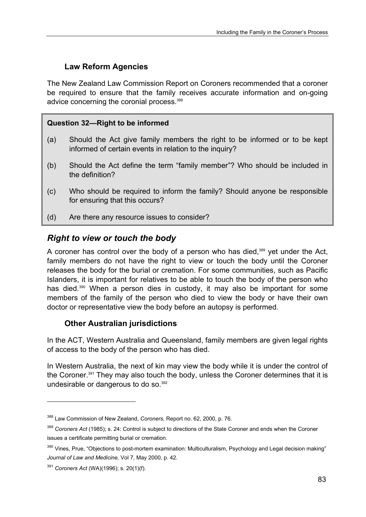# **Law Reform Agencies**

The New Zealand Law Commission Report on Coroners recommended that a coroner be required to ensure that the family receives accurate information and on-going advice concerning the coronial process.<sup>388</sup>

### **Question 32—Right to be informed**

- (a) Should the Act give family members the right to be informed or to be kept informed of certain events in relation to the inquiry?
- (b) Should the Act define the term "family member"? Who should be included in the definition?
- (c) Who should be required to inform the family? Should anyone be responsible for ensuring that this occurs?
- (d) Are there any resource issues to consider?

# *Right to view or touch the body*

A coroner has control over the body of a person who has died,<sup>389</sup> yet under the Act, family members do not have the right to view or touch the body until the Coroner releases the body for the burial or cremation. For some communities, such as Pacific Islanders, it is important for relatives to be able to touch the body of the person who has died.<sup>390</sup> When a person dies in custody, it may also be important for some members of the family of the person who died to view the body or have their own doctor or representative view the body before an autopsy is performed.

### **Other Australian jurisdictions**

In the ACT, Western Australia and Queensland, family members are given legal rights of access to the body of the person who has died.

In Western Australia, the next of kin may view the body while it is under the control of the Coroner.391 They may also touch the body, unless the Coroner determines that it is undesirable or dangerous to do so.<sup>392</sup>

 $\overline{a}$ 

<sup>388</sup> Law Commission of New Zealand, *Coroners,* Report no. 62, 2000, p. 76.

<sup>389</sup> *Coroners Act* (1985); s. 24: Control is subject to directions of the State Coroner and ends when the Coroner issues a certificate permitting burial or cremation.

<sup>&</sup>lt;sup>390</sup> Vines, Prue, "Objections to post-mortem examination: Multiculturalism, Psychology and Legal decision making" *Journal of Law and Medicine,* Vol 7, May 2000, p. 42.

<sup>391</sup> *Coroners Act* (WA)(1996); s. 20(1)(f).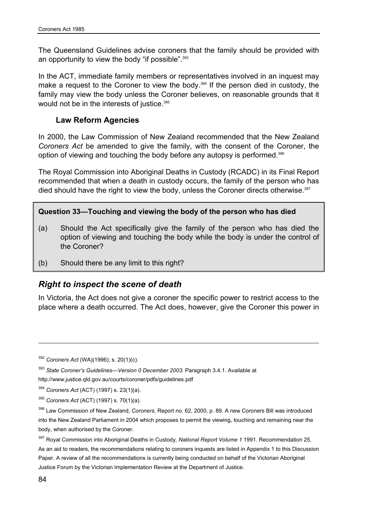The Queensland Guidelines advise coroners that the family should be provided with an opportunity to view the body "if possible".<sup>393</sup>

In the ACT, immediate family members or representatives involved in an inquest may make a request to the Coroner to view the body.<sup>394</sup> If the person died in custody, the family may view the body unless the Coroner believes, on reasonable grounds that it would not be in the interests of justice.<sup>395</sup>

#### **Law Reform Agencies**

In 2000, the Law Commission of New Zealand recommended that the New Zealand *Coroners Act* be amended to give the family, with the consent of the Coroner, the option of viewing and touching the body before any autopsy is performed.396

The Royal Commission into Aboriginal Deaths in Custody (RCADC) in its Final Report recommended that when a death in custody occurs, the family of the person who has died should have the right to view the body, unless the Coroner directs otherwise.<sup>397</sup>

#### **Question 33—Touching and viewing the body of the person who has died**

- (a) Should the Act specifically give the family of the person who has died the option of viewing and touching the body while the body is under the control of the Coroner?
- (b) Should there be any limit to this right?

### *Right to inspect the scene of death*

In Victoria, the Act does not give a coroner the specific power to restrict access to the place where a death occurred. The Act does, however, give the Coroner this power in

<sup>392</sup> *Coroners Act* (WA)(1996); s. 20(1)(c).

<sup>&</sup>lt;sup>393</sup> State Coroner's Guidelines—Version 0 December 2003. Paragraph 3.4.1. Available at

http://www.justice.qld.gov.au/courts/coroner/pdfs/guidelines.pdf

<sup>394</sup> *Coroners Act* (ACT) (1997) s. 23(1)(a).

<sup>395</sup> *Coroners Act* (ACT) (1997) s. 70(1)(a).

<sup>396</sup> Law Commission of New Zealand, *Coroners,* Report no. 62, 2000, p. 89. A new Coroners Bill was introduced into the New Zealand Parliament in 2004 which proposes to permit the viewing, touching and remaining near the body, when authorised by the Coroner.

<sup>397</sup> Royal Commission into Aboriginal Deaths in Custody*, National Report Volume 1* 1991. Recommendation 25. As an aid to readers, the recommendations relating to coroners inquests are listed in Appendix 1 to this Discussion Paper. A review of all the recommendations is currently being conducted on behalf of the Victorian Aboriginal Justice Forum by the Victorian Implementation Review at the Department of Justice.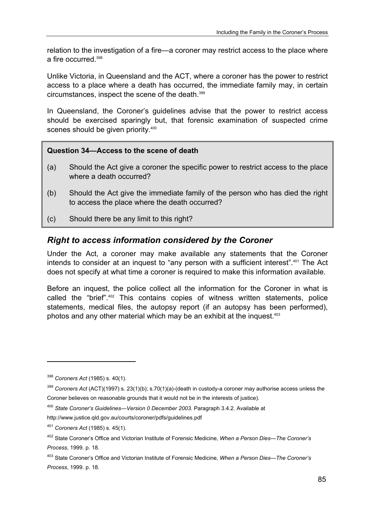relation to the investigation of a fire—a coroner may restrict access to the place where a fire occurred.<sup>398</sup>

Unlike Victoria, in Queensland and the ACT, where a coroner has the power to restrict access to a place where a death has occurred, the immediate family may, in certain circumstances, inspect the scene of the death.399

In Queensland, the Coroner's guidelines advise that the power to restrict access should be exercised sparingly but, that forensic examination of suspected crime scenes should be given priority.<sup>400</sup>

#### **Question 34—Access to the scene of death**

- (a) Should the Act give a coroner the specific power to restrict access to the place where a death occurred?
- (b) Should the Act give the immediate family of the person who has died the right to access the place where the death occurred?
- (c) Should there be any limit to this right?

### *Right to access information considered by the Coroner*

Under the Act, a coroner may make available any statements that the Coroner intends to consider at an inquest to "any person with a sufficient interest".<sup>401</sup> The Act does not specify at what time a coroner is required to make this information available.

Before an inquest, the police collect all the information for the Coroner in what is called the "brief".402 This contains copies of witness written statements, police statements, medical files, the autopsy report (if an autopsy has been performed), photos and any other material which may be an exhibit at the inquest.<sup>403</sup>

<sup>398</sup> *Coroners Act* (1985) s. 40(1).

<sup>399</sup> *Coroners Act* (ACT)(1997) s. 23(1)(b); s.70(1)(a)-(death in custody-a coroner may authorise access unless the Coroner believes on reasonable grounds that it would not be in the interests of justice).

<sup>400</sup> *State Coroner's Guidelines—Version 0 December 2003.* Paragraph 3.4.2. Available at

http://www.justice.qld.gov.au/courts/coroner/pdfs/guidelines.pdf

<sup>401</sup> *Coroners Act* (1985) s. 45(1).

<sup>402</sup> State Coroner's Office and Victorian Institute of Forensic Medicine, *When a Person Dies—The Coroner's Process*, 1999. p. 18.

<sup>403</sup> State Coroner's Office and Victorian Institute of Forensic Medicine, *When a Person Dies—The Coroner's Process*, 1999. p. 18.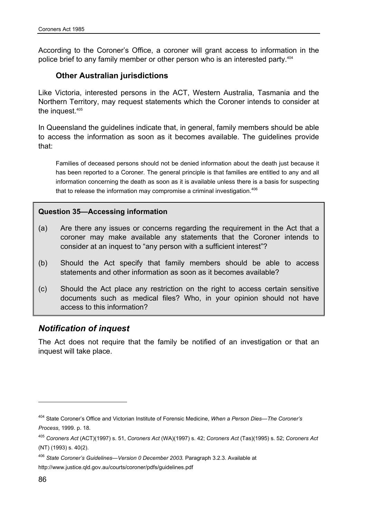According to the Coroner's Office, a coroner will grant access to information in the police brief to any family member or other person who is an interested party.<sup>404</sup>

#### **Other Australian jurisdictions**

Like Victoria, interested persons in the ACT, Western Australia, Tasmania and the Northern Territory, may request statements which the Coroner intends to consider at the inquest.405

In Queensland the guidelines indicate that, in general, family members should be able to access the information as soon as it becomes available. The guidelines provide that:

Families of deceased persons should not be denied information about the death just because it has been reported to a Coroner. The general principle is that families are entitled to any and all information concerning the death as soon as it is available unless there is a basis for suspecting that to release the information may compromise a criminal investigation.<sup>406</sup>

#### **Question 35—Accessing information**

- (a) Are there any issues or concerns regarding the requirement in the Act that a coroner may make available any statements that the Coroner intends to consider at an inquest to "any person with a sufficient interest"?
- (b) Should the Act specify that family members should be able to access statements and other information as soon as it becomes available?
- (c) Should the Act place any restriction on the right to access certain sensitive documents such as medical files? Who, in your opinion should not have access to this information?

### *Notification of inquest*

The Act does not require that the family be notified of an investigation or that an inquest will take place.

<sup>404</sup> State Coroner's Office and Victorian Institute of Forensic Medicine, *When a Person Dies—The Coroner's Process*, 1999. p. 18.

<sup>405</sup> *Coroners Act* (ACT)(1997) s. 51, *Coroners Act* (WA)(1997) s. 42; *Coroners Act* (Tas)(1995) s. 52; *Coroners Act* (NT) (1993) s. 40(2).

<sup>406</sup> *State Coroner's Guidelines—Version 0 December 2003.* Paragraph 3.2.3. Available at http://www.justice.qld.gov.au/courts/coroner/pdfs/guidelines.pdf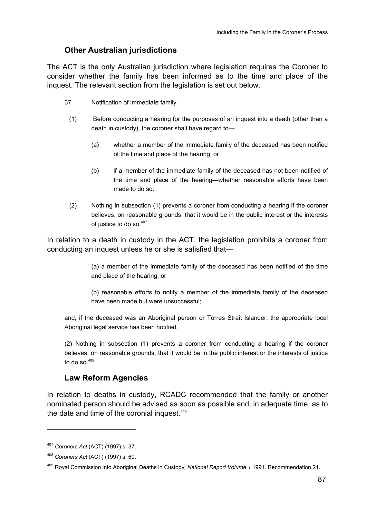# **Other Australian jurisdictions**

The ACT is the only Australian jurisdiction where legislation requires the Coroner to consider whether the family has been informed as to the time and place of the inquest. The relevant section from the legislation is set out below.

- 37 Notification of immediate family
	- (1) Before conducting a hearing for the purposes of an inquest into a death (other than a death in custody), the coroner shall have regard to—
		- (a) whether a member of the immediate family of the deceased has been notified of the time and place of the hearing; or
		- (b) if a member of the immediate family of the deceased has not been notified of the time and place of the hearing—whether reasonable efforts have been made to do so.
	- (2) Nothing in subsection (1) prevents a coroner from conducting a hearing if the coroner believes, on reasonable grounds, that it would be in the public interest or the interests of justice to do so.<sup>407</sup>

In relation to a death in custody in the ACT, the legislation prohibits a coroner from conducting an inquest unless he or she is satisfied that—

> (a) a member of the immediate family of the deceased has been notified of the time and place of the hearing; or

> (b) reasonable efforts to notify a member of the immediate family of the deceased have been made but were unsuccessful;

and, if the deceased was an Aboriginal person or Torres Strait Islander, the appropriate local Aboriginal legal service has been notified.

(2) Nothing in subsection (1) prevents a coroner from conducting a hearing if the coroner believes, on reasonable grounds, that it would be in the public interest or the interests of justice to do so. $408$ 

# **Law Reform Agencies**

In relation to deaths in custody, RCADC recommended that the family or another nominated person should be advised as soon as possible and, in adequate time, as to the date and time of the coronial inquest.<sup>409</sup>

<sup>407</sup> *Coroners Act* (ACT) (1997) s. 37.

<sup>408</sup> *Coroners Act* (ACT) (1997) s. 69.

<sup>409</sup> Royal Commission into Aboriginal Deaths in Custody*, National Report Volume 1* 1991. Recommendation 21.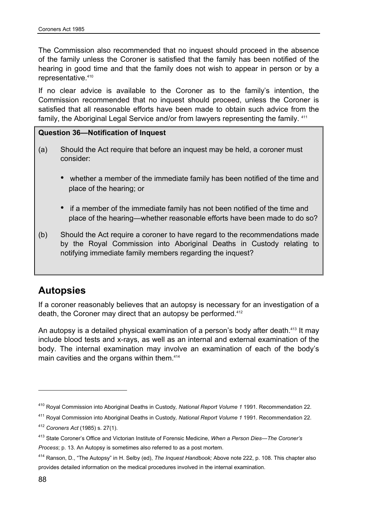The Commission also recommended that no inquest should proceed in the absence of the family unless the Coroner is satisfied that the family has been notified of the hearing in good time and that the family does not wish to appear in person or by a representative.<sup>410</sup>

If no clear advice is available to the Coroner as to the family's intention, the Commission recommended that no inquest should proceed, unless the Coroner is satisfied that all reasonable efforts have been made to obtain such advice from the family, the Aboriginal Legal Service and/or from lawyers representing the family. 411

## **Question 36—Notification of Inquest**

- (a) Should the Act require that before an inquest may be held, a coroner must consider:
	- whether a member of the immediate family has been notified of the time and place of the hearing; or
	- if a member of the immediate family has not been notified of the time and place of the hearing—whether reasonable efforts have been made to do so?
- (b) Should the Act require a coroner to have regard to the recommendations made by the Royal Commission into Aboriginal Deaths in Custody relating to notifying immediate family members regarding the inquest?

# **Autopsies**

If a coroner reasonably believes that an autopsy is necessary for an investigation of a death, the Coroner may direct that an autopsy be performed.<sup>412</sup>

An autopsy is a detailed physical examination of a person's body after death.<sup>413</sup> It may include blood tests and x-rays, as well as an internal and external examination of the body. The internal examination may involve an examination of each of the body's main cavities and the organs within them.<sup>414</sup>

411 Royal Commission into Aboriginal Deaths in Custody*, National Report Volume 1* 1991. Recommendation 22.

<sup>410</sup> Royal Commission into Aboriginal Deaths in Custody*, National Report Volume 1* 1991. Recommendation 22.

<sup>412</sup> *Coroners Act* (1985) s. 27(1).

<sup>413</sup> State Coroner's Office and Victorian Institute of Forensic Medicine, *When a Person Dies—The Coroner's Process*; p. 13. An Autopsy is sometimes also referred to as a post mortem.

<sup>414</sup> Ranson, D., "The Autopsy" in H. Selby (ed), *The Inquest Handbook;* Above note 222, p. 108. This chapter also provides detailed information on the medical procedures involved in the internal examination.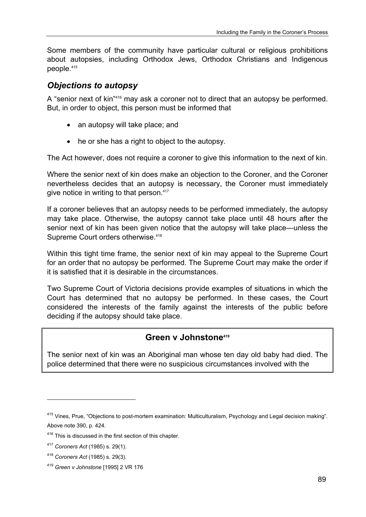Some members of the community have particular cultural or religious prohibitions about autopsies, including Orthodox Jews, Orthodox Christians and Indigenous people.415

# *Objections to autopsy*

A "senior next of kin"416 may ask a coroner not to direct that an autopsy be performed. But, in order to object, this person must be informed that

- an autopsy will take place; and
- he or she has a right to object to the autopsy.

The Act however, does not require a coroner to give this information to the next of kin.

Where the senior next of kin does make an objection to the Coroner, and the Coroner nevertheless decides that an autopsy is necessary, the Coroner must immediately give notice in writing to that person.<sup>417</sup>

If a coroner believes that an autopsy needs to be performed immediately, the autopsy may take place. Otherwise, the autopsy cannot take place until 48 hours after the senior next of kin has been given notice that the autopsy will take place—unless the Supreme Court orders otherwise.<sup>418</sup>

Within this tight time frame, the senior next of kin may appeal to the Supreme Court for an order that no autopsy be performed. The Supreme Court may make the order if it is satisfied that it is desirable in the circumstances.

Two Supreme Court of Victoria decisions provide examples of situations in which the Court has determined that no autopsy be performed. In these cases, the Court considered the interests of the family against the interests of the public before deciding if the autopsy should take place.

# **Green v Johnstone419**

The senior next of kin was an Aboriginal man whose ten day old baby had died. The police determined that there were no suspicious circumstances involved with the

<sup>415</sup> Vines, Prue, "Objections to post-mortem examination: Multiculturalism, Psychology and Legal decision making". Above note 390, p. 424.

<sup>&</sup>lt;sup>416</sup> This is discussed in the first section of this chapter.

<sup>417</sup> *Coroners Act* (1985) s. 29(1).

<sup>418</sup> *Coroners Act* (1985) s. 29(3).

<sup>419</sup> *Green v Johnstone* [1995] 2 VR 176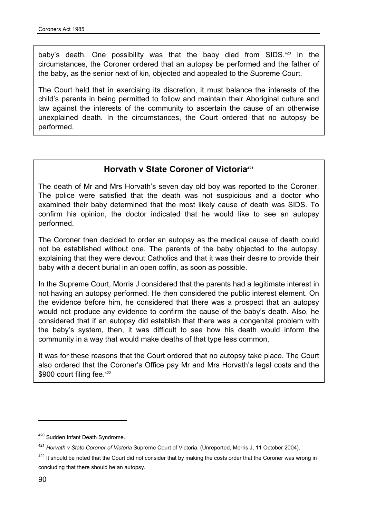baby's death. One possibility was that the baby died from SIDS.420 In the circumstances, the Coroner ordered that an autopsy be performed and the father of the baby, as the senior next of kin, objected and appealed to the Supreme Court.

The Court held that in exercising its discretion, it must balance the interests of the child's parents in being permitted to follow and maintain their Aboriginal culture and law against the interests of the community to ascertain the cause of an otherwise unexplained death. In the circumstances, the Court ordered that no autopsy be performed.

# **Horvath v State Coroner of Victoria**<sup>421</sup>

The death of Mr and Mrs Horvath's seven day old boy was reported to the Coroner. The police were satisfied that the death was not suspicious and a doctor who examined their baby determined that the most likely cause of death was SIDS. To confirm his opinion, the doctor indicated that he would like to see an autopsy performed.

The Coroner then decided to order an autopsy as the medical cause of death could not be established without one. The parents of the baby objected to the autopsy, explaining that they were devout Catholics and that it was their desire to provide their baby with a decent burial in an open coffin, as soon as possible.

In the Supreme Court, Morris J considered that the parents had a legitimate interest in not having an autopsy performed. He then considered the public interest element. On the evidence before him, he considered that there was a prospect that an autopsy would not produce any evidence to confirm the cause of the baby's death. Also, he considered that if an autopsy did establish that there was a congenital problem with the baby's system, then, it was difficult to see how his death would inform the community in a way that would make deaths of that type less common.

It was for these reasons that the Court ordered that no autopsy take place. The Court also ordered that the Coroner's Office pay Mr and Mrs Horvath's legal costs and the \$900 court filing fee.<sup>422</sup>

<sup>&</sup>lt;sup>420</sup> Sudden Infant Death Syndrome.

<sup>421</sup> *Horvath v State Coroner of Victoria* Supreme Court of Victoria, (Unreported, Morris J, 11 October 2004).

<sup>&</sup>lt;sup>422</sup> It should be noted that the Court did not consider that by making the costs order that the Coroner was wrong in concluding that there should be an autopsy.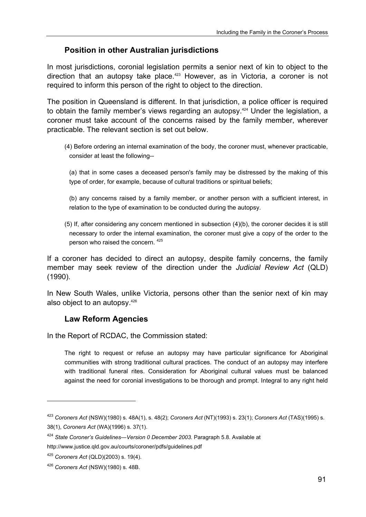# **Position in other Australian jurisdictions**

In most jurisdictions, coronial legislation permits a senior next of kin to object to the direction that an autopsy take place.<sup>423</sup> However, as in Victoria, a coroner is not required to inform this person of the right to object to the direction.

The position in Queensland is different. In that jurisdiction, a police officer is required to obtain the family member's views regarding an autopsy.<sup>424</sup> Under the legislation, a coroner must take account of the concerns raised by the family member, wherever practicable. The relevant section is set out below.

(4) Before ordering an internal examination of the body, the coroner must, whenever practicable, consider at least the following--

(a) that in some cases a deceased person's family may be distressed by the making of this type of order, for example, because of cultural traditions or spiritual beliefs;

(b) any concerns raised by a family member, or another person with a sufficient interest, in relation to the type of examination to be conducted during the autopsy.

(5) If, after considering any concern mentioned in subsection (4)(b), the coroner decides it is still necessary to order the internal examination, the coroner must give a copy of the order to the person who raised the concern. <sup>425</sup>

If a coroner has decided to direct an autopsy, despite family concerns, the family member may seek review of the direction under the *Judicial Review Act* (QLD) (1990).

In New South Wales, unlike Victoria, persons other than the senior next of kin may also object to an autopsy.426

# **Law Reform Agencies**

In the Report of RCDAC, the Commission stated:

The right to request or refuse an autopsy may have particular significance for Aboriginal communities with strong traditional cultural practices. The conduct of an autopsy may interfere with traditional funeral rites. Consideration for Aboriginal cultural values must be balanced against the need for coronial investigations to be thorough and prompt. Integral to any right held

 $\overline{a}$ 

<sup>423</sup> *Coroners Act* (NSW)(1980) s. 48A(1), s. 48(2); *Coroners Act* (NT)(1993) s. 23(1); *Coroners Act* (TAS)(1995) s. 38(1), *Coroners Act* (WA)(1996) s. 37(1).

<sup>424</sup> *State Coroner's Guidelines—Version 0 December 2003.* Paragraph 5.8. Available at http://www.justice.qld.gov.au/courts/coroner/pdfs/guidelines.pdf

<sup>425</sup> *Coroners Act* (QLD)(2003) s. 19(4).

<sup>426</sup> *Coroners Act* (NSW)(1980) s. 48B.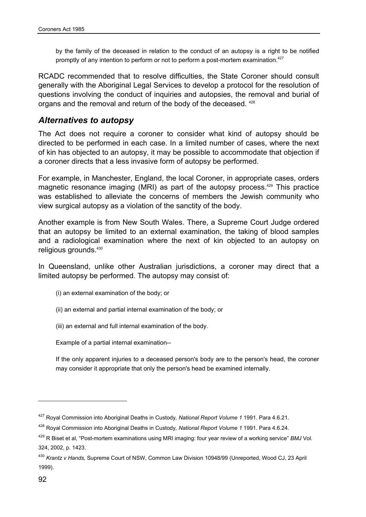by the family of the deceased in relation to the conduct of an autopsy is a right to be notified promptly of any intention to perform or not to perform a post-mortem examination.<sup>427</sup>

RCADC recommended that to resolve difficulties, the State Coroner should consult generally with the Aboriginal Legal Services to develop a protocol for the resolution of questions involving the conduct of inquiries and autopsies, the removal and burial of organs and the removal and return of the body of the deceased. 428

# *Alternatives to autopsy*

The Act does not require a coroner to consider what kind of autopsy should be directed to be performed in each case. In a limited number of cases, where the next of kin has objected to an autopsy, it may be possible to accommodate that objection if a coroner directs that a less invasive form of autopsy be performed.

For example, in Manchester, England, the local Coroner, in appropriate cases, orders magnetic resonance imaging (MRI) as part of the autopsy process.<sup>429</sup> This practice was established to alleviate the concerns of members the Jewish community who view surgical autopsy as a violation of the sanctity of the body.

Another example is from New South Wales. There, a Supreme Court Judge ordered that an autopsy be limited to an external examination, the taking of blood samples and a radiological examination where the next of kin objected to an autopsy on religious grounds.<sup>430</sup>

In Queensland, unlike other Australian jurisdictions, a coroner may direct that a limited autopsy be performed. The autopsy may consist of:

- (i) an external examination of the body; or
- (ii) an external and partial internal examination of the body; or
- (iii) an external and full internal examination of the body.

Example of a partial internal examination--

If the only apparent injuries to a deceased person's body are to the person's head, the coroner may consider it appropriate that only the person's head be examined internally.

 $\overline{a}$ 

<sup>427</sup> Royal Commission into Aboriginal Deaths in Custody*, National Report Volume 1* 1991. Para 4.6.21.

<sup>428</sup> Royal Commission into Aboriginal Deaths in Custody*, National Report Volume 1* 1991. Para 4.6.24.

<sup>429</sup> R Biset et al, "Post-mortem examinations using MRI imaging: four year review of a working service" *BMJ* Vol. 324, 2002, p. 1423.

<sup>430</sup> *Krantz v Hands,* Supreme Court of NSW, Common Law Division 10948/99 (Unreported, Wood CJ, 23 April 1999).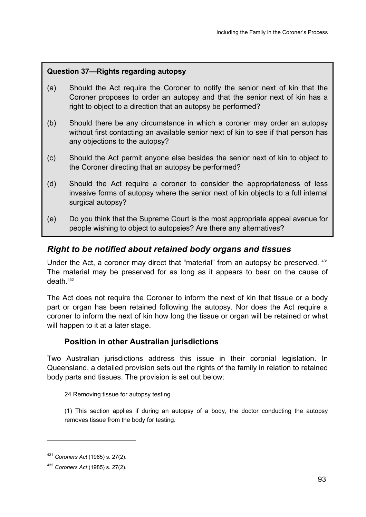# **Question 37—Rights regarding autopsy**

- (a) Should the Act require the Coroner to notify the senior next of kin that the Coroner proposes to order an autopsy and that the senior next of kin has a right to object to a direction that an autopsy be performed?
- (b) Should there be any circumstance in which a coroner may order an autopsy without first contacting an available senior next of kin to see if that person has any objections to the autopsy?
- (c) Should the Act permit anyone else besides the senior next of kin to object to the Coroner directing that an autopsy be performed?
- (d) Should the Act require a coroner to consider the appropriateness of less invasive forms of autopsy where the senior next of kin objects to a full internal surgical autopsy?
- (e) Do you think that the Supreme Court is the most appropriate appeal avenue for people wishing to object to autopsies? Are there any alternatives?

# *Right to be notified about retained body organs and tissues*

Under the Act, a coroner may direct that "material" from an autopsy be preserved. 431 The material may be preserved for as long as it appears to bear on the cause of death  $432$ 

The Act does not require the Coroner to inform the next of kin that tissue or a body part or organ has been retained following the autopsy. Nor does the Act require a coroner to inform the next of kin how long the tissue or organ will be retained or what will happen to it at a later stage.

# **Position in other Australian jurisdictions**

Two Australian jurisdictions address this issue in their coronial legislation. In Queensland, a detailed provision sets out the rights of the family in relation to retained body parts and tissues. The provision is set out below:

24 Removing tissue for autopsy testing

(1) This section applies if during an autopsy of a body, the doctor conducting the autopsy removes tissue from the body for testing.

<sup>431</sup> *Coroners Act* (1985) s. 27(2).

<sup>432</sup> *Coroners Act* (1985) s. 27(2).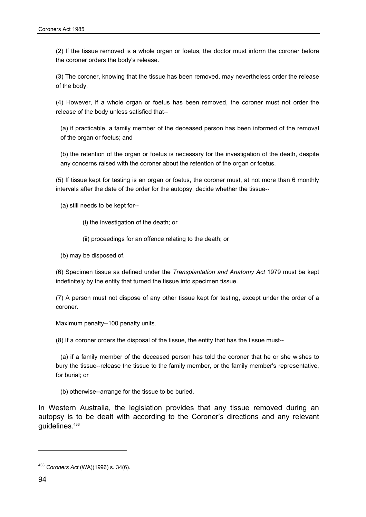(2) If the tissue removed is a whole organ or foetus, the doctor must inform the coroner before the coroner orders the body's release.

(3) The coroner, knowing that the tissue has been removed, may nevertheless order the release of the body.

(4) However, if a whole organ or foetus has been removed, the coroner must not order the release of the body unless satisfied that--

(a) if practicable, a family member of the deceased person has been informed of the removal of the organ or foetus; and

(b) the retention of the organ or foetus is necessary for the investigation of the death, despite any concerns raised with the coroner about the retention of the organ or foetus.

(5) If tissue kept for testing is an organ or foetus, the coroner must, at not more than 6 monthly intervals after the date of the order for the autopsy, decide whether the tissue--

(a) still needs to be kept for--

(i) the investigation of the death; or

(ii) proceedings for an offence relating to the death; or

(b) may be disposed of.

(6) Specimen tissue as defined under the *Transplantation and Anatomy Act* 1979 must be kept indefinitely by the entity that turned the tissue into specimen tissue.

(7) A person must not dispose of any other tissue kept for testing, except under the order of a coroner.

Maximum penalty--100 penalty units.

(8) If a coroner orders the disposal of the tissue, the entity that has the tissue must--

(a) if a family member of the deceased person has told the coroner that he or she wishes to bury the tissue--release the tissue to the family member, or the family member's representative, for burial; or

(b) otherwise--arrange for the tissue to be buried.

In Western Australia, the legislation provides that any tissue removed during an autopsy is to be dealt with according to the Coroner's directions and any relevant guidelines.433

<sup>433</sup> *Coroners Act* (WA)(1996) s. 34(6).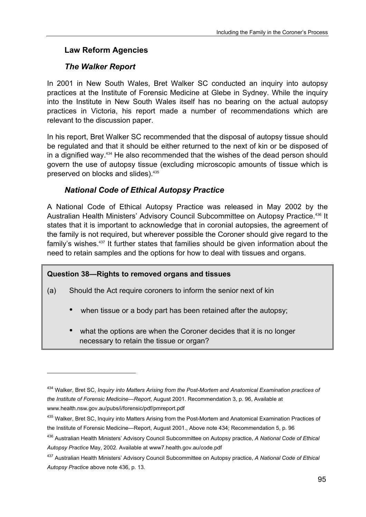# **Law Reform Agencies**

# *The Walker Report*

In 2001 in New South Wales, Bret Walker SC conducted an inquiry into autopsy practices at the Institute of Forensic Medicine at Glebe in Sydney. While the inquiry into the Institute in New South Wales itself has no bearing on the actual autopsy practices in Victoria, his report made a number of recommendations which are relevant to the discussion paper.

In his report, Bret Walker SC recommended that the disposal of autopsy tissue should be regulated and that it should be either returned to the next of kin or be disposed of in a dignified way.434 He also recommended that the wishes of the dead person should govern the use of autopsy tissue (excluding microscopic amounts of tissue which is preserved on blocks and slides).435

# *National Code of Ethical Autopsy Practice*

A National Code of Ethical Autopsy Practice was released in May 2002 by the Australian Health Ministers' Advisory Council Subcommittee on Autopsy Practice.436 It states that it is important to acknowledge that in coronial autopsies, the agreement of the family is not required, but wherever possible the Coroner should give regard to the family's wishes.<sup>437</sup> It further states that families should be given information about the need to retain samples and the options for how to deal with tissues and organs.

# **Question 38—Rights to removed organs and tissues**

 $\overline{a}$ 

- (a) Should the Act require coroners to inform the senior next of kin
	- when tissue or a body part has been retained after the autopsy;
	- what the options are when the Coroner decides that it is no longer necessary to retain the tissue or organ?

<sup>434</sup> Walker, Bret SC, *Inquiry into Matters Arising from the Post-Mortem and Anatomical Examination practices of the Institute of Forensic Medicine—Report*, August 2001. Recommendation 3, p. 96, Available at www.health.nsw.gov.au/pubs/i/forensic/pdf/pmreport.pdf

<sup>435</sup> Walker, Bret SC, Inquiry into Matters Arising from the Post-Mortem and Anatomical Examination Practices of the Institute of Forensic Medicine—Report, August 2001., Above note 434; Recommendation 5, p. 96

<sup>436</sup> Australian Health Ministers' Advisory Council Subcommittee on Autopsy practice, *A National Code of Ethical Autopsy Practice* May, 2002. Available at www7.health.gov.au/code.pdf

<sup>437</sup> Australian Health Ministers' Advisory Council Subcommittee on Autopsy practice, *A National Code of Ethical Autopsy Practice* above note 436, p. 13*.*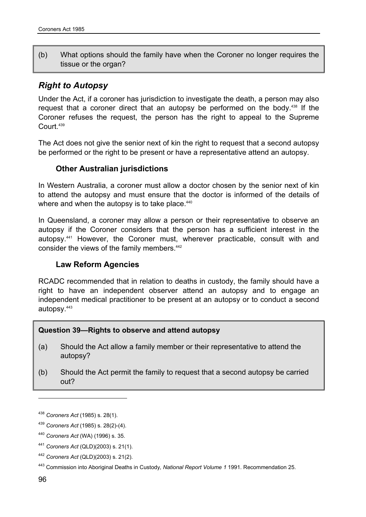(b) What options should the family have when the Coroner no longer requires the tissue or the organ?

# *Right to Autopsy*

Under the Act, if a coroner has jurisdiction to investigate the death, a person may also request that a coroner direct that an autopsy be performed on the body.438 If the Coroner refuses the request, the person has the right to appeal to the Supreme Court<sup>439</sup>

The Act does not give the senior next of kin the right to request that a second autopsy be performed or the right to be present or have a representative attend an autopsy.

# **Other Australian jurisdictions**

In Western Australia, a coroner must allow a doctor chosen by the senior next of kin to attend the autopsy and must ensure that the doctor is informed of the details of where and when the autopsy is to take place.<sup>440</sup>

In Queensland, a coroner may allow a person or their representative to observe an autopsy if the Coroner considers that the person has a sufficient interest in the autopsy.441 However, the Coroner must, wherever practicable, consult with and consider the views of the family members.<sup>442</sup>

# **Law Reform Agencies**

RCADC recommended that in relation to deaths in custody, the family should have a right to have an independent observer attend an autopsy and to engage an independent medical practitioner to be present at an autopsy or to conduct a second autopsy.443

## **Question 39—Rights to observe and attend autopsy**

- (a) Should the Act allow a family member or their representative to attend the autopsy?
- (b) Should the Act permit the family to request that a second autopsy be carried out?

<sup>438</sup> *Coroners Act* (1985) s. 28(1).

<sup>439</sup> *Coroners Act* (1985) s. 28(2)-(4).

<sup>440</sup> *Coroners Act* (WA) (1996) s. 35.

<sup>441</sup> *Coroners Act* (QLD)(2003) s. 21(1).

<sup>442</sup> *Coroners Act* (QLD)(2003) s. 21(2).

<sup>443</sup> Commission into Aboriginal Deaths in Custody*, National Report Volume 1* 1991. Recommendation 25.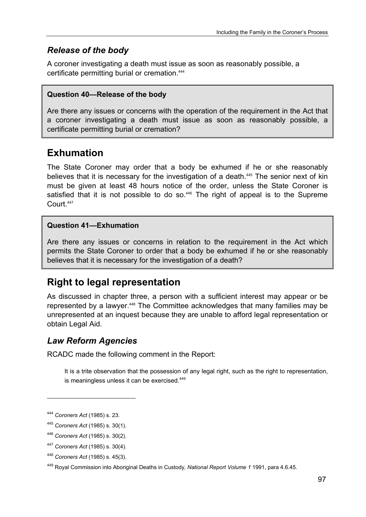# *Release of the body*

A coroner investigating a death must issue as soon as reasonably possible, a certificate permitting burial or cremation.444

# **Question 40—Release of the body**

Are there any issues or concerns with the operation of the requirement in the Act that a coroner investigating a death must issue as soon as reasonably possible, a certificate permitting burial or cremation?

# **Exhumation**

The State Coroner may order that a body be exhumed if he or she reasonably believes that it is necessary for the investigation of a death.<sup>445</sup> The senior next of kin must be given at least 48 hours notice of the order, unless the State Coroner is satisfied that it is not possible to do so.<sup>446</sup> The right of appeal is to the Supreme Court<sup>447</sup>

# **Question 41—Exhumation**

Are there any issues or concerns in relation to the requirement in the Act which permits the State Coroner to order that a body be exhumed if he or she reasonably believes that it is necessary for the investigation of a death?

# **Right to legal representation**

As discussed in chapter three, a person with a sufficient interest may appear or be represented by a lawyer.<sup>448</sup> The Committee acknowledges that many families may be unrepresented at an inquest because they are unable to afford legal representation or obtain Legal Aid.

# *Law Reform Agencies*

RCADC made the following comment in the Report:

It is a trite observation that the possession of any legal right, such as the right to representation, is meaningless unless it can be exercised.<sup>449</sup>

<sup>444</sup> *Coroners Act* (1985) s. 23.

<sup>445</sup> *Coroners Act* (1985) s. 30(1).

<sup>446</sup> *Coroners Act* (1985) s. 30(2).

<sup>447</sup> *Coroners Act* (1985) s. 30(4).

<sup>448</sup> *Coroners Act* (1985) s. 45(3).

<sup>449</sup> Royal Commission into Aboriginal Deaths in Custody*, National Report Volume 1* 1991, para 4.6.45.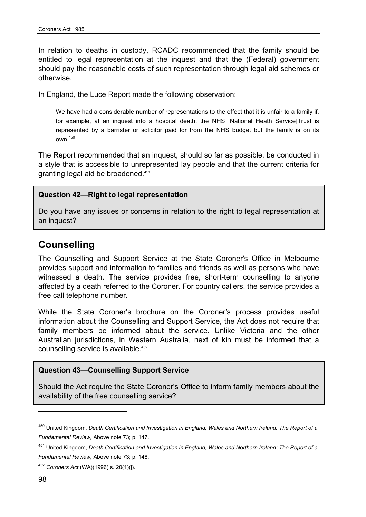In relation to deaths in custody, RCADC recommended that the family should be entitled to legal representation at the inquest and that the (Federal) government should pay the reasonable costs of such representation through legal aid schemes or otherwise.

In England, the Luce Report made the following observation:

We have had a considerable number of representations to the effect that it is unfair to a family if. for example, at an inquest into a hospital death, the NHS [National Heath Service]Trust is represented by a barrister or solicitor paid for from the NHS budget but the family is on its own.450

The Report recommended that an inquest, should so far as possible, be conducted in a style that is accessible to unrepresented lay people and that the current criteria for granting legal aid be broadened.451

#### **Question 42—Right to legal representation**

Do you have any issues or concerns in relation to the right to legal representation at an inquest?

# **Counselling**

The Counselling and Support Service at the State Coroner's Office in Melbourne provides support and information to families and friends as well as persons who have witnessed a death. The service provides free, short-term counselling to anyone affected by a death referred to the Coroner. For country callers, the service provides a free call telephone number.

While the State Coroner's brochure on the Coroner's process provides useful information about the Counselling and Support Service, the Act does not require that family members be informed about the service. Unlike Victoria and the other Australian jurisdictions, in Western Australia, next of kin must be informed that a counselling service is available.452

#### **Question 43—Counselling Support Service**

Should the Act require the State Coroner's Office to inform family members about the availability of the free counselling service?

<sup>450</sup> United Kingdom, *Death Certification and Investigation in England, Wales and Northern Ireland: The Report of a Fundamental Review,* Above note 73; p. 147.

<sup>451</sup> United Kingdom, *Death Certification and Investigation in England, Wales and Northern Ireland: The Report of a Fundamental Review,* Above note 73; p. 148.

<sup>452</sup> *Coroners Act* (WA)(1996) s. 20(1)(j).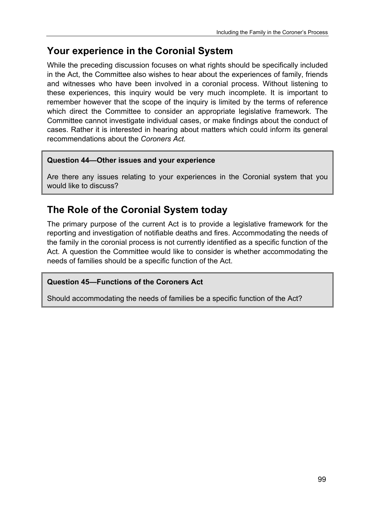# **Your experience in the Coronial System**

While the preceding discussion focuses on what rights should be specifically included in the Act, the Committee also wishes to hear about the experiences of family, friends and witnesses who have been involved in a coronial process. Without listening to these experiences, this inquiry would be very much incomplete. It is important to remember however that the scope of the inquiry is limited by the terms of reference which direct the Committee to consider an appropriate legislative framework. The Committee cannot investigate individual cases, or make findings about the conduct of cases. Rather it is interested in hearing about matters which could inform its general recommendations about the *Coroners Act.*

# **Question 44—Other issues and your experience**

Are there any issues relating to your experiences in the Coronial system that you would like to discuss?

# **The Role of the Coronial System today**

The primary purpose of the current Act is to provide a legislative framework for the reporting and investigation of notifiable deaths and fires. Accommodating the needs of the family in the coronial process is not currently identified as a specific function of the Act. A question the Committee would like to consider is whether accommodating the needs of families should be a specific function of the Act.

# **Question 45—Functions of the Coroners Act**

Should accommodating the needs of families be a specific function of the Act?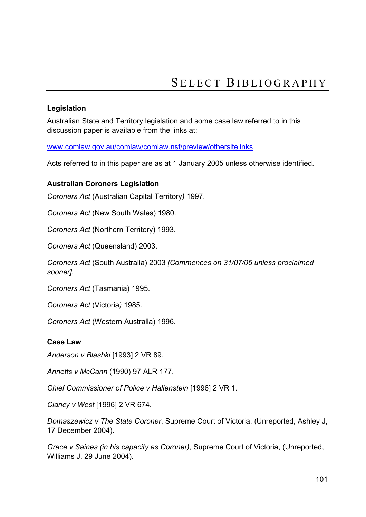# **Legislation**

Australian State and Territory legislation and some case law referred to in this discussion paper is available from the links at:

www.comlaw.gov.au/comlaw/comlaw.nsf/preview/othersitelinks

Acts referred to in this paper are as at 1 January 2005 unless otherwise identified.

# **Australian Coroners Legislation**

*Coroners Act* (Australian Capital Territory*)* 1997.

*Coroners Act* (New South Wales) 1980.

*Coroners Act* (Northern Territory) 1993.

*Coroners Act* (Queensland) 2003.

*Coroners Act* (South Australia) 2003 *[Commences on 31/07/05 unless proclaimed sooner].*

*Coroners Act* (Tasmania) 1995.

*Coroners Act* (Victoria*)* 1985.

*Coroners Act* (Western Australia) 1996.

## **Case Law**

*Anderson v Blashki* [1993] 2 VR 89.

*Annetts v McCann* (1990) 97 ALR 177.

*Chief Commissioner of Police v Hallenstein* [1996] 2 VR 1.

*Clancy v West* [1996] 2 VR 674.

*Domaszewicz v The State Coroner*, Supreme Court of Victoria, (Unreported, Ashley J, 17 December 2004).

*Grace v Saines (in his capacity as Coroner)*, Supreme Court of Victoria, (Unreported, Williams J, 29 June 2004).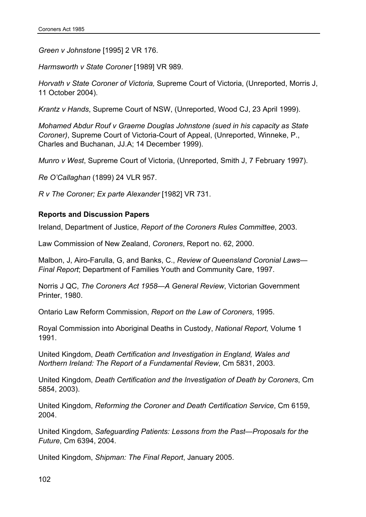*Green v Johnstone* [1995] 2 VR 176.

*Harmsworth v State Coroner* [1989] VR 989.

*Horvath v State Coroner of Victoria,* Supreme Court of Victoria, (Unreported, Morris J, 11 October 2004).

*Krantz v Hands*, Supreme Court of NSW, (Unreported, Wood CJ, 23 April 1999).

*Mohamed Abdur Rouf v Graeme Douglas Johnstone (sued in his capacity as State Coroner)*, Supreme Court of Victoria-Court of Appeal, (Unreported, Winneke, P., Charles and Buchanan, JJ.A; 14 December 1999).

*Munro v West*, Supreme Court of Victoria, (Unreported, Smith J, 7 February 1997).

*Re O'Callaghan* (1899) 24 VLR 957.

*R v The Coroner; Ex parte Alexander* [1982] VR 731.

# **Reports and Discussion Papers**

Ireland, Department of Justice, *Report of the Coroners Rules Committee*, 2003.

Law Commission of New Zealand, *Coroners*, Report no. 62, 2000.

Malbon, J, Airo-Farulla, G, and Banks, C., *Review of Queensland Coronial Laws— Final Report*; Department of Families Youth and Community Care, 1997.

Norris J QC, *The Coroners Act 1958—A General Review*, Victorian Government Printer, 1980.

Ontario Law Reform Commission, *Report on the Law of Coroners*, 1995.

Royal Commission into Aboriginal Deaths in Custody, *National Report,* Volume 1 1991.

United Kingdom, *Death Certification and Investigation in England, Wales and Northern Ireland: The Report of a Fundamental Review*, Cm 5831, 2003.

United Kingdom, *Death Certification and the Investigation of Death by Coroners*, Cm 5854, 2003).

United Kingdom, *Reforming the Coroner and Death Certification Service*, Cm 6159, 2004.

United Kingdom, *Safeguarding Patients: Lessons from the Past—Proposals for the Future*, Cm 6394, 2004.

United Kingdom, *Shipman: The Final Report*, January 2005.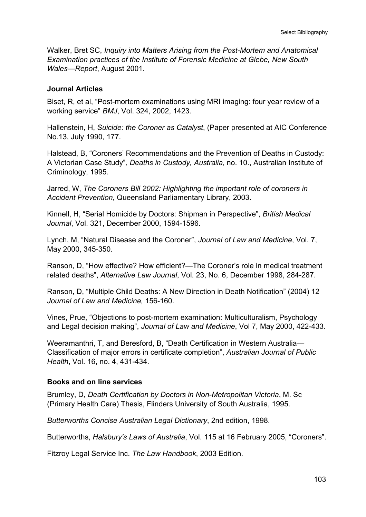Walker, Bret SC, *Inquiry into Matters Arising from the Post-Mortem and Anatomical Examination practices of the Institute of Forensic Medicine at Glebe, New South Wales—Report*, August 2001.

# **Journal Articles**

Biset, R, et al, "Post-mortem examinations using MRI imaging: four year review of a working service" *BMJ*, Vol. 324, 2002, 1423.

Hallenstein, H, *Suicide: the Coroner as Catalyst*, (Paper presented at AIC Conference No.13, July 1990, 177.

Halstead, B, "Coroners' Recommendations and the Prevention of Deaths in Custody: A Victorian Case Study"*, Deaths in Custody, Australia*, no. 10., Australian Institute of Criminology, 1995.

Jarred, W, *The Coroners Bill 2002: Highlighting the important role of coroners in Accident Prevention*, Queensland Parliamentary Library, 2003.

Kinnell, H, "Serial Homicide by Doctors: Shipman in Perspective", *British Medical Journal*, Vol. 321, December 2000, 1594-1596.

Lynch, M, "Natural Disease and the Coroner", *Journal of Law and Medicine*, Vol. 7, May 2000, 345-350.

Ranson, D, "How effective? How efficient?—The Coroner's role in medical treatment related deaths", *Alternative Law Journal*, Vol. 23, No. 6, December 1998, 284-287.

Ranson, D, "Multiple Child Deaths: A New Direction in Death Notification" (2004) 12 *Journal of Law and Medicine,* 156-160.

Vines, Prue, "Objections to post-mortem examination: Multiculturalism, Psychology and Legal decision making", *Journal of Law and Medicine*, Vol 7, May 2000, 422-433.

Weeramanthri, T, and Beresford, B, "Death Certification in Western Australia— Classification of major errors in certificate completion", *Australian Journal of Public Health*, Vol. 16, no. 4, 431-434.

# **Books and on line services**

Brumley, D, *Death Certification by Doctors in Non-Metropolitan Victoria*, M. Sc (Primary Health Care) Thesis, Flinders University of South Australia, 1995.

*Butterworths Concise Australian Legal Dictionary*, 2nd edition, 1998.

Butterworths, *Halsbury's Laws of Australia*, Vol. 115 at 16 February 2005, "Coroners".

Fitzroy Legal Service Inc. *The Law Handbook*, 2003 Edition.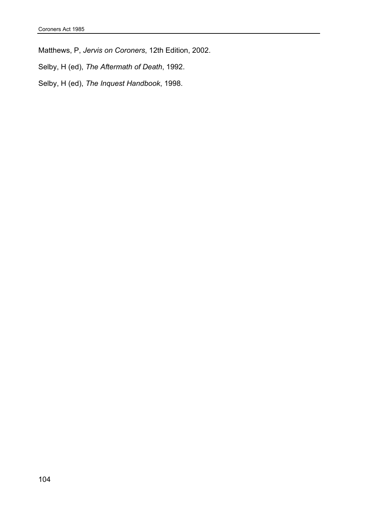Matthews, P, *Jervis on Coroners*, 12th Edition, 2002.

Selby, H (ed), *The Aftermath of Death*, 1992.

Selby, H (ed), *The Inquest Handbook*, 1998.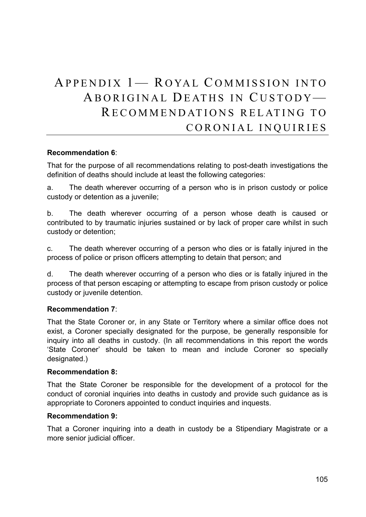# APPENDIX 1- ROYAL COMMISSION INTO ABORIGINAL DEATHS IN C USTODY— RECOMMENDATIONS RELATING TO CORONIAL INQUIRIES

## **Recommendation 6**:

That for the purpose of all recommendations relating to post-death investigations the definition of deaths should include at least the following categories:

a. The death wherever occurring of a person who is in prison custody or police custody or detention as a juvenile;

b. The death wherever occurring of a person whose death is caused or contributed to by traumatic injuries sustained or by lack of proper care whilst in such custody or detention;

c. The death wherever occurring of a person who dies or is fatally injured in the process of police or prison officers attempting to detain that person; and

d. The death wherever occurring of a person who dies or is fatally injured in the process of that person escaping or attempting to escape from prison custody or police custody or juvenile detention.

## **Recommendation 7**:

That the State Coroner or, in any State or Territory where a similar office does not exist, a Coroner specially designated for the purpose, be generally responsible for inquiry into all deaths in custody. (In all recommendations in this report the words 'State Coroner' should be taken to mean and include Coroner so specially designated.)

#### **Recommendation 8:**

That the State Coroner be responsible for the development of a protocol for the conduct of coronial inquiries into deaths in custody and provide such guidance as is appropriate to Coroners appointed to conduct inquiries and inquests.

#### **Recommendation 9:**

That a Coroner inquiring into a death in custody be a Stipendiary Magistrate or a more senior judicial officer.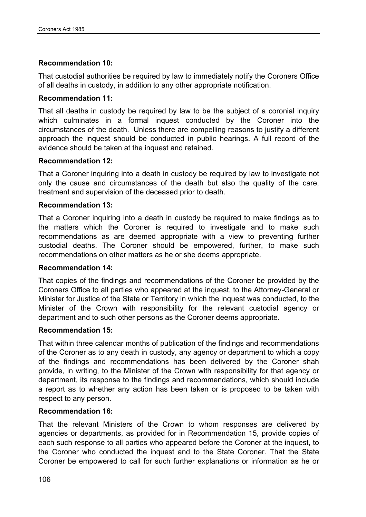# **Recommendation 10:**

That custodial authorities be required by law to immediately notify the Coroners Office of all deaths in custody, in addition to any other appropriate notification.

# **Recommendation 11:**

That all deaths in custody be required by law to be the subject of a coronial inquiry which culminates in a formal inquest conducted by the Coroner into the circumstances of the death. Unless there are compelling reasons to justify a different approach the inquest should be conducted in public hearings. A full record of the evidence should be taken at the inquest and retained.

# **Recommendation 12:**

That a Coroner inquiring into a death in custody be required by law to investigate not only the cause and circumstances of the death but also the quality of the care, treatment and supervision of the deceased prior to death.

# **Recommendation 13:**

That a Coroner inquiring into a death in custody be required to make findings as to the matters which the Coroner is required to investigate and to make such recommendations as are deemed appropriate with a view to preventing further custodial deaths. The Coroner should be empowered, further, to make such recommendations on other matters as he or she deems appropriate.

## **Recommendation 14:**

That copies of the findings and recommendations of the Coroner be provided by the Coroners Office to all parties who appeared at the inquest, to the Attorney-General or Minister for Justice of the State or Territory in which the inquest was conducted, to the Minister of the Crown with responsibility for the relevant custodial agency or department and to such other persons as the Coroner deems appropriate.

## **Recommendation 15:**

That within three calendar months of publication of the findings and recommendations of the Coroner as to any death in custody, any agency or department to which a copy of the findings and recommendations has been delivered by the Coroner shah provide, in writing, to the Minister of the Crown with responsibility for that agency or department, its response to the findings and recommendations, which should include a report as to whether any action has been taken or is proposed to be taken with respect to any person.

# **Recommendation 16:**

That the relevant Ministers of the Crown to whom responses are delivered by agencies or departments, as provided for in Recommendation 15, provide copies of each such response to all parties who appeared before the Coroner at the inquest, to the Coroner who conducted the inquest and to the State Coroner. That the State Coroner be empowered to call for such further explanations or information as he or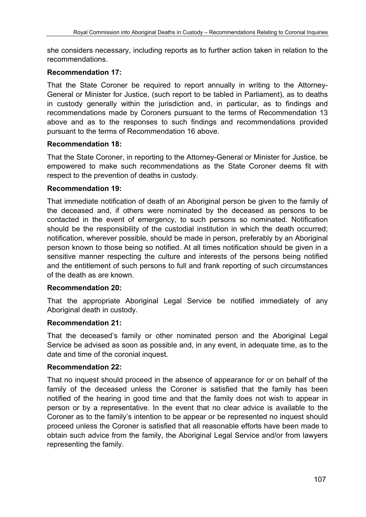she considers necessary, including reports as to further action taken in relation to the recommendations.

# **Recommendation 17:**

That the State Coroner be required to report annually in writing to the Attorney-General or Minister for Justice, (such report to be tabled in Parliament), as to deaths in custody generally within the jurisdiction and, in particular, as to findings and recommendations made by Coroners pursuant to the terms of Recommendation 13 above and as to the responses to such findings and recommendations provided pursuant to the terms of Recommendation 16 above.

# **Recommendation 18:**

That the State Coroner, in reporting to the Attorney-General or Minister for Justice, be empowered to make such recommendations as the State Coroner deems fit with respect to the prevention of deaths in custody.

# **Recommendation 19:**

That immediate notification of death of an Aboriginal person be given to the family of the deceased and, if others were nominated by the deceased as persons to be contacted in the event of emergency, to such persons so nominated. Notification should be the responsibility of the custodial institution in which the death occurred; notification, wherever possible, should be made in person, preferably by an Aboriginal person known to those being so notified. At all times notification should be given in a sensitive manner respecting the culture and interests of the persons being notified and the entitlement of such persons to full and frank reporting of such circumstances of the death as are known.

## **Recommendation 20:**

That the appropriate Aboriginal Legal Service be notified immediately of any Aboriginal death in custody.

## **Recommendation 21:**

That the deceased's family or other nominated person and the Aboriginal Legal Service be advised as soon as possible and, in any event, in adequate time, as to the date and time of the coronial inquest.

## **Recommendation 22:**

That no inquest should proceed in the absence of appearance for or on behalf of the family of the deceased unless the Coroner is satisfied that the family has been notified of the hearing in good time and that the family does not wish to appear in person or by a representative. In the event that no clear advice is available to the Coroner as to the family's intention to be appear or be represented no inquest should proceed unless the Coroner is satisfied that all reasonable efforts have been made to obtain such advice from the family, the Aboriginal Legal Service and/or from lawyers representing the family.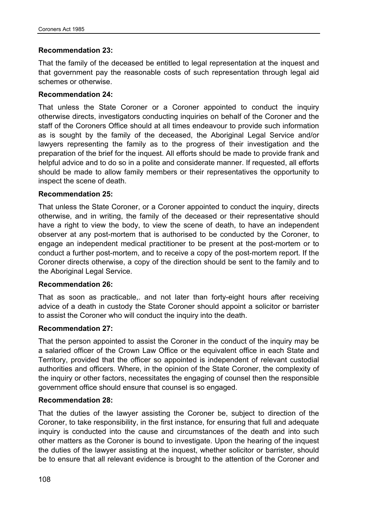# **Recommendation 23:**

That the family of the deceased be entitled to legal representation at the inquest and that government pay the reasonable costs of such representation through legal aid schemes or otherwise.

## **Recommendation 24:**

That unless the State Coroner or a Coroner appointed to conduct the inquiry otherwise directs, investigators conducting inquiries on behalf of the Coroner and the staff of the Coroners Office should at all times endeavour to provide such information as is sought by the family of the deceased, the Aboriginal Legal Service and/or lawyers representing the family as to the progress of their investigation and the preparation of the brief for the inquest. All efforts should be made to provide frank and helpful advice and to do so in a polite and considerate manner. If requested, all efforts should be made to allow family members or their representatives the opportunity to inspect the scene of death.

# **Recommendation 25:**

That unless the State Coroner, or a Coroner appointed to conduct the inquiry, directs otherwise, and in writing, the family of the deceased or their representative should have a right to view the body, to view the scene of death, to have an independent observer at any post-mortem that is authorised to be conducted by the Coroner, to engage an independent medical practitioner to be present at the post-mortem or to conduct a further post-mortem, and to receive a copy of the post-mortem report. If the Coroner directs otherwise, a copy of the direction should be sent to the family and to the Aboriginal Legal Service.

## **Recommendation 26:**

That as soon as practicable,. and not later than forty-eight hours after receiving advice of a death in custody the State Coroner should appoint a solicitor or barrister to assist the Coroner who will conduct the inquiry into the death.

## **Recommendation 27:**

That the person appointed to assist the Coroner in the conduct of the inquiry may be a salaried officer of the Crown Law Office or the equivalent office in each State and Territory, provided that the officer so appointed is independent of relevant custodial authorities and officers. Where, in the opinion of the State Coroner, the complexity of the inquiry or other factors, necessitates the engaging of counsel then the responsible government office should ensure that counsel is so engaged.

## **Recommendation 28:**

That the duties of the lawyer assisting the Coroner be, subject to direction of the Coroner, to take responsibility, in the first instance, for ensuring that full and adequate inquiry is conducted into the cause and circumstances of the death and into such other matters as the Coroner is bound to investigate. Upon the hearing of the inquest the duties of the lawyer assisting at the inquest, whether solicitor or barrister, should be to ensure that all relevant evidence is brought to the attention of the Coroner and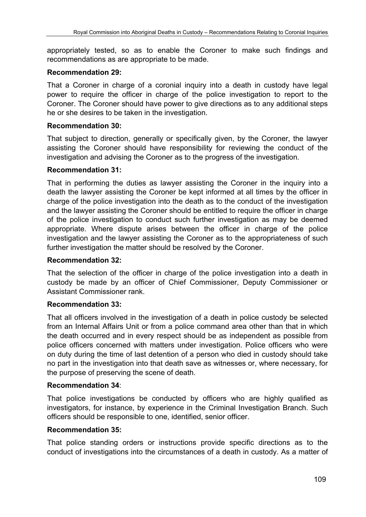appropriately tested, so as to enable the Coroner to make such findings and recommendations as are appropriate to be made.

## **Recommendation 29:**

That a Coroner in charge of a coronial inquiry into a death in custody have legal power to require the officer in charge of the police investigation to report to the Coroner. The Coroner should have power to give directions as to any additional steps he or she desires to be taken in the investigation.

# **Recommendation 30:**

That subject to direction, generally or specifically given, by the Coroner, the lawyer assisting the Coroner should have responsibility for reviewing the conduct of the investigation and advising the Coroner as to the progress of the investigation.

## **Recommendation 31:**

That in performing the duties as lawyer assisting the Coroner in the inquiry into a death the lawyer assisting the Coroner be kept informed at all times by the officer in charge of the police investigation into the death as to the conduct of the investigation and the lawyer assisting the Coroner should be entitled to require the officer in charge of the police investigation to conduct such further investigation as may be deemed appropriate. Where dispute arises between the officer in charge of the police investigation and the lawyer assisting the Coroner as to the appropriateness of such further investigation the matter should be resolved by the Coroner.

## **Recommendation 32:**

That the selection of the officer in charge of the police investigation into a death in custody be made by an officer of Chief Commissioner, Deputy Commissioner or Assistant Commissioner rank.

## **Recommendation 33:**

That all officers involved in the investigation of a death in police custody be selected from an Internal Affairs Unit or from a police command area other than that in which the death occurred and in every respect should be as independent as possible from police officers concerned with matters under investigation. Police officers who were on duty during the time of last detention of a person who died in custody should take no part in the investigation into that death save as witnesses or, where necessary, for the purpose of preserving the scene of death.

## **Recommendation 34**:

That police investigations be conducted by officers who are highly qualified as investigators, for instance, by experience in the Criminal Investigation Branch. Such officers should be responsible to one, identified, senior officer.

# **Recommendation 35:**

That police standing orders or instructions provide specific directions as to the conduct of investigations into the circumstances of a death in custody. As a matter of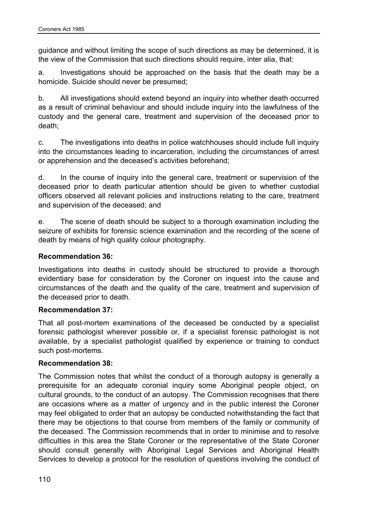guidance and without limiting the scope of such directions as may be determined, it is the view of the Commission that such directions should require, inter alia, that:

a. Investigations should be approached on the basis that the death may be a homicide. Suicide should never be presumed;

b. All investigations should extend beyond an inquiry into whether death occurred as a result of criminal behaviour and should include inquiry into the lawfulness of the custody and the general care, treatment and supervision of the deceased prior to death;

c. The investigations into deaths in police watchhouses should include full inquiry into the circumstances leading to incarceration, including the circumstances of arrest or apprehension and the deceased's activities beforehand;

d. In the course of inquiry into the general care, treatment or supervision of the deceased prior to death particular attention should be given to whether custodial officers observed all relevant policies and instructions relating to the care, treatment and supervision of the deceased; and

e. The scene of death should be subject to a thorough examination including the seizure of exhibits for forensic science examination and the recording of the scene of death by means of high quality colour photography.

# **Recommendation 36:**

Investigations into deaths in custody should be structured to provide a thorough evidentiary base for consideration by the Coroner on inquest into the cause and circumstances of the death and the quality of the care, treatment and supervision of the deceased prior to death.

## **Recommendation 37:**

That all post-mortem examinations of the deceased be conducted by a specialist forensic pathologist wherever possible or, if a specialist forensic pathologist is not available, by a specialist pathologist qualified by experience or training to conduct such post-mortems.

## **Recommendation 38:**

The Commission notes that whilst the conduct of a thorough autopsy is generally a prerequisite for an adequate coronial inquiry some Aboriginal people object, on cultural grounds, to the conduct of an autopsy. The Commission recognises that there are occasions where as a matter of urgency and in the public interest the Coroner may feel obligated to order that an autopsy be conducted notwithstanding the fact that there may be objections to that course from members of the family or community of the deceased. The Commission recommends that in order to minimise and to resolve difficulties in this area the State Coroner or the representative of the State Coroner should consult generally with Aboriginal Legal Services and Aboriginal Health Services to develop a protocol for the resolution of questions involving the conduct of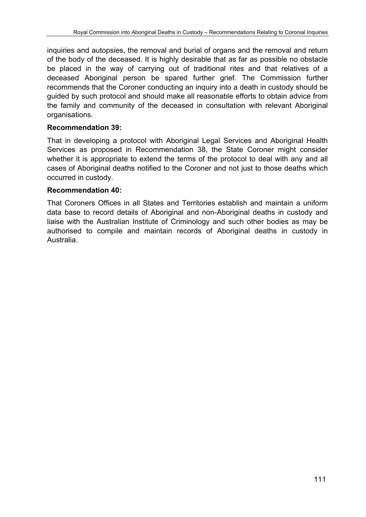inquiries and autopsies, the removal and burial of organs and the removal and return of the body of the deceased. It is highly desirable that as far as possible no obstacle be placed in the way of carrying out of traditional rites and that relatives of a deceased Aboriginal person be spared further grief. The Commission further recommends that the Coroner conducting an inquiry into a death in custody should be guided by such protocol and should make all reasonable efforts to obtain advice from the family and community of the deceased in consultation with relevant Aboriginal organisations.

# **Recommendation 39:**

That in developing a protocol with Aboriginal Legal Services and Aboriginal Health Services as proposed in Recommendation 38, the State Coroner might consider whether it is appropriate to extend the terms of the protocol to deal with any and all cases of Aboriginal deaths notified to the Coroner and not just to those deaths which occurred in custody.

## **Recommendation 40:**

That Coroners Offices in all States and Territories establish and maintain a uniform data base to record details of Aboriginal and non-Aboriginal deaths in custody and liaise with the Australian Institute of Criminology and such other bodies as may be authorised to compile and maintain records of Aboriginal deaths in custody in Australia.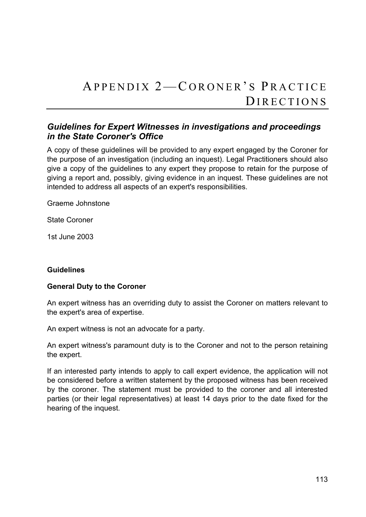# APPENDIX 2-CORONER'S PRACTICE DIRECTIONS

# *Guidelines for Expert Witnesses in investigations and proceedings in the State Coroner's Office*

A copy of these guidelines will be provided to any expert engaged by the Coroner for the purpose of an investigation (including an inquest). Legal Practitioners should also give a copy of the guidelines to any expert they propose to retain for the purpose of giving a report and, possibly, giving evidence in an inquest. These guidelines are not intended to address all aspects of an expert's responsibilities.

Graeme Johnstone

State Coroner

1st June 2003

## **Guidelines**

## **General Duty to the Coroner**

An expert witness has an overriding duty to assist the Coroner on matters relevant to the expert's area of expertise.

An expert witness is not an advocate for a party.

An expert witness's paramount duty is to the Coroner and not to the person retaining the expert.

If an interested party intends to apply to call expert evidence, the application will not be considered before a written statement by the proposed witness has been received by the coroner. The statement must be provided to the coroner and all interested parties (or their legal representatives) at least 14 days prior to the date fixed for the hearing of the inquest.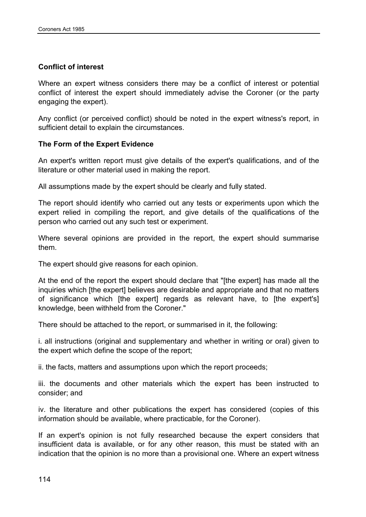# **Conflict of interest**

Where an expert witness considers there may be a conflict of interest or potential conflict of interest the expert should immediately advise the Coroner (or the party engaging the expert).

Any conflict (or perceived conflict) should be noted in the expert witness's report, in sufficient detail to explain the circumstances.

## **The Form of the Expert Evidence**

An expert's written report must give details of the expert's qualifications, and of the literature or other material used in making the report.

All assumptions made by the expert should be clearly and fully stated.

The report should identify who carried out any tests or experiments upon which the expert relied in compiling the report, and give details of the qualifications of the person who carried out any such test or experiment.

Where several opinions are provided in the report, the expert should summarise them.

The expert should give reasons for each opinion.

At the end of the report the expert should declare that "[the expert] has made all the inquiries which [the expert] believes are desirable and appropriate and that no matters of significance which [the expert] regards as relevant have, to [the expert's] knowledge, been withheld from the Coroner."

There should be attached to the report, or summarised in it, the following:

i. all instructions (original and supplementary and whether in writing or oral) given to the expert which define the scope of the report;

ii. the facts, matters and assumptions upon which the report proceeds;

iii. the documents and other materials which the expert has been instructed to consider; and

iv. the literature and other publications the expert has considered (copies of this information should be available, where practicable, for the Coroner).

If an expert's opinion is not fully researched because the expert considers that insufficient data is available, or for any other reason, this must be stated with an indication that the opinion is no more than a provisional one. Where an expert witness